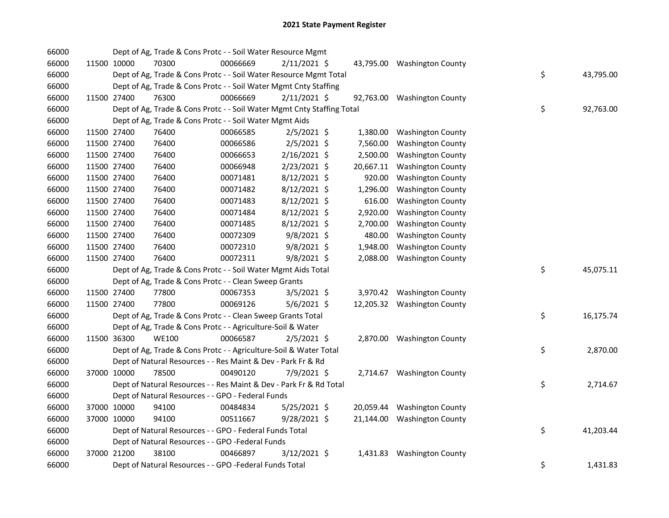| 66000 |             | Dept of Ag, Trade & Cons Protc - - Soil Water Resource Mgmt            |          |                |           |                             |    |           |
|-------|-------------|------------------------------------------------------------------------|----------|----------------|-----------|-----------------------------|----|-----------|
| 66000 | 11500 10000 | 70300                                                                  | 00066669 | $2/11/2021$ \$ |           | 43,795.00 Washington County |    |           |
| 66000 |             | Dept of Ag, Trade & Cons Protc - - Soil Water Resource Mgmt Total      |          |                |           |                             | \$ | 43,795.00 |
| 66000 |             | Dept of Ag, Trade & Cons Protc - - Soil Water Mgmt Cnty Staffing       |          |                |           |                             |    |           |
| 66000 | 11500 27400 | 76300                                                                  | 00066669 | $2/11/2021$ \$ |           | 92,763.00 Washington County |    |           |
| 66000 |             | Dept of Ag, Trade & Cons Protc - - Soil Water Mgmt Cnty Staffing Total |          |                |           |                             | \$ | 92,763.00 |
| 66000 |             | Dept of Ag, Trade & Cons Protc - - Soil Water Mgmt Aids                |          |                |           |                             |    |           |
| 66000 | 11500 27400 | 76400                                                                  | 00066585 | $2/5/2021$ \$  | 1,380.00  | <b>Washington County</b>    |    |           |
| 66000 | 11500 27400 | 76400                                                                  | 00066586 | $2/5/2021$ \$  | 7,560.00  | <b>Washington County</b>    |    |           |
| 66000 | 11500 27400 | 76400                                                                  | 00066653 | $2/16/2021$ \$ | 2,500.00  | <b>Washington County</b>    |    |           |
| 66000 | 11500 27400 | 76400                                                                  | 00066948 | $2/23/2021$ \$ | 20,667.11 | <b>Washington County</b>    |    |           |
| 66000 | 11500 27400 | 76400                                                                  | 00071481 | 8/12/2021 \$   | 920.00    | <b>Washington County</b>    |    |           |
| 66000 | 11500 27400 | 76400                                                                  | 00071482 | 8/12/2021 \$   | 1,296.00  | <b>Washington County</b>    |    |           |
| 66000 | 11500 27400 | 76400                                                                  | 00071483 | $8/12/2021$ \$ | 616.00    | <b>Washington County</b>    |    |           |
| 66000 | 11500 27400 | 76400                                                                  | 00071484 | 8/12/2021 \$   | 2,920.00  | <b>Washington County</b>    |    |           |
| 66000 | 11500 27400 | 76400                                                                  | 00071485 | 8/12/2021 \$   | 2,700.00  | <b>Washington County</b>    |    |           |
| 66000 | 11500 27400 | 76400                                                                  | 00072309 | 9/8/2021 \$    | 480.00    | <b>Washington County</b>    |    |           |
| 66000 | 11500 27400 | 76400                                                                  | 00072310 | 9/8/2021 \$    | 1,948.00  | <b>Washington County</b>    |    |           |
| 66000 | 11500 27400 | 76400                                                                  | 00072311 | 9/8/2021 \$    | 2,088.00  | <b>Washington County</b>    |    |           |
| 66000 |             | Dept of Ag, Trade & Cons Protc - - Soil Water Mgmt Aids Total          |          |                |           |                             | \$ | 45,075.11 |
| 66000 |             | Dept of Ag, Trade & Cons Protc - - Clean Sweep Grants                  |          |                |           |                             |    |           |
| 66000 | 11500 27400 | 77800                                                                  | 00067353 | 3/5/2021 \$    |           | 3,970.42 Washington County  |    |           |
| 66000 | 11500 27400 | 77800                                                                  | 00069126 | $5/6/2021$ \$  |           | 12,205.32 Washington County |    |           |
| 66000 |             | Dept of Ag, Trade & Cons Protc - - Clean Sweep Grants Total            |          |                |           |                             | \$ | 16,175.74 |
| 66000 |             | Dept of Ag, Trade & Cons Protc - - Agriculture-Soil & Water            |          |                |           |                             |    |           |
| 66000 | 11500 36300 | <b>WE100</b>                                                           | 00066587 | $2/5/2021$ \$  |           | 2,870.00 Washington County  |    |           |
| 66000 |             | Dept of Ag, Trade & Cons Protc - - Agriculture-Soil & Water Total      |          |                |           |                             | \$ | 2,870.00  |
| 66000 |             | Dept of Natural Resources - - Res Maint & Dev - Park Fr & Rd           |          |                |           |                             |    |           |
| 66000 | 37000 10000 | 78500                                                                  | 00490120 | 7/9/2021 \$    |           | 2,714.67 Washington County  |    |           |
| 66000 |             | Dept of Natural Resources - - Res Maint & Dev - Park Fr & Rd Total     |          |                |           |                             | \$ | 2,714.67  |
| 66000 |             | Dept of Natural Resources - - GPO - Federal Funds                      |          |                |           |                             |    |           |
| 66000 | 37000 10000 | 94100                                                                  | 00484834 | 5/25/2021 \$   |           | 20,059.44 Washington County |    |           |
| 66000 | 37000 10000 | 94100                                                                  | 00511667 | $9/28/2021$ \$ |           | 21,144.00 Washington County |    |           |
| 66000 |             | Dept of Natural Resources - - GPO - Federal Funds Total                |          |                |           |                             | \$ | 41,203.44 |
| 66000 |             | Dept of Natural Resources - - GPO -Federal Funds                       |          |                |           |                             |    |           |
| 66000 | 37000 21200 | 38100                                                                  | 00466897 | $3/12/2021$ \$ |           | 1,431.83 Washington County  |    |           |
| 66000 |             | Dept of Natural Resources - - GPO -Federal Funds Total                 |          |                |           |                             | \$ | 1,431.83  |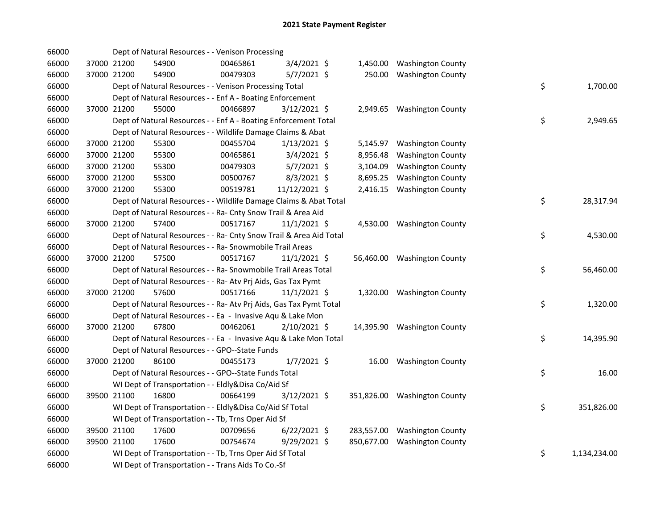| 66000 |             | Dept of Natural Resources - - Venison Processing                   |          |                |          |                              |    |              |
|-------|-------------|--------------------------------------------------------------------|----------|----------------|----------|------------------------------|----|--------------|
| 66000 | 37000 21200 | 54900                                                              | 00465861 | $3/4/2021$ \$  |          | 1,450.00 Washington County   |    |              |
| 66000 | 37000 21200 | 54900                                                              | 00479303 | $5/7/2021$ \$  |          | 250.00 Washington County     |    |              |
| 66000 |             | Dept of Natural Resources - - Venison Processing Total             |          |                |          |                              | \$ | 1,700.00     |
| 66000 |             | Dept of Natural Resources - - Enf A - Boating Enforcement          |          |                |          |                              |    |              |
| 66000 | 37000 21200 | 55000                                                              | 00466897 | 3/12/2021 \$   |          | 2,949.65 Washington County   |    |              |
| 66000 |             | Dept of Natural Resources - - Enf A - Boating Enforcement Total    |          |                |          |                              | \$ | 2,949.65     |
| 66000 |             | Dept of Natural Resources - - Wildlife Damage Claims & Abat        |          |                |          |                              |    |              |
| 66000 | 37000 21200 | 55300                                                              | 00455704 | $1/13/2021$ \$ |          | 5,145.97 Washington County   |    |              |
| 66000 | 37000 21200 | 55300                                                              | 00465861 | $3/4/2021$ \$  | 8,956.48 | <b>Washington County</b>     |    |              |
| 66000 | 37000 21200 | 55300                                                              | 00479303 | $5/7/2021$ \$  | 3,104.09 | <b>Washington County</b>     |    |              |
| 66000 | 37000 21200 | 55300                                                              | 00500767 | $8/3/2021$ \$  | 8,695.25 | <b>Washington County</b>     |    |              |
| 66000 | 37000 21200 | 55300                                                              | 00519781 | 11/12/2021 \$  |          | 2,416.15 Washington County   |    |              |
| 66000 |             | Dept of Natural Resources - - Wildlife Damage Claims & Abat Total  |          |                |          |                              | \$ | 28,317.94    |
| 66000 |             | Dept of Natural Resources - - Ra- Cnty Snow Trail & Area Aid       |          |                |          |                              |    |              |
| 66000 | 37000 21200 | 57400                                                              | 00517167 | $11/1/2021$ \$ |          | 4,530.00 Washington County   |    |              |
| 66000 |             | Dept of Natural Resources - - Ra- Cnty Snow Trail & Area Aid Total |          |                |          |                              | \$ | 4,530.00     |
| 66000 |             | Dept of Natural Resources - - Ra- Snowmobile Trail Areas           |          |                |          |                              |    |              |
| 66000 | 37000 21200 | 57500                                                              | 00517167 | $11/1/2021$ \$ |          | 56,460.00 Washington County  |    |              |
| 66000 |             | Dept of Natural Resources - - Ra- Snowmobile Trail Areas Total     |          |                |          |                              | \$ | 56,460.00    |
| 66000 |             | Dept of Natural Resources - - Ra- Atv Prj Aids, Gas Tax Pymt       |          |                |          |                              |    |              |
| 66000 | 37000 21200 | 57600                                                              | 00517166 | $11/1/2021$ \$ |          | 1,320.00 Washington County   |    |              |
| 66000 |             | Dept of Natural Resources - - Ra- Atv Prj Aids, Gas Tax Pymt Total |          |                |          |                              | \$ | 1,320.00     |
| 66000 |             | Dept of Natural Resources - - Ea - Invasive Aqu & Lake Mon         |          |                |          |                              |    |              |
| 66000 | 37000 21200 | 67800                                                              | 00462061 | 2/10/2021 \$   |          | 14,395.90 Washington County  |    |              |
| 66000 |             | Dept of Natural Resources - - Ea - Invasive Aqu & Lake Mon Total   |          |                |          |                              | \$ | 14,395.90    |
| 66000 |             | Dept of Natural Resources - - GPO--State Funds                     |          |                |          |                              |    |              |
| 66000 | 37000 21200 | 86100                                                              | 00455173 | $1/7/2021$ \$  |          | 16.00 Washington County      |    |              |
| 66000 |             | Dept of Natural Resources - - GPO--State Funds Total               |          |                |          |                              | \$ | 16.00        |
| 66000 |             | WI Dept of Transportation - - Eldly&Disa Co/Aid Sf                 |          |                |          |                              |    |              |
| 66000 | 39500 21100 | 16800                                                              | 00664199 | 3/12/2021 \$   |          | 351,826.00 Washington County |    |              |
| 66000 |             | WI Dept of Transportation - - Eldly&Disa Co/Aid Sf Total           |          |                |          |                              | \$ | 351,826.00   |
| 66000 |             | WI Dept of Transportation - - Tb, Trns Oper Aid Sf                 |          |                |          |                              |    |              |
| 66000 | 39500 21100 | 17600                                                              | 00709656 | $6/22/2021$ \$ |          | 283,557.00 Washington County |    |              |
| 66000 | 39500 21100 | 17600                                                              | 00754674 | 9/29/2021 \$   |          | 850,677.00 Washington County |    |              |
| 66000 |             | WI Dept of Transportation - - Tb, Trns Oper Aid Sf Total           |          |                |          |                              | \$ | 1,134,234.00 |
| 66000 |             | WI Dept of Transportation - - Trans Aids To Co.-Sf                 |          |                |          |                              |    |              |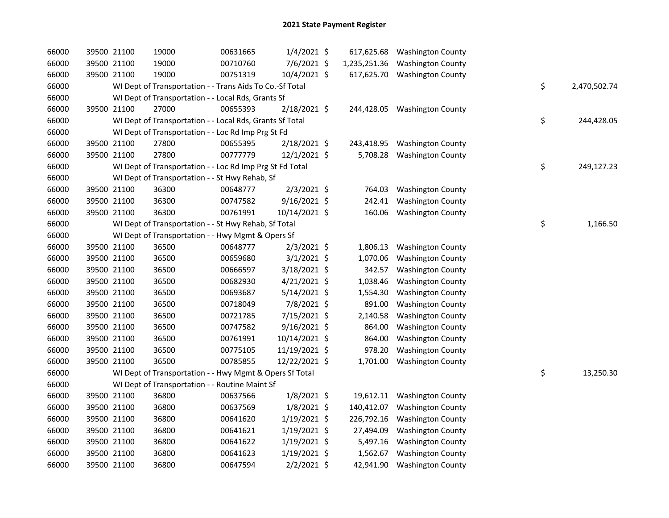| 66000 |             | 39500 21100 | 19000                                                    | 00631665 | $1/4/2021$ \$  |              | 617,625.68 Washington County |    |              |
|-------|-------------|-------------|----------------------------------------------------------|----------|----------------|--------------|------------------------------|----|--------------|
| 66000 |             | 39500 21100 | 19000                                                    | 00710760 | 7/6/2021 \$    | 1,235,251.36 | <b>Washington County</b>     |    |              |
| 66000 |             | 39500 21100 | 19000                                                    | 00751319 | 10/4/2021 \$   | 617,625.70   | <b>Washington County</b>     |    |              |
| 66000 |             |             | WI Dept of Transportation - - Trans Aids To Co.-Sf Total |          |                |              |                              | \$ | 2,470,502.74 |
| 66000 |             |             | WI Dept of Transportation - - Local Rds, Grants Sf       |          |                |              |                              |    |              |
| 66000 |             | 39500 21100 | 27000                                                    | 00655393 | 2/18/2021 \$   | 244,428.05   | <b>Washington County</b>     |    |              |
| 66000 |             |             | WI Dept of Transportation - - Local Rds, Grants Sf Total |          |                |              |                              | \$ | 244,428.05   |
| 66000 |             |             | WI Dept of Transportation - - Loc Rd Imp Prg St Fd       |          |                |              |                              |    |              |
| 66000 | 39500 21100 |             | 27800                                                    | 00655395 | 2/18/2021 \$   | 243,418.95   | <b>Washington County</b>     |    |              |
| 66000 | 39500 21100 |             | 27800                                                    | 00777779 | 12/1/2021 \$   | 5,708.28     | <b>Washington County</b>     |    |              |
| 66000 |             |             | WI Dept of Transportation - - Loc Rd Imp Prg St Fd Total |          |                |              |                              | \$ | 249,127.23   |
| 66000 |             |             | WI Dept of Transportation - - St Hwy Rehab, Sf           |          |                |              |                              |    |              |
| 66000 |             | 39500 21100 | 36300                                                    | 00648777 | $2/3/2021$ \$  | 764.03       | <b>Washington County</b>     |    |              |
| 66000 |             | 39500 21100 | 36300                                                    | 00747582 | $9/16/2021$ \$ | 242.41       | <b>Washington County</b>     |    |              |
| 66000 | 39500 21100 |             | 36300                                                    | 00761991 | 10/14/2021 \$  | 160.06       | <b>Washington County</b>     |    |              |
| 66000 |             |             | WI Dept of Transportation - - St Hwy Rehab, Sf Total     |          |                |              |                              | \$ | 1,166.50     |
| 66000 |             |             | WI Dept of Transportation - - Hwy Mgmt & Opers Sf        |          |                |              |                              |    |              |
| 66000 | 39500 21100 |             | 36500                                                    | 00648777 | $2/3/2021$ \$  | 1,806.13     | <b>Washington County</b>     |    |              |
| 66000 |             | 39500 21100 | 36500                                                    | 00659680 | $3/1/2021$ \$  | 1,070.06     | <b>Washington County</b>     |    |              |
| 66000 |             | 39500 21100 | 36500                                                    | 00666597 | 3/18/2021 \$   | 342.57       | <b>Washington County</b>     |    |              |
| 66000 |             | 39500 21100 | 36500                                                    | 00682930 | $4/21/2021$ \$ | 1,038.46     | <b>Washington County</b>     |    |              |
| 66000 | 39500 21100 |             | 36500                                                    | 00693687 | $5/14/2021$ \$ | 1,554.30     | <b>Washington County</b>     |    |              |
| 66000 |             | 39500 21100 | 36500                                                    | 00718049 | 7/8/2021 \$    | 891.00       | <b>Washington County</b>     |    |              |
| 66000 |             | 39500 21100 | 36500                                                    | 00721785 | 7/15/2021 \$   | 2,140.58     | <b>Washington County</b>     |    |              |
| 66000 |             | 39500 21100 | 36500                                                    | 00747582 | $9/16/2021$ \$ | 864.00       | <b>Washington County</b>     |    |              |
| 66000 | 39500 21100 |             | 36500                                                    | 00761991 | 10/14/2021 \$  | 864.00       | <b>Washington County</b>     |    |              |
| 66000 | 39500 21100 |             | 36500                                                    | 00775105 | 11/19/2021 \$  | 978.20       | <b>Washington County</b>     |    |              |
| 66000 | 39500 21100 |             | 36500                                                    | 00785855 | 12/22/2021 \$  | 1,701.00     | <b>Washington County</b>     |    |              |
| 66000 |             |             | WI Dept of Transportation - - Hwy Mgmt & Opers Sf Total  |          |                |              |                              | \$ | 13,250.30    |
| 66000 |             |             | WI Dept of Transportation - - Routine Maint Sf           |          |                |              |                              |    |              |
| 66000 |             | 39500 21100 | 36800                                                    | 00637566 | 1/8/2021 \$    | 19,612.11    | <b>Washington County</b>     |    |              |
| 66000 |             | 39500 21100 | 36800                                                    | 00637569 | $1/8/2021$ \$  | 140,412.07   | <b>Washington County</b>     |    |              |
| 66000 |             | 39500 21100 | 36800                                                    | 00641620 | $1/19/2021$ \$ | 226,792.16   | <b>Washington County</b>     |    |              |
| 66000 |             | 39500 21100 | 36800                                                    | 00641621 | $1/19/2021$ \$ | 27,494.09    | <b>Washington County</b>     |    |              |
| 66000 | 39500 21100 |             | 36800                                                    | 00641622 | $1/19/2021$ \$ | 5,497.16     | <b>Washington County</b>     |    |              |
| 66000 | 39500 21100 |             | 36800                                                    | 00641623 | $1/19/2021$ \$ | 1,562.67     | <b>Washington County</b>     |    |              |
| 66000 | 39500 21100 |             | 36800                                                    | 00647594 | $2/2/2021$ \$  | 42,941.90    | <b>Washington County</b>     |    |              |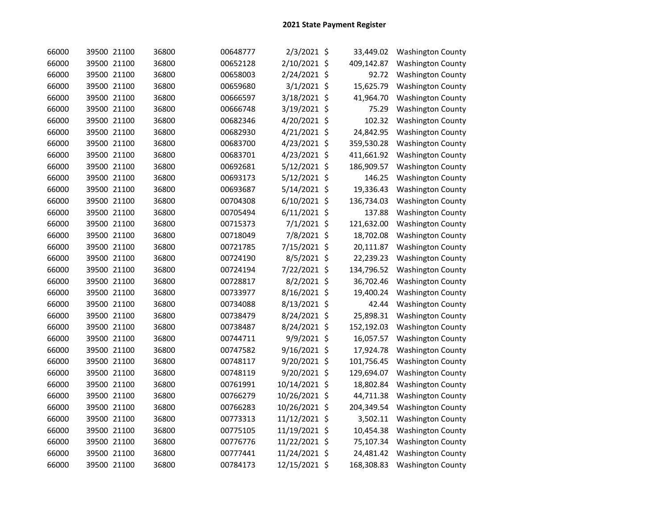| 66000 | 39500 21100 | 36800 | 00648777 | 2/3/2021 \$    |                    | 33,449.02  | Washington County        |
|-------|-------------|-------|----------|----------------|--------------------|------------|--------------------------|
| 66000 | 39500 21100 | 36800 | 00652128 | 2/10/2021      | $\zeta$            | 409,142.87 | <b>Washington County</b> |
| 66000 | 39500 21100 | 36800 | 00658003 | 2/24/2021 \$   |                    | 92.72      | <b>Washington County</b> |
| 66000 | 39500 21100 | 36800 | 00659680 | 3/1/2021 \$    |                    | 15,625.79  | <b>Washington County</b> |
| 66000 | 39500 21100 | 36800 | 00666597 | 3/18/2021 \$   |                    | 41,964.70  | <b>Washington County</b> |
| 66000 | 39500 21100 | 36800 | 00666748 | 3/19/2021      | $\ddot{\varsigma}$ | 75.29      | <b>Washington County</b> |
| 66000 | 39500 21100 | 36800 | 00682346 | 4/20/2021      | \$                 | 102.32     | <b>Washington County</b> |
| 66000 | 39500 21100 | 36800 | 00682930 | 4/21/2021 \$   |                    | 24,842.95  | <b>Washington County</b> |
| 66000 | 39500 21100 | 36800 | 00683700 | 4/23/2021 \$   |                    | 359,530.28 | <b>Washington County</b> |
| 66000 | 39500 21100 | 36800 | 00683701 | 4/23/2021 \$   |                    | 411,661.92 | <b>Washington County</b> |
| 66000 | 39500 21100 | 36800 | 00692681 | 5/12/2021 \$   |                    | 186,909.57 | <b>Washington County</b> |
| 66000 | 39500 21100 | 36800 | 00693173 | 5/12/2021 \$   |                    | 146.25     | <b>Washington County</b> |
| 66000 | 39500 21100 | 36800 | 00693687 | 5/14/2021 \$   |                    | 19,336.43  | <b>Washington County</b> |
| 66000 | 39500 21100 | 36800 | 00704308 | 6/10/2021 \$   |                    | 136,734.03 | <b>Washington County</b> |
| 66000 | 39500 21100 | 36800 | 00705494 | $6/11/2021$ \$ |                    | 137.88     | <b>Washington County</b> |
| 66000 | 39500 21100 | 36800 | 00715373 | 7/1/2021 \$    |                    | 121,632.00 | <b>Washington County</b> |
| 66000 | 39500 21100 | 36800 | 00718049 | 7/8/2021 \$    |                    | 18,702.08  | <b>Washington County</b> |
| 66000 | 39500 21100 | 36800 | 00721785 | 7/15/2021 \$   |                    | 20,111.87  | <b>Washington County</b> |
| 66000 | 39500 21100 | 36800 | 00724190 | 8/5/2021 \$    |                    | 22,239.23  | <b>Washington County</b> |
| 66000 | 39500 21100 | 36800 | 00724194 | 7/22/2021 \$   |                    | 134,796.52 | <b>Washington County</b> |
| 66000 | 39500 21100 | 36800 | 00728817 | 8/2/2021 \$    |                    | 36,702.46  | <b>Washington County</b> |
| 66000 | 39500 21100 | 36800 | 00733977 | 8/16/2021 \$   |                    | 19,400.24  | <b>Washington County</b> |
| 66000 | 39500 21100 | 36800 | 00734088 | 8/13/2021      | \$                 | 42.44      | <b>Washington County</b> |
| 66000 | 39500 21100 | 36800 | 00738479 | 8/24/2021      | \$                 | 25,898.31  | <b>Washington County</b> |
| 66000 | 39500 21100 | 36800 | 00738487 | 8/24/2021      | \$                 | 152,192.03 | <b>Washington County</b> |
| 66000 | 39500 21100 | 36800 | 00744711 | 9/9/2021       | \$                 | 16,057.57  | <b>Washington County</b> |
| 66000 | 39500 21100 | 36800 | 00747582 | 9/16/2021      | \$                 | 17,924.78  | <b>Washington County</b> |
| 66000 | 39500 21100 | 36800 | 00748117 | 9/20/2021      | \$                 | 101,756.45 | <b>Washington County</b> |
| 66000 | 39500 21100 | 36800 | 00748119 | 9/20/2021      | \$                 | 129,694.07 | <b>Washington County</b> |
| 66000 | 39500 21100 | 36800 | 00761991 | 10/14/2021     | \$                 | 18,802.84  | <b>Washington County</b> |
| 66000 | 39500 21100 | 36800 | 00766279 | 10/26/2021     | \$                 | 44,711.38  | <b>Washington County</b> |
| 66000 | 39500 21100 | 36800 | 00766283 | 10/26/2021     | -\$                | 204,349.54 | <b>Washington County</b> |
| 66000 | 39500 21100 | 36800 | 00773313 | 11/12/2021 \$  |                    | 3,502.11   | <b>Washington County</b> |
| 66000 | 39500 21100 | 36800 | 00775105 | 11/19/2021 \$  |                    | 10,454.38  | <b>Washington County</b> |
| 66000 | 39500 21100 | 36800 | 00776776 | 11/22/2021 \$  |                    | 75,107.34  | <b>Washington County</b> |
| 66000 | 39500 21100 | 36800 | 00777441 | 11/24/2021 \$  |                    | 24,481.42  | <b>Washington County</b> |
| 66000 | 39500 21100 | 36800 | 00784173 | 12/15/2021 \$  |                    | 168,308.83 | <b>Washington County</b> |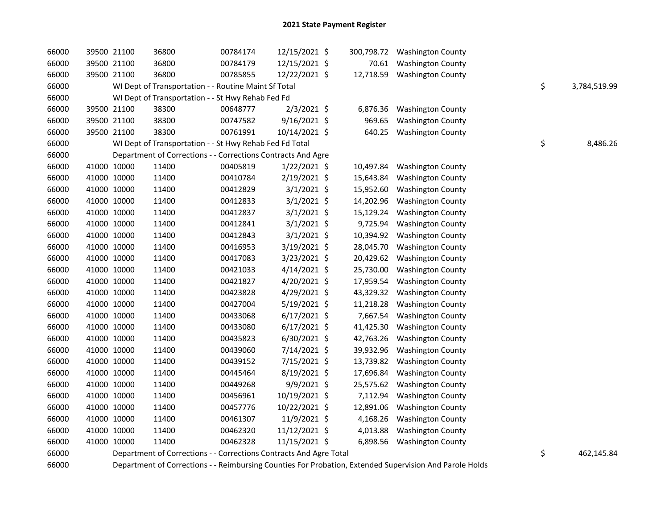| 66000 | 39500 21100 | 36800                                                              | 00784174 | 12/15/2021 \$  |           | 300,798.72 Washington County |    |              |
|-------|-------------|--------------------------------------------------------------------|----------|----------------|-----------|------------------------------|----|--------------|
| 66000 | 39500 21100 | 36800                                                              | 00784179 | 12/15/2021 \$  | 70.61     | <b>Washington County</b>     |    |              |
| 66000 | 39500 21100 | 36800                                                              | 00785855 | 12/22/2021 \$  | 12,718.59 | <b>Washington County</b>     |    |              |
| 66000 |             | WI Dept of Transportation - - Routine Maint Sf Total               |          |                |           |                              | \$ | 3,784,519.99 |
| 66000 |             | WI Dept of Transportation - - St Hwy Rehab Fed Fd                  |          |                |           |                              |    |              |
| 66000 | 39500 21100 | 38300                                                              | 00648777 | $2/3/2021$ \$  | 6,876.36  | <b>Washington County</b>     |    |              |
| 66000 | 39500 21100 | 38300                                                              | 00747582 | 9/16/2021 \$   | 969.65    | <b>Washington County</b>     |    |              |
| 66000 | 39500 21100 | 38300                                                              | 00761991 | 10/14/2021 \$  | 640.25    | <b>Washington County</b>     |    |              |
| 66000 |             | WI Dept of Transportation - - St Hwy Rehab Fed Fd Total            |          |                |           |                              | \$ | 8,486.26     |
| 66000 |             | Department of Corrections - - Corrections Contracts And Agre       |          |                |           |                              |    |              |
| 66000 | 41000 10000 | 11400                                                              | 00405819 | $1/22/2021$ \$ | 10,497.84 | <b>Washington County</b>     |    |              |
| 66000 | 41000 10000 | 11400                                                              | 00410784 | 2/19/2021 \$   | 15,643.84 | <b>Washington County</b>     |    |              |
| 66000 | 41000 10000 | 11400                                                              | 00412829 | $3/1/2021$ \$  | 15,952.60 | <b>Washington County</b>     |    |              |
| 66000 | 41000 10000 | 11400                                                              | 00412833 | $3/1/2021$ \$  | 14,202.96 | <b>Washington County</b>     |    |              |
| 66000 | 41000 10000 | 11400                                                              | 00412837 | $3/1/2021$ \$  | 15,129.24 | <b>Washington County</b>     |    |              |
| 66000 | 41000 10000 | 11400                                                              | 00412841 | $3/1/2021$ \$  | 9,725.94  | <b>Washington County</b>     |    |              |
| 66000 | 41000 10000 | 11400                                                              | 00412843 | $3/1/2021$ \$  | 10,394.92 | <b>Washington County</b>     |    |              |
| 66000 | 41000 10000 | 11400                                                              | 00416953 | 3/19/2021 \$   | 28,045.70 | <b>Washington County</b>     |    |              |
| 66000 | 41000 10000 | 11400                                                              | 00417083 | 3/23/2021 \$   | 20,429.62 | <b>Washington County</b>     |    |              |
| 66000 | 41000 10000 | 11400                                                              | 00421033 | $4/14/2021$ \$ | 25,730.00 | <b>Washington County</b>     |    |              |
| 66000 | 41000 10000 | 11400                                                              | 00421827 | 4/20/2021 \$   | 17,959.54 | <b>Washington County</b>     |    |              |
| 66000 | 41000 10000 | 11400                                                              | 00423828 | 4/29/2021 \$   | 43,329.32 | <b>Washington County</b>     |    |              |
| 66000 | 41000 10000 | 11400                                                              | 00427004 | 5/19/2021 \$   | 11,218.28 | <b>Washington County</b>     |    |              |
| 66000 | 41000 10000 | 11400                                                              | 00433068 | $6/17/2021$ \$ | 7,667.54  | <b>Washington County</b>     |    |              |
| 66000 | 41000 10000 | 11400                                                              | 00433080 | $6/17/2021$ \$ | 41,425.30 | <b>Washington County</b>     |    |              |
| 66000 | 41000 10000 | 11400                                                              | 00435823 | 6/30/2021 \$   | 42,763.26 | <b>Washington County</b>     |    |              |
| 66000 | 41000 10000 | 11400                                                              | 00439060 | 7/14/2021 \$   | 39,932.96 | <b>Washington County</b>     |    |              |
| 66000 | 41000 10000 | 11400                                                              | 00439152 | 7/15/2021 \$   | 13,739.82 | <b>Washington County</b>     |    |              |
| 66000 | 41000 10000 | 11400                                                              | 00445464 | $8/19/2021$ \$ | 17,696.84 | <b>Washington County</b>     |    |              |
| 66000 | 41000 10000 | 11400                                                              | 00449268 | 9/9/2021 \$    | 25,575.62 | <b>Washington County</b>     |    |              |
| 66000 | 41000 10000 | 11400                                                              | 00456961 | 10/19/2021 \$  | 7,112.94  | <b>Washington County</b>     |    |              |
| 66000 | 41000 10000 | 11400                                                              | 00457776 | 10/22/2021 \$  | 12,891.06 | <b>Washington County</b>     |    |              |
| 66000 | 41000 10000 | 11400                                                              | 00461307 | 11/9/2021 \$   | 4,168.26  | <b>Washington County</b>     |    |              |
| 66000 | 41000 10000 | 11400                                                              | 00462320 | 11/12/2021 \$  | 4,013.88  | <b>Washington County</b>     |    |              |
| 66000 | 41000 10000 | 11400                                                              | 00462328 | 11/15/2021 \$  | 6,898.56  | <b>Washington County</b>     |    |              |
| 66000 |             | Department of Corrections - - Corrections Contracts And Agre Total |          |                |           |                              | \$ | 462,145.84   |

66000 Department of Corrections - - Reimbursing Counties For Probation, Extended Supervision And Parole Holds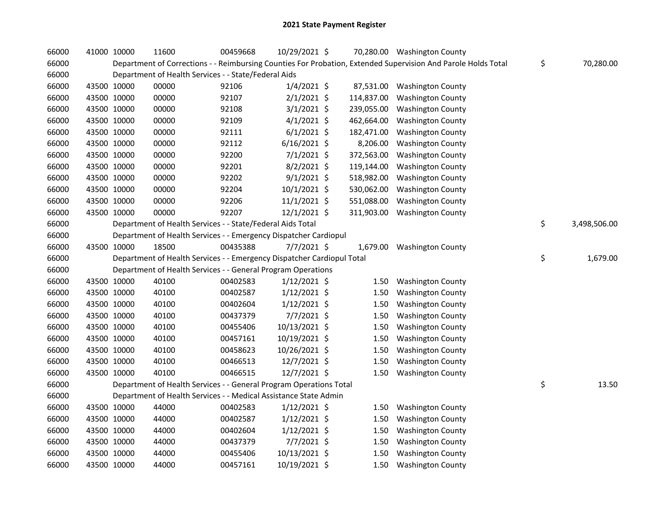| 66000 | 41000 10000 | 11600                                                                  | 00459668 | 10/29/2021 \$  |            | 70,280.00 Washington County                                                                                   |                    |
|-------|-------------|------------------------------------------------------------------------|----------|----------------|------------|---------------------------------------------------------------------------------------------------------------|--------------------|
| 66000 |             |                                                                        |          |                |            | Department of Corrections - - Reimbursing Counties For Probation, Extended Supervision And Parole Holds Total | \$<br>70,280.00    |
| 66000 |             | Department of Health Services - - State/Federal Aids                   |          |                |            |                                                                                                               |                    |
| 66000 | 43500 10000 | 00000                                                                  | 92106    | $1/4/2021$ \$  | 87,531.00  | <b>Washington County</b>                                                                                      |                    |
| 66000 | 43500 10000 | 00000                                                                  | 92107    | $2/1/2021$ \$  | 114,837.00 | <b>Washington County</b>                                                                                      |                    |
| 66000 | 43500 10000 | 00000                                                                  | 92108    | $3/1/2021$ \$  | 239,055.00 | <b>Washington County</b>                                                                                      |                    |
| 66000 | 43500 10000 | 00000                                                                  | 92109    | $4/1/2021$ \$  | 462,664.00 | <b>Washington County</b>                                                                                      |                    |
| 66000 | 43500 10000 | 00000                                                                  | 92111    | $6/1/2021$ \$  | 182,471.00 | <b>Washington County</b>                                                                                      |                    |
| 66000 | 43500 10000 | 00000                                                                  | 92112    | $6/16/2021$ \$ | 8,206.00   | <b>Washington County</b>                                                                                      |                    |
| 66000 | 43500 10000 | 00000                                                                  | 92200    | $7/1/2021$ \$  | 372,563.00 | <b>Washington County</b>                                                                                      |                    |
| 66000 | 43500 10000 | 00000                                                                  | 92201    | $8/2/2021$ \$  | 119,144.00 | <b>Washington County</b>                                                                                      |                    |
| 66000 | 43500 10000 | 00000                                                                  | 92202    | $9/1/2021$ \$  | 518,982.00 | <b>Washington County</b>                                                                                      |                    |
| 66000 | 43500 10000 | 00000                                                                  | 92204    | $10/1/2021$ \$ | 530,062.00 | <b>Washington County</b>                                                                                      |                    |
| 66000 | 43500 10000 | 00000                                                                  | 92206    | $11/1/2021$ \$ | 551,088.00 | <b>Washington County</b>                                                                                      |                    |
| 66000 | 43500 10000 | 00000                                                                  | 92207    | 12/1/2021 \$   | 311,903.00 | <b>Washington County</b>                                                                                      |                    |
| 66000 |             | Department of Health Services - - State/Federal Aids Total             |          |                |            |                                                                                                               | \$<br>3,498,506.00 |
| 66000 |             | Department of Health Services - - Emergency Dispatcher Cardiopul       |          |                |            |                                                                                                               |                    |
| 66000 | 43500 10000 | 18500                                                                  | 00435388 | $7/7/2021$ \$  | 1,679.00   | <b>Washington County</b>                                                                                      |                    |
| 66000 |             | Department of Health Services - - Emergency Dispatcher Cardiopul Total |          |                |            |                                                                                                               | \$<br>1,679.00     |
| 66000 |             | Department of Health Services - - General Program Operations           |          |                |            |                                                                                                               |                    |
| 66000 | 43500 10000 | 40100                                                                  | 00402583 | $1/12/2021$ \$ | 1.50       | <b>Washington County</b>                                                                                      |                    |
| 66000 | 43500 10000 | 40100                                                                  | 00402587 | $1/12/2021$ \$ | 1.50       | <b>Washington County</b>                                                                                      |                    |
| 66000 | 43500 10000 | 40100                                                                  | 00402604 | $1/12/2021$ \$ | 1.50       | <b>Washington County</b>                                                                                      |                    |
| 66000 | 43500 10000 | 40100                                                                  | 00437379 | 7/7/2021 \$    | 1.50       | <b>Washington County</b>                                                                                      |                    |
| 66000 | 43500 10000 | 40100                                                                  | 00455406 | 10/13/2021 \$  | 1.50       | <b>Washington County</b>                                                                                      |                    |
| 66000 | 43500 10000 | 40100                                                                  | 00457161 | 10/19/2021 \$  | 1.50       | <b>Washington County</b>                                                                                      |                    |
| 66000 | 43500 10000 | 40100                                                                  | 00458623 | 10/26/2021 \$  | 1.50       | <b>Washington County</b>                                                                                      |                    |
| 66000 | 43500 10000 | 40100                                                                  | 00466513 | 12/7/2021 \$   | 1.50       | <b>Washington County</b>                                                                                      |                    |
| 66000 | 43500 10000 | 40100                                                                  | 00466515 | 12/7/2021 \$   | 1.50       | <b>Washington County</b>                                                                                      |                    |
| 66000 |             | Department of Health Services - - General Program Operations Total     |          |                |            |                                                                                                               | \$<br>13.50        |
| 66000 |             | Department of Health Services - - Medical Assistance State Admin       |          |                |            |                                                                                                               |                    |
| 66000 | 43500 10000 | 44000                                                                  | 00402583 | $1/12/2021$ \$ | 1.50       | <b>Washington County</b>                                                                                      |                    |
| 66000 | 43500 10000 | 44000                                                                  | 00402587 | $1/12/2021$ \$ | 1.50       | <b>Washington County</b>                                                                                      |                    |
| 66000 | 43500 10000 | 44000                                                                  | 00402604 | $1/12/2021$ \$ | 1.50       | <b>Washington County</b>                                                                                      |                    |
| 66000 | 43500 10000 | 44000                                                                  | 00437379 | $7/7/2021$ \$  | 1.50       | <b>Washington County</b>                                                                                      |                    |
| 66000 | 43500 10000 | 44000                                                                  | 00455406 | 10/13/2021 \$  | 1.50       | <b>Washington County</b>                                                                                      |                    |
| 66000 | 43500 10000 | 44000                                                                  | 00457161 | 10/19/2021 \$  | 1.50       | <b>Washington County</b>                                                                                      |                    |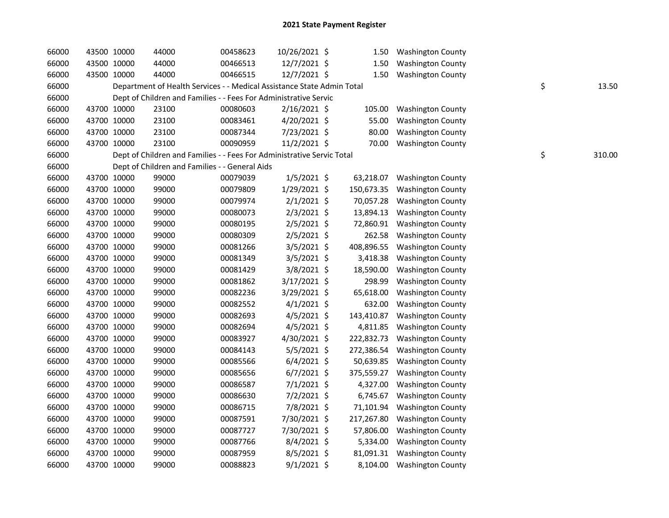| 66000 | 43500 10000 | 44000                                                                  | 00458623 | 10/26/2021 \$  | 1.50       | <b>Washington County</b>   |    |        |
|-------|-------------|------------------------------------------------------------------------|----------|----------------|------------|----------------------------|----|--------|
| 66000 | 43500 10000 | 44000                                                                  | 00466513 | 12/7/2021 \$   | 1.50       | <b>Washington County</b>   |    |        |
| 66000 | 43500 10000 | 44000                                                                  | 00466515 | 12/7/2021 \$   | 1.50       | <b>Washington County</b>   |    |        |
| 66000 |             | Department of Health Services - - Medical Assistance State Admin Total |          |                |            |                            | \$ | 13.50  |
| 66000 |             | Dept of Children and Families - - Fees For Administrative Servic       |          |                |            |                            |    |        |
| 66000 | 43700 10000 | 23100                                                                  | 00080603 | $2/16/2021$ \$ | 105.00     | <b>Washington County</b>   |    |        |
| 66000 | 43700 10000 | 23100                                                                  | 00083461 | 4/20/2021 \$   | 55.00      | <b>Washington County</b>   |    |        |
| 66000 | 43700 10000 | 23100                                                                  | 00087344 | 7/23/2021 \$   | 80.00      | <b>Washington County</b>   |    |        |
| 66000 | 43700 10000 | 23100                                                                  | 00090959 | 11/2/2021 \$   | 70.00      | <b>Washington County</b>   |    |        |
| 66000 |             | Dept of Children and Families - - Fees For Administrative Servic Total |          |                |            |                            | \$ | 310.00 |
| 66000 |             | Dept of Children and Families - - General Aids                         |          |                |            |                            |    |        |
| 66000 | 43700 10000 | 99000                                                                  | 00079039 | $1/5/2021$ \$  | 63,218.07  | <b>Washington County</b>   |    |        |
| 66000 | 43700 10000 | 99000                                                                  | 00079809 | 1/29/2021 \$   | 150,673.35 | <b>Washington County</b>   |    |        |
| 66000 | 43700 10000 | 99000                                                                  | 00079974 | $2/1/2021$ \$  | 70,057.28  | <b>Washington County</b>   |    |        |
| 66000 | 43700 10000 | 99000                                                                  | 00080073 | $2/3/2021$ \$  | 13,894.13  | <b>Washington County</b>   |    |        |
| 66000 | 43700 10000 | 99000                                                                  | 00080195 | 2/5/2021 \$    | 72,860.91  | <b>Washington County</b>   |    |        |
| 66000 | 43700 10000 | 99000                                                                  | 00080309 | $2/5/2021$ \$  | 262.58     | <b>Washington County</b>   |    |        |
| 66000 | 43700 10000 | 99000                                                                  | 00081266 | 3/5/2021 \$    | 408,896.55 | <b>Washington County</b>   |    |        |
| 66000 | 43700 10000 | 99000                                                                  | 00081349 | $3/5/2021$ \$  | 3,418.38   | <b>Washington County</b>   |    |        |
| 66000 | 43700 10000 | 99000                                                                  | 00081429 | 3/8/2021 \$    | 18,590.00  | <b>Washington County</b>   |    |        |
| 66000 | 43700 10000 | 99000                                                                  | 00081862 | $3/17/2021$ \$ | 298.99     | <b>Washington County</b>   |    |        |
| 66000 | 43700 10000 | 99000                                                                  | 00082236 | 3/29/2021 \$   | 65,618.00  | <b>Washington County</b>   |    |        |
| 66000 | 43700 10000 | 99000                                                                  | 00082552 | $4/1/2021$ \$  | 632.00     | <b>Washington County</b>   |    |        |
| 66000 | 43700 10000 | 99000                                                                  | 00082693 | $4/5/2021$ \$  | 143,410.87 | <b>Washington County</b>   |    |        |
| 66000 | 43700 10000 | 99000                                                                  | 00082694 | $4/5/2021$ \$  | 4,811.85   | <b>Washington County</b>   |    |        |
| 66000 | 43700 10000 | 99000                                                                  | 00083927 | 4/30/2021 \$   | 222,832.73 | <b>Washington County</b>   |    |        |
| 66000 | 43700 10000 | 99000                                                                  | 00084143 | 5/5/2021 \$    | 272,386.54 | <b>Washington County</b>   |    |        |
| 66000 | 43700 10000 | 99000                                                                  | 00085566 | $6/4/2021$ \$  | 50,639.85  | <b>Washington County</b>   |    |        |
| 66000 | 43700 10000 | 99000                                                                  | 00085656 | $6/7/2021$ \$  | 375,559.27 | <b>Washington County</b>   |    |        |
| 66000 | 43700 10000 | 99000                                                                  | 00086587 | $7/1/2021$ \$  | 4,327.00   | <b>Washington County</b>   |    |        |
| 66000 | 43700 10000 | 99000                                                                  | 00086630 | $7/2/2021$ \$  | 6,745.67   | <b>Washington County</b>   |    |        |
| 66000 | 43700 10000 | 99000                                                                  | 00086715 | 7/8/2021 \$    | 71,101.94  | <b>Washington County</b>   |    |        |
| 66000 | 43700 10000 | 99000                                                                  | 00087591 | 7/30/2021 \$   | 217,267.80 | <b>Washington County</b>   |    |        |
| 66000 | 43700 10000 | 99000                                                                  | 00087727 | 7/30/2021 \$   | 57,806.00  | <b>Washington County</b>   |    |        |
| 66000 | 43700 10000 | 99000                                                                  | 00087766 | 8/4/2021 \$    | 5,334.00   | <b>Washington County</b>   |    |        |
| 66000 | 43700 10000 | 99000                                                                  | 00087959 | 8/5/2021 \$    | 81,091.31  | <b>Washington County</b>   |    |        |
| 66000 | 43700 10000 | 99000                                                                  | 00088823 | $9/1/2021$ \$  |            | 8,104.00 Washington County |    |        |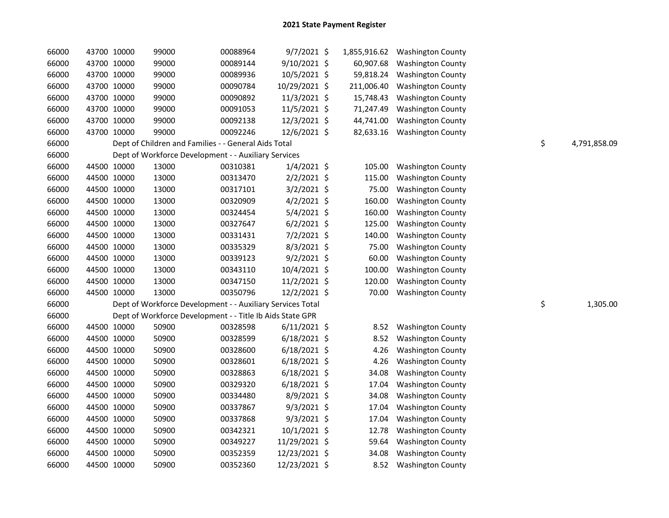| 66000 | 43700 10000 | 99000                                                      | 00088964 | $9/7/2021$ \$  |            | 1,855,916.62 Washington County |                    |
|-------|-------------|------------------------------------------------------------|----------|----------------|------------|--------------------------------|--------------------|
| 66000 | 43700 10000 | 99000                                                      | 00089144 | 9/10/2021 \$   | 60,907.68  | <b>Washington County</b>       |                    |
| 66000 | 43700 10000 | 99000                                                      | 00089936 | 10/5/2021 \$   | 59,818.24  | <b>Washington County</b>       |                    |
| 66000 | 43700 10000 | 99000                                                      | 00090784 | 10/29/2021 \$  | 211,006.40 | <b>Washington County</b>       |                    |
| 66000 | 43700 10000 | 99000                                                      | 00090892 | 11/3/2021 \$   | 15,748.43  | <b>Washington County</b>       |                    |
| 66000 | 43700 10000 | 99000                                                      | 00091053 | 11/5/2021 \$   | 71,247.49  | <b>Washington County</b>       |                    |
| 66000 | 43700 10000 | 99000                                                      | 00092138 | 12/3/2021 \$   | 44,741.00  | <b>Washington County</b>       |                    |
| 66000 | 43700 10000 | 99000                                                      | 00092246 | 12/6/2021 \$   | 82,633.16  | <b>Washington County</b>       |                    |
| 66000 |             | Dept of Children and Families - - General Aids Total       |          |                |            |                                | \$<br>4,791,858.09 |
| 66000 |             | Dept of Workforce Development - - Auxiliary Services       |          |                |            |                                |                    |
| 66000 | 44500 10000 | 13000                                                      | 00310381 | $1/4/2021$ \$  | 105.00     | <b>Washington County</b>       |                    |
| 66000 | 44500 10000 | 13000                                                      | 00313470 | $2/2/2021$ \$  | 115.00     | <b>Washington County</b>       |                    |
| 66000 | 44500 10000 | 13000                                                      | 00317101 | $3/2/2021$ \$  | 75.00      | <b>Washington County</b>       |                    |
| 66000 | 44500 10000 | 13000                                                      | 00320909 | $4/2/2021$ \$  | 160.00     | <b>Washington County</b>       |                    |
| 66000 | 44500 10000 | 13000                                                      | 00324454 | 5/4/2021 \$    | 160.00     | <b>Washington County</b>       |                    |
| 66000 | 44500 10000 | 13000                                                      | 00327647 | $6/2/2021$ \$  | 125.00     | <b>Washington County</b>       |                    |
| 66000 | 44500 10000 | 13000                                                      | 00331431 | $7/2/2021$ \$  | 140.00     | <b>Washington County</b>       |                    |
| 66000 | 44500 10000 | 13000                                                      | 00335329 | 8/3/2021 \$    | 75.00      | <b>Washington County</b>       |                    |
| 66000 | 44500 10000 | 13000                                                      | 00339123 | $9/2/2021$ \$  | 60.00      | <b>Washington County</b>       |                    |
| 66000 | 44500 10000 | 13000                                                      | 00343110 | 10/4/2021 \$   | 100.00     | <b>Washington County</b>       |                    |
| 66000 | 44500 10000 | 13000                                                      | 00347150 | 11/2/2021 \$   | 120.00     | <b>Washington County</b>       |                    |
| 66000 | 44500 10000 | 13000                                                      | 00350796 | 12/2/2021 \$   | 70.00      | <b>Washington County</b>       |                    |
| 66000 |             | Dept of Workforce Development - - Auxiliary Services Total |          |                |            |                                | \$<br>1,305.00     |
| 66000 |             | Dept of Workforce Development - - Title Ib Aids State GPR  |          |                |            |                                |                    |
| 66000 | 44500 10000 | 50900                                                      | 00328598 | $6/11/2021$ \$ | 8.52       | <b>Washington County</b>       |                    |
| 66000 | 44500 10000 | 50900                                                      | 00328599 | $6/18/2021$ \$ | 8.52       | <b>Washington County</b>       |                    |
| 66000 | 44500 10000 | 50900                                                      | 00328600 | $6/18/2021$ \$ | 4.26       | <b>Washington County</b>       |                    |
| 66000 | 44500 10000 | 50900                                                      | 00328601 | $6/18/2021$ \$ | 4.26       | <b>Washington County</b>       |                    |
| 66000 | 44500 10000 | 50900                                                      | 00328863 | $6/18/2021$ \$ | 34.08      | <b>Washington County</b>       |                    |
| 66000 | 44500 10000 | 50900                                                      | 00329320 | $6/18/2021$ \$ | 17.04      | <b>Washington County</b>       |                    |
| 66000 | 44500 10000 | 50900                                                      | 00334480 | 8/9/2021 \$    | 34.08      | <b>Washington County</b>       |                    |
| 66000 | 44500 10000 | 50900                                                      | 00337867 | $9/3/2021$ \$  | 17.04      | <b>Washington County</b>       |                    |
| 66000 | 44500 10000 | 50900                                                      | 00337868 | $9/3/2021$ \$  | 17.04      | <b>Washington County</b>       |                    |
| 66000 | 44500 10000 | 50900                                                      | 00342321 | 10/1/2021 \$   | 12.78      | <b>Washington County</b>       |                    |
| 66000 | 44500 10000 | 50900                                                      | 00349227 | 11/29/2021 \$  | 59.64      | <b>Washington County</b>       |                    |
| 66000 | 44500 10000 | 50900                                                      | 00352359 | 12/23/2021 \$  | 34.08      | <b>Washington County</b>       |                    |
| 66000 | 44500 10000 | 50900                                                      | 00352360 | 12/23/2021 \$  | 8.52       | <b>Washington County</b>       |                    |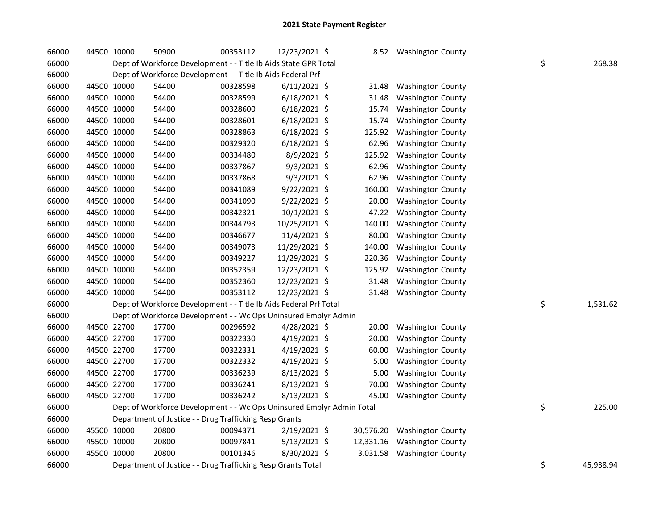| 66000 | 44500 10000 | 50900                                                                 | 00353112 | 12/23/2021 \$  | 8.52      | <b>Washington County</b> |    |           |
|-------|-------------|-----------------------------------------------------------------------|----------|----------------|-----------|--------------------------|----|-----------|
| 66000 |             | Dept of Workforce Development - - Title Ib Aids State GPR Total       |          |                |           |                          | \$ | 268.38    |
| 66000 |             | Dept of Workforce Development - - Title Ib Aids Federal Prf           |          |                |           |                          |    |           |
| 66000 | 44500 10000 | 54400                                                                 | 00328598 | $6/11/2021$ \$ | 31.48     | <b>Washington County</b> |    |           |
| 66000 | 44500 10000 | 54400                                                                 | 00328599 | $6/18/2021$ \$ | 31.48     | <b>Washington County</b> |    |           |
| 66000 | 44500 10000 | 54400                                                                 | 00328600 | $6/18/2021$ \$ | 15.74     | <b>Washington County</b> |    |           |
| 66000 | 44500 10000 | 54400                                                                 | 00328601 | $6/18/2021$ \$ | 15.74     | <b>Washington County</b> |    |           |
| 66000 | 44500 10000 | 54400                                                                 | 00328863 | $6/18/2021$ \$ | 125.92    | <b>Washington County</b> |    |           |
| 66000 | 44500 10000 | 54400                                                                 | 00329320 | $6/18/2021$ \$ | 62.96     | <b>Washington County</b> |    |           |
| 66000 | 44500 10000 | 54400                                                                 | 00334480 | $8/9/2021$ \$  | 125.92    | <b>Washington County</b> |    |           |
| 66000 | 44500 10000 | 54400                                                                 | 00337867 | $9/3/2021$ \$  | 62.96     | <b>Washington County</b> |    |           |
| 66000 | 44500 10000 | 54400                                                                 | 00337868 | $9/3/2021$ \$  | 62.96     | <b>Washington County</b> |    |           |
| 66000 | 44500 10000 | 54400                                                                 | 00341089 | 9/22/2021 \$   | 160.00    | <b>Washington County</b> |    |           |
| 66000 | 44500 10000 | 54400                                                                 | 00341090 | 9/22/2021 \$   | 20.00     | <b>Washington County</b> |    |           |
| 66000 | 44500 10000 | 54400                                                                 | 00342321 | 10/1/2021 \$   | 47.22     | <b>Washington County</b> |    |           |
| 66000 | 44500 10000 | 54400                                                                 | 00344793 | 10/25/2021 \$  | 140.00    | <b>Washington County</b> |    |           |
| 66000 | 44500 10000 | 54400                                                                 | 00346677 | 11/4/2021 \$   | 80.00     | <b>Washington County</b> |    |           |
| 66000 | 44500 10000 | 54400                                                                 | 00349073 | 11/29/2021 \$  | 140.00    | <b>Washington County</b> |    |           |
| 66000 | 44500 10000 | 54400                                                                 | 00349227 | 11/29/2021 \$  | 220.36    | <b>Washington County</b> |    |           |
| 66000 | 44500 10000 | 54400                                                                 | 00352359 | 12/23/2021 \$  | 125.92    | <b>Washington County</b> |    |           |
| 66000 | 44500 10000 | 54400                                                                 | 00352360 | 12/23/2021 \$  | 31.48     | <b>Washington County</b> |    |           |
| 66000 | 44500 10000 | 54400                                                                 | 00353112 | 12/23/2021 \$  | 31.48     | <b>Washington County</b> |    |           |
| 66000 |             | Dept of Workforce Development - - Title Ib Aids Federal Prf Total     |          |                |           |                          | \$ | 1,531.62  |
| 66000 |             | Dept of Workforce Development - - Wc Ops Uninsured Emplyr Admin       |          |                |           |                          |    |           |
| 66000 | 44500 22700 | 17700                                                                 | 00296592 | 4/28/2021 \$   | 20.00     | <b>Washington County</b> |    |           |
| 66000 | 44500 22700 | 17700                                                                 | 00322330 | 4/19/2021 \$   | 20.00     | <b>Washington County</b> |    |           |
| 66000 | 44500 22700 | 17700                                                                 | 00322331 | $4/19/2021$ \$ | 60.00     | <b>Washington County</b> |    |           |
| 66000 | 44500 22700 | 17700                                                                 | 00322332 | 4/19/2021 \$   | 5.00      | <b>Washington County</b> |    |           |
| 66000 | 44500 22700 | 17700                                                                 | 00336239 | 8/13/2021 \$   | 5.00      | <b>Washington County</b> |    |           |
| 66000 | 44500 22700 | 17700                                                                 | 00336241 | 8/13/2021 \$   | 70.00     | <b>Washington County</b> |    |           |
| 66000 | 44500 22700 | 17700                                                                 | 00336242 | 8/13/2021 \$   | 45.00     | <b>Washington County</b> |    |           |
| 66000 |             | Dept of Workforce Development - - Wc Ops Uninsured Emplyr Admin Total |          |                |           |                          | \$ | 225.00    |
| 66000 |             | Department of Justice - - Drug Trafficking Resp Grants                |          |                |           |                          |    |           |
| 66000 | 45500 10000 | 20800                                                                 | 00094371 | 2/19/2021 \$   | 30,576.20 | <b>Washington County</b> |    |           |
| 66000 | 45500 10000 | 20800                                                                 | 00097841 | $5/13/2021$ \$ | 12,331.16 | <b>Washington County</b> |    |           |
| 66000 | 45500 10000 | 20800                                                                 | 00101346 | 8/30/2021 \$   | 3,031.58  | <b>Washington County</b> |    |           |
| 66000 |             | Department of Justice - - Drug Trafficking Resp Grants Total          |          |                |           |                          | \$ | 45,938.94 |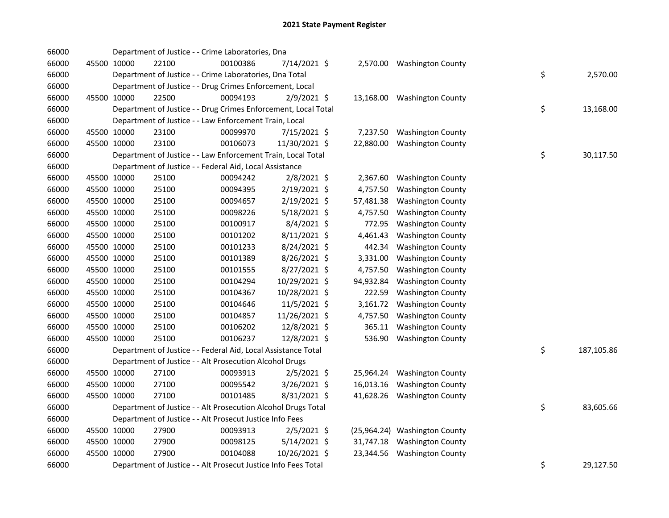| 66000 |             |       | Department of Justice - - Crime Laboratories, Dna              |                |           |                               |    |            |
|-------|-------------|-------|----------------------------------------------------------------|----------------|-----------|-------------------------------|----|------------|
| 66000 | 45500 10000 | 22100 | 00100386                                                       | 7/14/2021 \$   |           | 2,570.00 Washington County    |    |            |
| 66000 |             |       | Department of Justice - - Crime Laboratories, Dna Total        |                |           |                               | \$ | 2,570.00   |
| 66000 |             |       | Department of Justice - - Drug Crimes Enforcement, Local       |                |           |                               |    |            |
| 66000 | 45500 10000 | 22500 | 00094193                                                       | 2/9/2021 \$    |           | 13,168.00 Washington County   |    |            |
| 66000 |             |       | Department of Justice - - Drug Crimes Enforcement, Local Total |                |           |                               | \$ | 13,168.00  |
| 66000 |             |       | Department of Justice - - Law Enforcement Train, Local         |                |           |                               |    |            |
| 66000 | 45500 10000 | 23100 | 00099970                                                       | 7/15/2021 \$   | 7,237.50  | <b>Washington County</b>      |    |            |
| 66000 | 45500 10000 | 23100 | 00106073                                                       | 11/30/2021 \$  | 22,880.00 | <b>Washington County</b>      |    |            |
| 66000 |             |       | Department of Justice - - Law Enforcement Train, Local Total   |                |           |                               | \$ | 30,117.50  |
| 66000 |             |       | Department of Justice - - Federal Aid, Local Assistance        |                |           |                               |    |            |
| 66000 | 45500 10000 | 25100 | 00094242                                                       | 2/8/2021 \$    | 2,367.60  | <b>Washington County</b>      |    |            |
| 66000 | 45500 10000 | 25100 | 00094395                                                       | 2/19/2021 \$   | 4,757.50  | <b>Washington County</b>      |    |            |
| 66000 | 45500 10000 | 25100 | 00094657                                                       | 2/19/2021 \$   | 57,481.38 | <b>Washington County</b>      |    |            |
| 66000 | 45500 10000 | 25100 | 00098226                                                       | 5/18/2021 \$   | 4,757.50  | <b>Washington County</b>      |    |            |
| 66000 | 45500 10000 | 25100 | 00100917                                                       | 8/4/2021 \$    | 772.95    | <b>Washington County</b>      |    |            |
| 66000 | 45500 10000 | 25100 | 00101202                                                       | 8/11/2021 \$   | 4,461.43  | <b>Washington County</b>      |    |            |
| 66000 | 45500 10000 | 25100 | 00101233                                                       | 8/24/2021 \$   | 442.34    | <b>Washington County</b>      |    |            |
| 66000 | 45500 10000 | 25100 | 00101389                                                       | 8/26/2021 \$   | 3,331.00  | <b>Washington County</b>      |    |            |
| 66000 | 45500 10000 | 25100 | 00101555                                                       | 8/27/2021 \$   | 4,757.50  | <b>Washington County</b>      |    |            |
| 66000 | 45500 10000 | 25100 | 00104294                                                       | 10/29/2021 \$  | 94,932.84 | <b>Washington County</b>      |    |            |
| 66000 | 45500 10000 | 25100 | 00104367                                                       | 10/28/2021 \$  | 222.59    | <b>Washington County</b>      |    |            |
| 66000 | 45500 10000 | 25100 | 00104646                                                       | 11/5/2021 \$   | 3,161.72  | <b>Washington County</b>      |    |            |
| 66000 | 45500 10000 | 25100 | 00104857                                                       | 11/26/2021 \$  | 4,757.50  | <b>Washington County</b>      |    |            |
| 66000 | 45500 10000 | 25100 | 00106202                                                       | 12/8/2021 \$   | 365.11    | <b>Washington County</b>      |    |            |
| 66000 | 45500 10000 | 25100 | 00106237                                                       | 12/8/2021 \$   | 536.90    | <b>Washington County</b>      |    |            |
| 66000 |             |       | Department of Justice - - Federal Aid, Local Assistance Total  |                |           |                               | \$ | 187,105.86 |
| 66000 |             |       | Department of Justice - - Alt Prosecution Alcohol Drugs        |                |           |                               |    |            |
| 66000 | 45500 10000 | 27100 | 00093913                                                       | $2/5/2021$ \$  |           | 25,964.24 Washington County   |    |            |
| 66000 | 45500 10000 | 27100 | 00095542                                                       | 3/26/2021 \$   |           | 16,013.16 Washington County   |    |            |
| 66000 | 45500 10000 | 27100 | 00101485                                                       | 8/31/2021 \$   |           | 41,628.26 Washington County   |    |            |
| 66000 |             |       | Department of Justice - - Alt Prosecution Alcohol Drugs Total  |                |           |                               | \$ | 83,605.66  |
| 66000 |             |       | Department of Justice - - Alt Prosecut Justice Info Fees       |                |           |                               |    |            |
| 66000 | 45500 10000 | 27900 | 00093913                                                       | $2/5/2021$ \$  |           | (25,964.24) Washington County |    |            |
| 66000 | 45500 10000 | 27900 | 00098125                                                       | $5/14/2021$ \$ |           | 31,747.18 Washington County   |    |            |
| 66000 | 45500 10000 | 27900 | 00104088                                                       | 10/26/2021 \$  |           | 23,344.56 Washington County   |    |            |
| 66000 |             |       | Department of Justice - - Alt Prosecut Justice Info Fees Total |                |           |                               | \$ | 29,127.50  |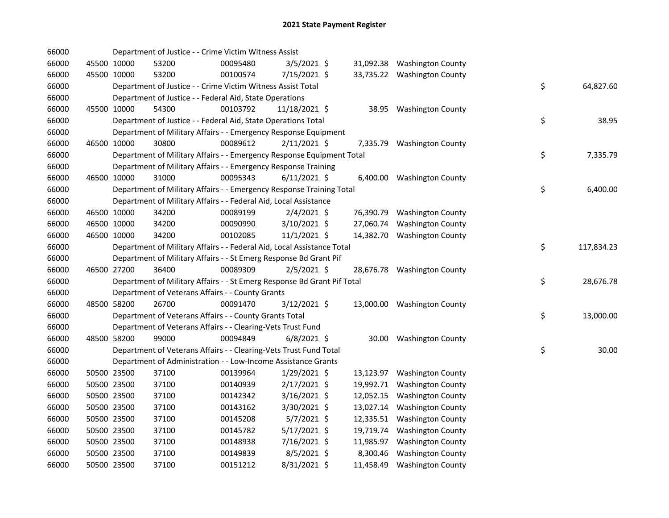| 66000 |             | Department of Justice - - Crime Victim Witness Assist                   |          |                |           |                             |    |            |
|-------|-------------|-------------------------------------------------------------------------|----------|----------------|-----------|-----------------------------|----|------------|
| 66000 | 45500 10000 | 53200                                                                   | 00095480 | $3/5/2021$ \$  |           | 31,092.38 Washington County |    |            |
| 66000 | 45500 10000 | 53200                                                                   | 00100574 | 7/15/2021 \$   |           | 33,735.22 Washington County |    |            |
| 66000 |             | Department of Justice - - Crime Victim Witness Assist Total             |          |                |           |                             | \$ | 64,827.60  |
| 66000 |             | Department of Justice - - Federal Aid, State Operations                 |          |                |           |                             |    |            |
| 66000 | 45500 10000 | 54300                                                                   | 00103792 | 11/18/2021 \$  |           | 38.95 Washington County     |    |            |
| 66000 |             | Department of Justice - - Federal Aid, State Operations Total           |          |                |           |                             | \$ | 38.95      |
| 66000 |             | Department of Military Affairs - - Emergency Response Equipment         |          |                |           |                             |    |            |
| 66000 | 46500 10000 | 30800                                                                   | 00089612 | $2/11/2021$ \$ |           | 7,335.79 Washington County  |    |            |
| 66000 |             | Department of Military Affairs - - Emergency Response Equipment Total   |          |                |           |                             | \$ | 7,335.79   |
| 66000 |             | Department of Military Affairs - - Emergency Response Training          |          |                |           |                             |    |            |
| 66000 | 46500 10000 | 31000                                                                   | 00095343 | $6/11/2021$ \$ |           | 6,400.00 Washington County  |    |            |
| 66000 |             | Department of Military Affairs - - Emergency Response Training Total    |          |                |           |                             | \$ | 6,400.00   |
| 66000 |             | Department of Military Affairs - - Federal Aid, Local Assistance        |          |                |           |                             |    |            |
| 66000 | 46500 10000 | 34200                                                                   | 00089199 | $2/4/2021$ \$  |           | 76,390.79 Washington County |    |            |
| 66000 | 46500 10000 | 34200                                                                   | 00090990 | 3/10/2021 \$   | 27,060.74 | <b>Washington County</b>    |    |            |
| 66000 | 46500 10000 | 34200                                                                   | 00102085 | $11/1/2021$ \$ |           | 14,382.70 Washington County |    |            |
| 66000 |             | Department of Military Affairs - - Federal Aid, Local Assistance Total  |          |                |           |                             | \$ | 117,834.23 |
| 66000 |             | Department of Military Affairs - - St Emerg Response Bd Grant Pif       |          |                |           |                             |    |            |
| 66000 | 46500 27200 | 36400                                                                   | 00089309 | $2/5/2021$ \$  |           | 28,676.78 Washington County |    |            |
| 66000 |             | Department of Military Affairs - - St Emerg Response Bd Grant Pif Total |          |                |           |                             | \$ | 28,676.78  |
| 66000 |             | Department of Veterans Affairs - - County Grants                        |          |                |           |                             |    |            |
| 66000 | 48500 58200 | 26700                                                                   | 00091470 | 3/12/2021 \$   |           | 13,000.00 Washington County |    |            |
| 66000 |             | Department of Veterans Affairs - - County Grants Total                  |          |                |           |                             | \$ | 13,000.00  |
| 66000 |             | Department of Veterans Affairs - - Clearing-Vets Trust Fund             |          |                |           |                             |    |            |
| 66000 | 48500 58200 | 99000                                                                   | 00094849 | $6/8/2021$ \$  |           | 30.00 Washington County     |    |            |
| 66000 |             | Department of Veterans Affairs - - Clearing-Vets Trust Fund Total       |          |                |           |                             | \$ | 30.00      |
| 66000 |             | Department of Administration - - Low-Income Assistance Grants           |          |                |           |                             |    |            |
| 66000 | 50500 23500 | 37100                                                                   | 00139964 | $1/29/2021$ \$ |           | 13,123.97 Washington County |    |            |
| 66000 | 50500 23500 | 37100                                                                   | 00140939 | $2/17/2021$ \$ |           | 19,992.71 Washington County |    |            |
| 66000 | 50500 23500 | 37100                                                                   | 00142342 | $3/16/2021$ \$ | 12,052.15 | <b>Washington County</b>    |    |            |
| 66000 | 50500 23500 | 37100                                                                   | 00143162 | 3/30/2021 \$   |           | 13,027.14 Washington County |    |            |
| 66000 | 50500 23500 | 37100                                                                   | 00145208 | $5/7/2021$ \$  |           | 12,335.51 Washington County |    |            |
| 66000 | 50500 23500 | 37100                                                                   | 00145782 | $5/17/2021$ \$ |           | 19,719.74 Washington County |    |            |
| 66000 | 50500 23500 | 37100                                                                   | 00148938 | 7/16/2021 \$   | 11,985.97 | <b>Washington County</b>    |    |            |
| 66000 | 50500 23500 | 37100                                                                   | 00149839 | $8/5/2021$ \$  | 8,300.46  | <b>Washington County</b>    |    |            |
| 66000 | 50500 23500 | 37100                                                                   | 00151212 | 8/31/2021 \$   |           | 11,458.49 Washington County |    |            |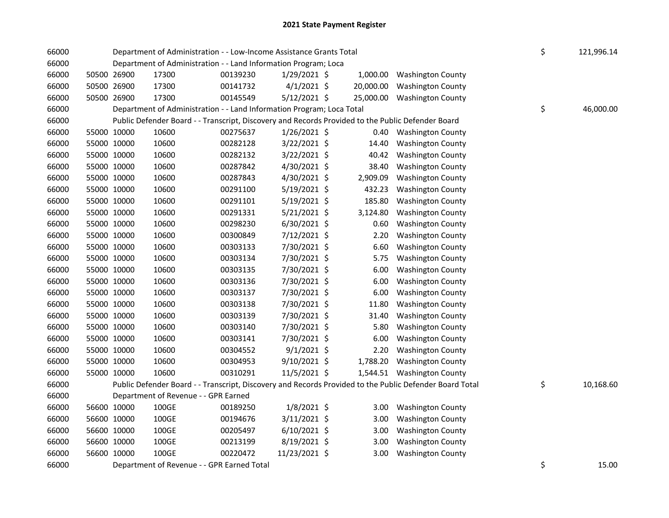| 66000 |             | Department of Administration - - Low-Income Assistance Grants Total                               |          | \$<br>121,996.14 |           |                                                                                                         |                 |
|-------|-------------|---------------------------------------------------------------------------------------------------|----------|------------------|-----------|---------------------------------------------------------------------------------------------------------|-----------------|
| 66000 |             | Department of Administration - - Land Information Program; Loca                                   |          |                  |           |                                                                                                         |                 |
| 66000 | 50500 26900 | 17300                                                                                             | 00139230 | $1/29/2021$ \$   | 1,000.00  | <b>Washington County</b>                                                                                |                 |
| 66000 | 50500 26900 | 17300                                                                                             | 00141732 | $4/1/2021$ \$    | 20,000.00 | <b>Washington County</b>                                                                                |                 |
| 66000 | 50500 26900 | 17300                                                                                             | 00145549 | 5/12/2021 \$     | 25,000.00 | <b>Washington County</b>                                                                                |                 |
| 66000 |             | Department of Administration - - Land Information Program; Loca Total                             |          |                  |           |                                                                                                         | \$<br>46,000.00 |
| 66000 |             | Public Defender Board - - Transcript, Discovery and Records Provided to the Public Defender Board |          |                  |           |                                                                                                         |                 |
| 66000 | 55000 10000 | 10600                                                                                             | 00275637 | $1/26/2021$ \$   | 0.40      | <b>Washington County</b>                                                                                |                 |
| 66000 | 55000 10000 | 10600                                                                                             | 00282128 | 3/22/2021 \$     | 14.40     | <b>Washington County</b>                                                                                |                 |
| 66000 | 55000 10000 | 10600                                                                                             | 00282132 | 3/22/2021 \$     | 40.42     | <b>Washington County</b>                                                                                |                 |
| 66000 | 55000 10000 | 10600                                                                                             | 00287842 | 4/30/2021 \$     | 38.40     | <b>Washington County</b>                                                                                |                 |
| 66000 | 55000 10000 | 10600                                                                                             | 00287843 | 4/30/2021 \$     | 2,909.09  | <b>Washington County</b>                                                                                |                 |
| 66000 | 55000 10000 | 10600                                                                                             | 00291100 | 5/19/2021 \$     | 432.23    | <b>Washington County</b>                                                                                |                 |
| 66000 | 55000 10000 | 10600                                                                                             | 00291101 | 5/19/2021 \$     | 185.80    | <b>Washington County</b>                                                                                |                 |
| 66000 | 55000 10000 | 10600                                                                                             | 00291331 | 5/21/2021 \$     | 3,124.80  | <b>Washington County</b>                                                                                |                 |
| 66000 | 55000 10000 | 10600                                                                                             | 00298230 | 6/30/2021 \$     | 0.60      | <b>Washington County</b>                                                                                |                 |
| 66000 | 55000 10000 | 10600                                                                                             | 00300849 | 7/12/2021 \$     | 2.20      | <b>Washington County</b>                                                                                |                 |
| 66000 | 55000 10000 | 10600                                                                                             | 00303133 | 7/30/2021 \$     | 6.60      | <b>Washington County</b>                                                                                |                 |
| 66000 | 55000 10000 | 10600                                                                                             | 00303134 | 7/30/2021 \$     | 5.75      | <b>Washington County</b>                                                                                |                 |
| 66000 | 55000 10000 | 10600                                                                                             | 00303135 | 7/30/2021 \$     | 6.00      | <b>Washington County</b>                                                                                |                 |
| 66000 | 55000 10000 | 10600                                                                                             | 00303136 | 7/30/2021 \$     | 6.00      | <b>Washington County</b>                                                                                |                 |
| 66000 | 55000 10000 | 10600                                                                                             | 00303137 | 7/30/2021 \$     | 6.00      | <b>Washington County</b>                                                                                |                 |
| 66000 | 55000 10000 | 10600                                                                                             | 00303138 | 7/30/2021 \$     | 11.80     | <b>Washington County</b>                                                                                |                 |
| 66000 | 55000 10000 | 10600                                                                                             | 00303139 | 7/30/2021 \$     | 31.40     | <b>Washington County</b>                                                                                |                 |
| 66000 | 55000 10000 | 10600                                                                                             | 00303140 | 7/30/2021 \$     | 5.80      | <b>Washington County</b>                                                                                |                 |
| 66000 | 55000 10000 | 10600                                                                                             | 00303141 | 7/30/2021 \$     | 6.00      | <b>Washington County</b>                                                                                |                 |
| 66000 | 55000 10000 | 10600                                                                                             | 00304552 | $9/1/2021$ \$    | 2.20      | <b>Washington County</b>                                                                                |                 |
| 66000 | 55000 10000 | 10600                                                                                             | 00304953 | 9/10/2021 \$     | 1,788.20  | <b>Washington County</b>                                                                                |                 |
| 66000 | 55000 10000 | 10600                                                                                             | 00310291 | 11/5/2021 \$     |           | 1,544.51 Washington County                                                                              |                 |
| 66000 |             |                                                                                                   |          |                  |           | Public Defender Board - - Transcript, Discovery and Records Provided to the Public Defender Board Total | \$<br>10,168.60 |
| 66000 |             | Department of Revenue - - GPR Earned                                                              |          |                  |           |                                                                                                         |                 |
| 66000 | 56600 10000 | 100GE                                                                                             | 00189250 | $1/8/2021$ \$    | 3.00      | <b>Washington County</b>                                                                                |                 |
| 66000 | 56600 10000 | 100GE                                                                                             | 00194676 | 3/11/2021 \$     | 3.00      | <b>Washington County</b>                                                                                |                 |
| 66000 | 56600 10000 | 100GE                                                                                             | 00205497 | $6/10/2021$ \$   | 3.00      | <b>Washington County</b>                                                                                |                 |
| 66000 | 56600 10000 | 100GE                                                                                             | 00213199 | 8/19/2021 \$     | 3.00      | <b>Washington County</b>                                                                                |                 |
| 66000 | 56600 10000 | 100GE                                                                                             | 00220472 | 11/23/2021 \$    | 3.00      | <b>Washington County</b>                                                                                |                 |
| 66000 |             | Department of Revenue - - GPR Earned Total                                                        |          |                  |           |                                                                                                         | \$<br>15.00     |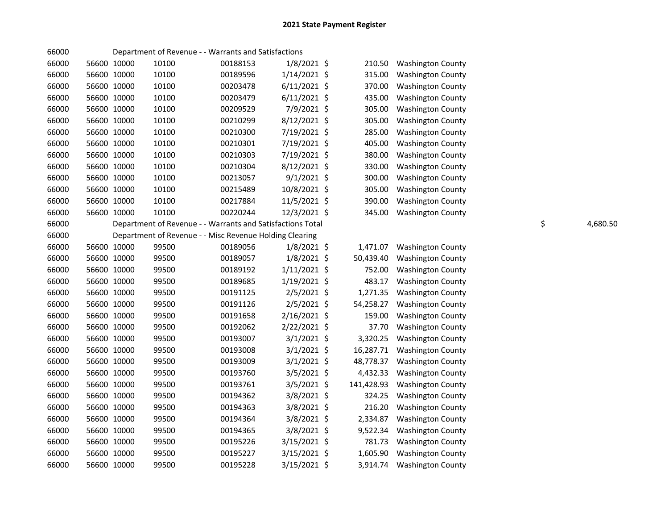| 66000 |             |       | Department of Revenue - - Warrants and Satisfactions       |                |            |                          |    |          |
|-------|-------------|-------|------------------------------------------------------------|----------------|------------|--------------------------|----|----------|
| 66000 | 56600 10000 | 10100 | 00188153                                                   | 1/8/2021 \$    | 210.50     | <b>Washington County</b> |    |          |
| 66000 | 56600 10000 | 10100 | 00189596                                                   | $1/14/2021$ \$ | 315.00     | <b>Washington County</b> |    |          |
| 66000 | 56600 10000 | 10100 | 00203478                                                   | $6/11/2021$ \$ | 370.00     | <b>Washington County</b> |    |          |
| 66000 | 56600 10000 | 10100 | 00203479                                                   | $6/11/2021$ \$ | 435.00     | <b>Washington County</b> |    |          |
| 66000 | 56600 10000 | 10100 | 00209529                                                   | 7/9/2021 \$    | 305.00     | <b>Washington County</b> |    |          |
| 66000 | 56600 10000 | 10100 | 00210299                                                   | 8/12/2021 \$   | 305.00     | <b>Washington County</b> |    |          |
| 66000 | 56600 10000 | 10100 | 00210300                                                   | 7/19/2021 \$   | 285.00     | <b>Washington County</b> |    |          |
| 66000 | 56600 10000 | 10100 | 00210301                                                   | 7/19/2021 \$   | 405.00     | <b>Washington County</b> |    |          |
| 66000 | 56600 10000 | 10100 | 00210303                                                   | 7/19/2021 \$   | 380.00     | <b>Washington County</b> |    |          |
| 66000 | 56600 10000 | 10100 | 00210304                                                   | 8/12/2021 \$   | 330.00     | <b>Washington County</b> |    |          |
| 66000 | 56600 10000 | 10100 | 00213057                                                   | $9/1/2021$ \$  | 300.00     | <b>Washington County</b> |    |          |
| 66000 | 56600 10000 | 10100 | 00215489                                                   | 10/8/2021 \$   | 305.00     | <b>Washington County</b> |    |          |
| 66000 | 56600 10000 | 10100 | 00217884                                                   | 11/5/2021 \$   | 390.00     | <b>Washington County</b> |    |          |
| 66000 | 56600 10000 | 10100 | 00220244                                                   | 12/3/2021 \$   | 345.00     | <b>Washington County</b> |    |          |
| 66000 |             |       | Department of Revenue - - Warrants and Satisfactions Total |                |            |                          | \$ | 4,680.50 |
| 66000 |             |       | Department of Revenue - - Misc Revenue Holding Clearing    |                |            |                          |    |          |
| 66000 | 56600 10000 | 99500 | 00189056                                                   | $1/8/2021$ \$  | 1,471.07   | <b>Washington County</b> |    |          |
| 66000 | 56600 10000 | 99500 | 00189057                                                   | 1/8/2021 \$    | 50,439.40  | <b>Washington County</b> |    |          |
| 66000 | 56600 10000 | 99500 | 00189192                                                   | $1/11/2021$ \$ | 752.00     | <b>Washington County</b> |    |          |
| 66000 | 56600 10000 | 99500 | 00189685                                                   | 1/19/2021 \$   | 483.17     | <b>Washington County</b> |    |          |
| 66000 | 56600 10000 | 99500 | 00191125                                                   | $2/5/2021$ \$  | 1,271.35   | <b>Washington County</b> |    |          |
| 66000 | 56600 10000 | 99500 | 00191126                                                   | 2/5/2021 \$    | 54,258.27  | <b>Washington County</b> |    |          |
| 66000 | 56600 10000 | 99500 | 00191658                                                   | 2/16/2021 \$   | 159.00     | <b>Washington County</b> |    |          |
| 66000 | 56600 10000 | 99500 | 00192062                                                   | 2/22/2021 \$   | 37.70      | <b>Washington County</b> |    |          |
| 66000 | 56600 10000 | 99500 | 00193007                                                   | $3/1/2021$ \$  | 3,320.25   | <b>Washington County</b> |    |          |
| 66000 | 56600 10000 | 99500 | 00193008                                                   | $3/1/2021$ \$  | 16,287.71  | <b>Washington County</b> |    |          |
| 66000 | 56600 10000 | 99500 | 00193009                                                   | $3/1/2021$ \$  | 48,778.37  | <b>Washington County</b> |    |          |
| 66000 | 56600 10000 | 99500 | 00193760                                                   | 3/5/2021 \$    | 4,432.33   | <b>Washington County</b> |    |          |
| 66000 | 56600 10000 | 99500 | 00193761                                                   | 3/5/2021 \$    | 141,428.93 | <b>Washington County</b> |    |          |
| 66000 | 56600 10000 | 99500 | 00194362                                                   | 3/8/2021 \$    | 324.25     | <b>Washington County</b> |    |          |
| 66000 | 56600 10000 | 99500 | 00194363                                                   | $3/8/2021$ \$  | 216.20     | <b>Washington County</b> |    |          |
| 66000 | 56600 10000 | 99500 | 00194364                                                   | 3/8/2021 \$    | 2,334.87   | <b>Washington County</b> |    |          |
| 66000 | 56600 10000 | 99500 | 00194365                                                   | 3/8/2021 \$    | 9,522.34   | <b>Washington County</b> |    |          |
| 66000 | 56600 10000 | 99500 | 00195226                                                   | 3/15/2021 \$   | 781.73     | <b>Washington County</b> |    |          |
| 66000 | 56600 10000 | 99500 | 00195227                                                   | 3/15/2021 \$   | 1,605.90   | <b>Washington County</b> |    |          |
| 66000 | 56600 10000 | 99500 | 00195228                                                   | 3/15/2021 \$   | 3,914.74   | <b>Washington County</b> |    |          |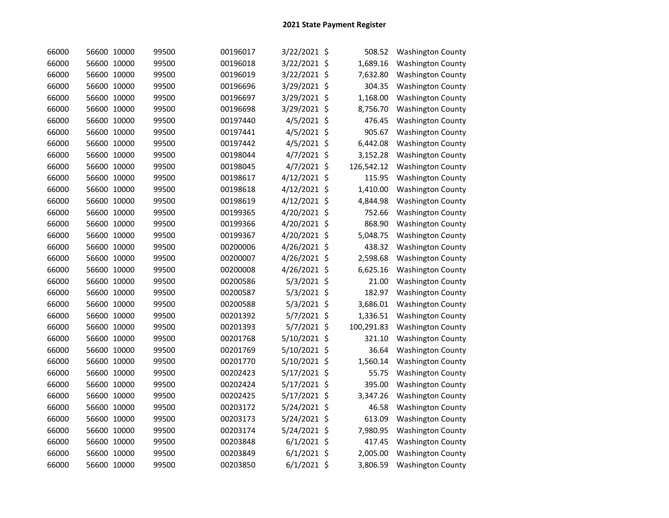| 66000 | 56600 10000 | 99500 | 00196017 | 3/22/2021 \$  | 508.52           | <b>Washington County</b> |
|-------|-------------|-------|----------|---------------|------------------|--------------------------|
| 66000 | 56600 10000 | 99500 | 00196018 | 3/22/2021     | \$<br>1,689.16   | <b>Washington County</b> |
| 66000 | 56600 10000 | 99500 | 00196019 | 3/22/2021     | \$<br>7,632.80   | <b>Washington County</b> |
| 66000 | 56600 10000 | 99500 | 00196696 | 3/29/2021     | \$<br>304.35     | <b>Washington County</b> |
| 66000 | 56600 10000 | 99500 | 00196697 | 3/29/2021     | \$<br>1,168.00   | <b>Washington County</b> |
| 66000 | 56600 10000 | 99500 | 00196698 | 3/29/2021     | \$<br>8,756.70   | <b>Washington County</b> |
| 66000 | 56600 10000 | 99500 | 00197440 | 4/5/2021      | \$<br>476.45     | <b>Washington County</b> |
| 66000 | 56600 10000 | 99500 | 00197441 | 4/5/2021 \$   | 905.67           | <b>Washington County</b> |
| 66000 | 56600 10000 | 99500 | 00197442 | 4/5/2021 \$   | 6,442.08         | <b>Washington County</b> |
| 66000 | 56600 10000 | 99500 | 00198044 | 4/7/2021 \$   | 3,152.28         | <b>Washington County</b> |
| 66000 | 56600 10000 | 99500 | 00198045 | 4/7/2021 \$   | 126,542.12       | <b>Washington County</b> |
| 66000 | 56600 10000 | 99500 | 00198617 | 4/12/2021 \$  | 115.95           | <b>Washington County</b> |
| 66000 | 56600 10000 | 99500 | 00198618 | 4/12/2021 \$  | 1,410.00         | <b>Washington County</b> |
| 66000 | 56600 10000 | 99500 | 00198619 | 4/12/2021 \$  | 4,844.98         | <b>Washington County</b> |
| 66000 | 56600 10000 | 99500 | 00199365 | 4/20/2021     | \$<br>752.66     | <b>Washington County</b> |
| 66000 | 56600 10000 | 99500 | 00199366 | 4/20/2021 \$  | 868.90           | <b>Washington County</b> |
| 66000 | 56600 10000 | 99500 | 00199367 | 4/20/2021 \$  | 5,048.75         | <b>Washington County</b> |
| 66000 | 56600 10000 | 99500 | 00200006 | 4/26/2021 \$  | 438.32           | <b>Washington County</b> |
| 66000 | 56600 10000 | 99500 | 00200007 | 4/26/2021 \$  | 2,598.68         | <b>Washington County</b> |
| 66000 | 56600 10000 | 99500 | 00200008 | 4/26/2021 \$  | 6,625.16         | <b>Washington County</b> |
| 66000 | 56600 10000 | 99500 | 00200586 | 5/3/2021 \$   | 21.00            | <b>Washington County</b> |
| 66000 | 56600 10000 | 99500 | 00200587 | 5/3/2021 \$   | 182.97           | <b>Washington County</b> |
| 66000 | 56600 10000 | 99500 | 00200588 | 5/3/2021      | \$<br>3,686.01   | <b>Washington County</b> |
| 66000 | 56600 10000 | 99500 | 00201392 | 5/7/2021      | \$<br>1,336.51   | <b>Washington County</b> |
| 66000 | 56600 10000 | 99500 | 00201393 | 5/7/2021      | \$<br>100,291.83 | <b>Washington County</b> |
| 66000 | 56600 10000 | 99500 | 00201768 | 5/10/2021     | \$<br>321.10     | <b>Washington County</b> |
| 66000 | 56600 10000 | 99500 | 00201769 | 5/10/2021     | \$<br>36.64      | <b>Washington County</b> |
| 66000 | 56600 10000 | 99500 | 00201770 | 5/10/2021     | \$<br>1,560.14   | <b>Washington County</b> |
| 66000 | 56600 10000 | 99500 | 00202423 | 5/17/2021     | \$<br>55.75      | <b>Washington County</b> |
| 66000 | 56600 10000 | 99500 | 00202424 | 5/17/2021     | \$<br>395.00     | <b>Washington County</b> |
| 66000 | 56600 10000 | 99500 | 00202425 | 5/17/2021     | \$<br>3,347.26   | <b>Washington County</b> |
| 66000 | 56600 10000 | 99500 | 00203172 | 5/24/2021     | \$<br>46.58      | <b>Washington County</b> |
| 66000 | 56600 10000 | 99500 | 00203173 | 5/24/2021 \$  | 613.09           | <b>Washington County</b> |
| 66000 | 56600 10000 | 99500 | 00203174 | 5/24/2021     | \$<br>7,980.95   | <b>Washington County</b> |
| 66000 | 56600 10000 | 99500 | 00203848 | 6/1/2021      | \$<br>417.45     | <b>Washington County</b> |
| 66000 | 56600 10000 | 99500 | 00203849 | 6/1/2021      | \$<br>2,005.00   | <b>Washington County</b> |
| 66000 | 56600 10000 | 99500 | 00203850 | $6/1/2021$ \$ | 3,806.59         | <b>Washington County</b> |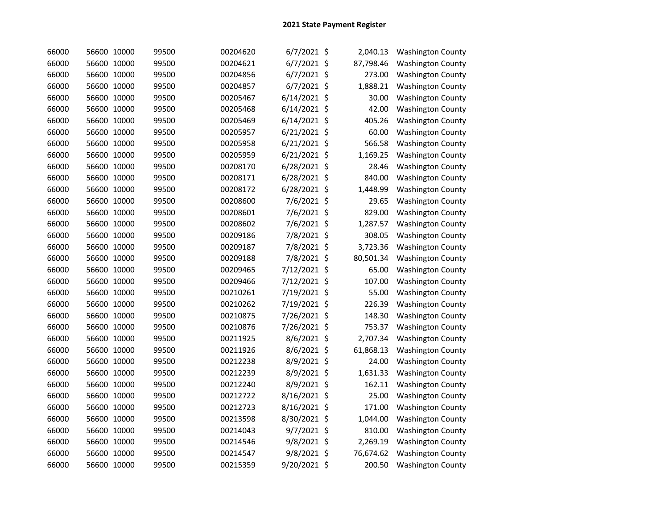| 66000 | 56600 10000 | 99500 | 00204620 | $6/7/2021$ \$  | 2,040.13        | <b>Washington County</b> |
|-------|-------------|-------|----------|----------------|-----------------|--------------------------|
| 66000 | 56600 10000 | 99500 | 00204621 | $6/7/2021$ \$  | 87,798.46       | <b>Washington County</b> |
| 66000 | 56600 10000 | 99500 | 00204856 | 6/7/2021 \$    | 273.00          | <b>Washington County</b> |
| 66000 | 56600 10000 | 99500 | 00204857 | 6/7/2021 \$    | 1,888.21        | <b>Washington County</b> |
| 66000 | 56600 10000 | 99500 | 00205467 | 6/14/2021      | \$<br>30.00     | <b>Washington County</b> |
| 66000 | 56600 10000 | 99500 | 00205468 | 6/14/2021      | \$<br>42.00     | <b>Washington County</b> |
| 66000 | 56600 10000 | 99500 | 00205469 | 6/14/2021      | \$<br>405.26    | <b>Washington County</b> |
| 66000 | 56600 10000 | 99500 | 00205957 | $6/21/2021$ \$ | 60.00           | <b>Washington County</b> |
| 66000 | 56600 10000 | 99500 | 00205958 | 6/21/2021 \$   | 566.58          | <b>Washington County</b> |
| 66000 | 56600 10000 | 99500 | 00205959 | 6/21/2021 \$   | 1,169.25        | <b>Washington County</b> |
| 66000 | 56600 10000 | 99500 | 00208170 | 6/28/2021 \$   | 28.46           | <b>Washington County</b> |
| 66000 | 56600 10000 | 99500 | 00208171 | 6/28/2021 \$   | 840.00          | <b>Washington County</b> |
| 66000 | 56600 10000 | 99500 | 00208172 | 6/28/2021 \$   | 1,448.99        | <b>Washington County</b> |
| 66000 | 56600 10000 | 99500 | 00208600 | 7/6/2021 \$    | 29.65           | <b>Washington County</b> |
| 66000 | 56600 10000 | 99500 | 00208601 | 7/6/2021 \$    | 829.00          | <b>Washington County</b> |
| 66000 | 56600 10000 | 99500 | 00208602 | 7/6/2021 \$    | 1,287.57        | <b>Washington County</b> |
| 66000 | 56600 10000 | 99500 | 00209186 | 7/8/2021 \$    | 308.05          | <b>Washington County</b> |
| 66000 | 56600 10000 | 99500 | 00209187 | 7/8/2021 \$    | 3,723.36        | <b>Washington County</b> |
| 66000 | 56600 10000 | 99500 | 00209188 | 7/8/2021 \$    | 80,501.34       | <b>Washington County</b> |
| 66000 | 56600 10000 | 99500 | 00209465 | 7/12/2021 \$   | 65.00           | <b>Washington County</b> |
| 66000 | 56600 10000 | 99500 | 00209466 | 7/12/2021 \$   | 107.00          | <b>Washington County</b> |
| 66000 | 56600 10000 | 99500 | 00210261 | 7/19/2021 \$   | 55.00           | <b>Washington County</b> |
| 66000 | 56600 10000 | 99500 | 00210262 | 7/19/2021 \$   | 226.39          | <b>Washington County</b> |
| 66000 | 56600 10000 | 99500 | 00210875 | 7/26/2021      | \$<br>148.30    | <b>Washington County</b> |
| 66000 | 56600 10000 | 99500 | 00210876 | 7/26/2021      | \$<br>753.37    | <b>Washington County</b> |
| 66000 | 56600 10000 | 99500 | 00211925 | 8/6/2021       | \$<br>2,707.34  | <b>Washington County</b> |
| 66000 | 56600 10000 | 99500 | 00211926 | 8/6/2021       | \$<br>61,868.13 | <b>Washington County</b> |
| 66000 | 56600 10000 | 99500 | 00212238 | 8/9/2021       | \$<br>24.00     | <b>Washington County</b> |
| 66000 | 56600 10000 | 99500 | 00212239 | 8/9/2021 \$    | 1,631.33        | <b>Washington County</b> |
| 66000 | 56600 10000 | 99500 | 00212240 | 8/9/2021 \$    | 162.11          | <b>Washington County</b> |
| 66000 | 56600 10000 | 99500 | 00212722 | 8/16/2021 \$   | 25.00           | <b>Washington County</b> |
| 66000 | 56600 10000 | 99500 | 00212723 | 8/16/2021 \$   | 171.00          | <b>Washington County</b> |
| 66000 | 56600 10000 | 99500 | 00213598 | 8/30/2021 \$   | 1,044.00        | <b>Washington County</b> |
| 66000 | 56600 10000 | 99500 | 00214043 | 9/7/2021 \$    | 810.00          | <b>Washington County</b> |
| 66000 | 56600 10000 | 99500 | 00214546 | 9/8/2021 \$    | 2,269.19        | <b>Washington County</b> |
| 66000 | 56600 10000 | 99500 | 00214547 | 9/8/2021 \$    | 76,674.62       | <b>Washington County</b> |
| 66000 | 56600 10000 | 99500 | 00215359 | 9/20/2021 \$   | 200.50          | <b>Washington County</b> |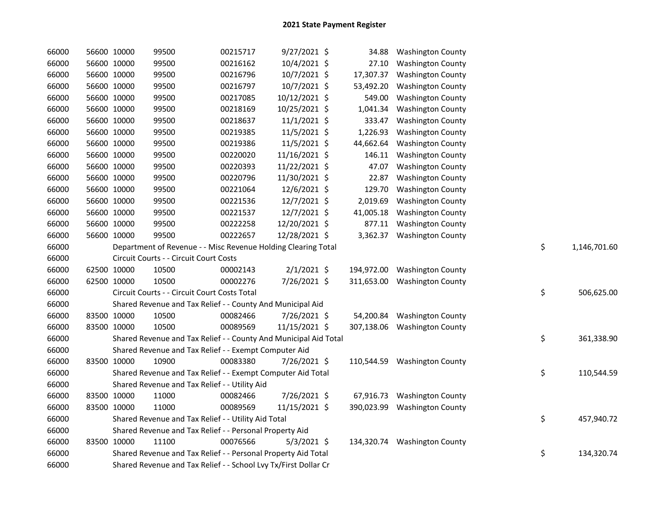| 66000 | 56600 10000 | 99500                                                            | 00215717 | 9/27/2021 \$   | 34.88      | <b>Washington County</b>     |    |              |
|-------|-------------|------------------------------------------------------------------|----------|----------------|------------|------------------------------|----|--------------|
| 66000 | 56600 10000 | 99500                                                            | 00216162 | 10/4/2021 \$   | 27.10      | <b>Washington County</b>     |    |              |
| 66000 | 56600 10000 | 99500                                                            | 00216796 | 10/7/2021 \$   | 17,307.37  | <b>Washington County</b>     |    |              |
| 66000 | 56600 10000 | 99500                                                            | 00216797 | 10/7/2021 \$   | 53,492.20  | <b>Washington County</b>     |    |              |
| 66000 | 56600 10000 | 99500                                                            | 00217085 | 10/12/2021 \$  | 549.00     | <b>Washington County</b>     |    |              |
| 66000 | 56600 10000 | 99500                                                            | 00218169 | 10/25/2021 \$  | 1,041.34   | <b>Washington County</b>     |    |              |
| 66000 | 56600 10000 | 99500                                                            | 00218637 | $11/1/2021$ \$ | 333.47     | <b>Washington County</b>     |    |              |
| 66000 | 56600 10000 | 99500                                                            | 00219385 | 11/5/2021 \$   | 1,226.93   | <b>Washington County</b>     |    |              |
| 66000 | 56600 10000 | 99500                                                            | 00219386 | 11/5/2021 \$   | 44,662.64  | <b>Washington County</b>     |    |              |
| 66000 | 56600 10000 | 99500                                                            | 00220020 | 11/16/2021 \$  | 146.11     | <b>Washington County</b>     |    |              |
| 66000 | 56600 10000 | 99500                                                            | 00220393 | 11/22/2021 \$  | 47.07      | <b>Washington County</b>     |    |              |
| 66000 | 56600 10000 | 99500                                                            | 00220796 | 11/30/2021 \$  | 22.87      | <b>Washington County</b>     |    |              |
| 66000 | 56600 10000 | 99500                                                            | 00221064 | 12/6/2021 \$   | 129.70     | <b>Washington County</b>     |    |              |
| 66000 | 56600 10000 | 99500                                                            | 00221536 | 12/7/2021 \$   | 2,019.69   | <b>Washington County</b>     |    |              |
| 66000 | 56600 10000 | 99500                                                            | 00221537 | 12/7/2021 \$   | 41,005.18  | <b>Washington County</b>     |    |              |
| 66000 | 56600 10000 | 99500                                                            | 00222258 | 12/20/2021 \$  | 877.11     | <b>Washington County</b>     |    |              |
| 66000 | 56600 10000 | 99500                                                            | 00222657 | 12/28/2021 \$  | 3,362.37   | <b>Washington County</b>     |    |              |
| 66000 |             | Department of Revenue - - Misc Revenue Holding Clearing Total    |          |                |            |                              | \$ | 1,146,701.60 |
| 66000 |             | Circuit Courts - - Circuit Court Costs                           |          |                |            |                              |    |              |
| 66000 | 62500 10000 | 10500                                                            | 00002143 | $2/1/2021$ \$  | 194,972.00 | <b>Washington County</b>     |    |              |
| 66000 | 62500 10000 | 10500                                                            | 00002276 | 7/26/2021 \$   | 311,653.00 | <b>Washington County</b>     |    |              |
| 66000 |             | Circuit Courts - - Circuit Court Costs Total                     |          |                |            |                              | \$ | 506,625.00   |
| 66000 |             | Shared Revenue and Tax Relief - - County And Municipal Aid       |          |                |            |                              |    |              |
| 66000 | 83500 10000 | 10500                                                            | 00082466 | 7/26/2021 \$   | 54,200.84  | <b>Washington County</b>     |    |              |
| 66000 | 83500 10000 | 10500                                                            | 00089569 | 11/15/2021 \$  | 307,138.06 | <b>Washington County</b>     |    |              |
| 66000 |             | Shared Revenue and Tax Relief - - County And Municipal Aid Total |          |                |            |                              | \$ | 361,338.90   |
| 66000 |             | Shared Revenue and Tax Relief - - Exempt Computer Aid            |          |                |            |                              |    |              |
| 66000 | 83500 10000 | 10900                                                            | 00083380 | 7/26/2021 \$   |            | 110,544.59 Washington County |    |              |
| 66000 |             | Shared Revenue and Tax Relief - - Exempt Computer Aid Total      |          |                |            |                              | \$ | 110,544.59   |
| 66000 |             | Shared Revenue and Tax Relief - - Utility Aid                    |          |                |            |                              |    |              |
| 66000 | 83500 10000 | 11000                                                            | 00082466 | 7/26/2021 \$   | 67,916.73  | <b>Washington County</b>     |    |              |
| 66000 | 83500 10000 | 11000                                                            | 00089569 | 11/15/2021 \$  | 390,023.99 | <b>Washington County</b>     |    |              |
| 66000 |             | Shared Revenue and Tax Relief - - Utility Aid Total              |          |                |            |                              | \$ | 457,940.72   |
| 66000 |             | Shared Revenue and Tax Relief - - Personal Property Aid          |          |                |            |                              |    |              |
| 66000 | 83500 10000 | 11100                                                            | 00076566 | $5/3/2021$ \$  |            | 134,320.74 Washington County |    |              |
| 66000 |             | Shared Revenue and Tax Relief - - Personal Property Aid Total    |          |                |            |                              | \$ | 134,320.74   |
| 66000 |             | Shared Revenue and Tax Relief - - School Lvy Tx/First Dollar Cr  |          |                |            |                              |    |              |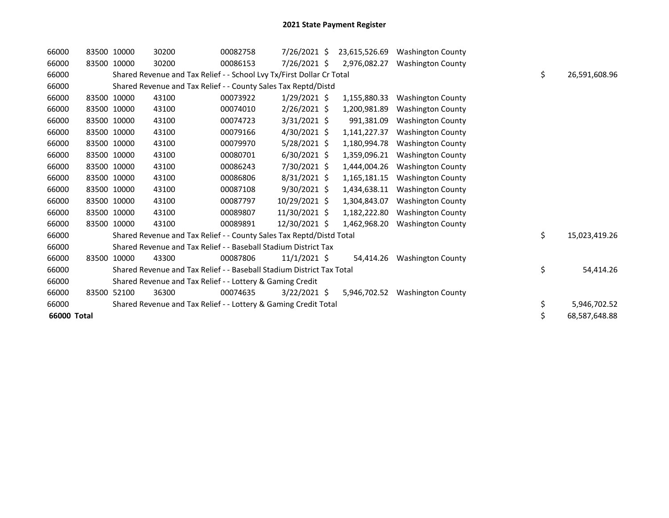| 66000       | 83500 10000 |             | 30200                                                                 | 00082758 | 7/26/2021 \$   | 23,615,526.69 | <b>Washington County</b> |    |               |
|-------------|-------------|-------------|-----------------------------------------------------------------------|----------|----------------|---------------|--------------------------|----|---------------|
| 66000       |             | 83500 10000 | 30200                                                                 | 00086153 | 7/26/2021 \$   | 2,976,082.27  | <b>Washington County</b> |    |               |
| 66000       |             |             | Shared Revenue and Tax Relief - - School Lvy Tx/First Dollar Cr Total |          |                |               |                          | \$ | 26,591,608.96 |
| 66000       |             |             | Shared Revenue and Tax Relief - - County Sales Tax Reptd/Distd        |          |                |               |                          |    |               |
| 66000       |             | 83500 10000 | 43100                                                                 | 00073922 | $1/29/2021$ \$ | 1,155,880.33  | <b>Washington County</b> |    |               |
| 66000       |             | 83500 10000 | 43100                                                                 | 00074010 | 2/26/2021 \$   | 1,200,981.89  | <b>Washington County</b> |    |               |
| 66000       |             | 83500 10000 | 43100                                                                 | 00074723 | $3/31/2021$ \$ | 991,381.09    | <b>Washington County</b> |    |               |
| 66000       |             | 83500 10000 | 43100                                                                 | 00079166 | 4/30/2021 \$   | 1,141,227.37  | <b>Washington County</b> |    |               |
| 66000       |             | 83500 10000 | 43100                                                                 | 00079970 | $5/28/2021$ \$ | 1,180,994.78  | <b>Washington County</b> |    |               |
| 66000       | 83500 10000 |             | 43100                                                                 | 00080701 | $6/30/2021$ \$ | 1,359,096.21  | <b>Washington County</b> |    |               |
| 66000       | 83500 10000 |             | 43100                                                                 | 00086243 | 7/30/2021 \$   | 1,444,004.26  | <b>Washington County</b> |    |               |
| 66000       |             | 83500 10000 | 43100                                                                 | 00086806 | $8/31/2021$ \$ | 1,165,181.15  | <b>Washington County</b> |    |               |
| 66000       | 83500 10000 |             | 43100                                                                 | 00087108 | $9/30/2021$ \$ | 1,434,638.11  | <b>Washington County</b> |    |               |
| 66000       | 83500 10000 |             | 43100                                                                 | 00087797 | 10/29/2021 \$  | 1,304,843.07  | <b>Washington County</b> |    |               |
| 66000       | 83500 10000 |             | 43100                                                                 | 00089807 | 11/30/2021 \$  | 1,182,222.80  | <b>Washington County</b> |    |               |
| 66000       | 83500 10000 |             | 43100                                                                 | 00089891 | 12/30/2021 \$  | 1,462,968.20  | <b>Washington County</b> |    |               |
| 66000       |             |             | Shared Revenue and Tax Relief - - County Sales Tax Reptd/Distd Total  |          |                |               |                          | \$ | 15,023,419.26 |
| 66000       |             |             | Shared Revenue and Tax Relief - - Baseball Stadium District Tax       |          |                |               |                          |    |               |
| 66000       |             | 83500 10000 | 43300                                                                 | 00087806 | $11/1/2021$ \$ | 54.414.26     | <b>Washington County</b> |    |               |
| 66000       |             |             | Shared Revenue and Tax Relief - - Baseball Stadium District Tax Total |          |                |               |                          | \$ | 54,414.26     |
| 66000       |             |             | Shared Revenue and Tax Relief - - Lottery & Gaming Credit             |          |                |               |                          |    |               |
| 66000       |             | 83500 52100 | 36300                                                                 | 00074635 | $3/22/2021$ \$ | 5,946,702.52  | <b>Washington County</b> |    |               |
| 66000       |             |             | Shared Revenue and Tax Relief - - Lottery & Gaming Credit Total       |          |                |               |                          | \$ | 5,946,702.52  |
| 66000 Total |             |             |                                                                       |          |                |               |                          | \$ | 68,587,648.88 |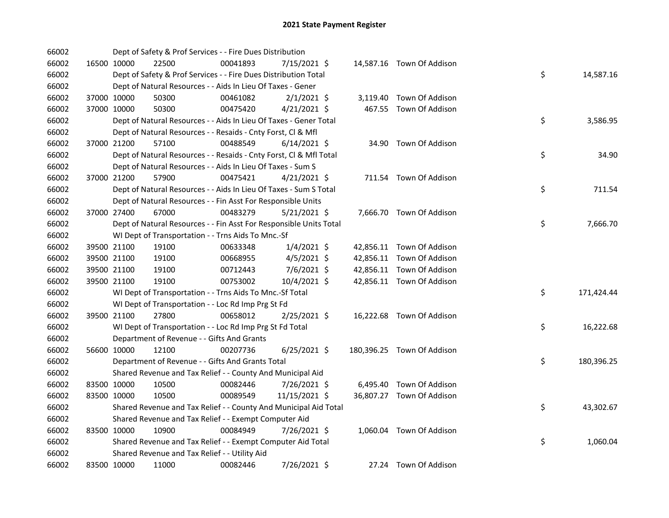| 66002 |             |             | Dept of Safety & Prof Services - - Fire Dues Distribution          |          |                |  |                            |    |            |
|-------|-------------|-------------|--------------------------------------------------------------------|----------|----------------|--|----------------------------|----|------------|
| 66002 |             | 16500 10000 | 22500                                                              | 00041893 | 7/15/2021 \$   |  | 14,587.16 Town Of Addison  |    |            |
| 66002 |             |             | Dept of Safety & Prof Services - - Fire Dues Distribution Total    |          |                |  |                            | \$ | 14,587.16  |
| 66002 |             |             | Dept of Natural Resources - - Aids In Lieu Of Taxes - Gener        |          |                |  |                            |    |            |
| 66002 |             | 37000 10000 | 50300                                                              | 00461082 | $2/1/2021$ \$  |  | 3,119.40 Town Of Addison   |    |            |
| 66002 |             | 37000 10000 | 50300                                                              | 00475420 | $4/21/2021$ \$ |  | 467.55 Town Of Addison     |    |            |
| 66002 |             |             | Dept of Natural Resources - - Aids In Lieu Of Taxes - Gener Total  |          |                |  |                            | \$ | 3,586.95   |
| 66002 |             |             | Dept of Natural Resources - - Resaids - Cnty Forst, Cl & Mfl       |          |                |  |                            |    |            |
| 66002 |             | 37000 21200 | 57100                                                              | 00488549 | 6/14/2021 \$   |  | 34.90 Town Of Addison      |    |            |
| 66002 |             |             | Dept of Natural Resources - - Resaids - Cnty Forst, Cl & Mfl Total |          |                |  |                            | \$ | 34.90      |
| 66002 |             |             | Dept of Natural Resources - - Aids In Lieu Of Taxes - Sum S        |          |                |  |                            |    |            |
| 66002 |             | 37000 21200 | 57900                                                              | 00475421 | $4/21/2021$ \$ |  | 711.54 Town Of Addison     |    |            |
| 66002 |             |             | Dept of Natural Resources - - Aids In Lieu Of Taxes - Sum S Total  |          |                |  |                            | \$ | 711.54     |
| 66002 |             |             | Dept of Natural Resources - - Fin Asst For Responsible Units       |          |                |  |                            |    |            |
| 66002 |             | 37000 27400 | 67000                                                              | 00483279 | $5/21/2021$ \$ |  | 7,666.70 Town Of Addison   |    |            |
| 66002 |             |             | Dept of Natural Resources - - Fin Asst For Responsible Units Total |          |                |  |                            | \$ | 7,666.70   |
| 66002 |             |             | WI Dept of Transportation - - Trns Aids To Mnc.-Sf                 |          |                |  |                            |    |            |
| 66002 |             | 39500 21100 | 19100                                                              | 00633348 | $1/4/2021$ \$  |  | 42,856.11 Town Of Addison  |    |            |
| 66002 |             | 39500 21100 | 19100                                                              | 00668955 | $4/5/2021$ \$  |  | 42,856.11 Town Of Addison  |    |            |
| 66002 |             | 39500 21100 | 19100                                                              | 00712443 | 7/6/2021 \$    |  | 42,856.11 Town Of Addison  |    |            |
| 66002 |             | 39500 21100 | 19100                                                              | 00753002 | 10/4/2021 \$   |  | 42,856.11 Town Of Addison  |    |            |
| 66002 |             |             | WI Dept of Transportation - - Trns Aids To Mnc.-Sf Total           |          |                |  |                            | \$ | 171,424.44 |
| 66002 |             |             | WI Dept of Transportation - - Loc Rd Imp Prg St Fd                 |          |                |  |                            |    |            |
| 66002 |             | 39500 21100 | 27800                                                              | 00658012 | 2/25/2021 \$   |  | 16,222.68 Town Of Addison  |    |            |
| 66002 |             |             | WI Dept of Transportation - - Loc Rd Imp Prg St Fd Total           |          |                |  |                            | \$ | 16,222.68  |
| 66002 |             |             | Department of Revenue - - Gifts And Grants                         |          |                |  |                            |    |            |
| 66002 |             | 56600 10000 | 12100                                                              | 00207736 | $6/25/2021$ \$ |  | 180,396.25 Town Of Addison |    |            |
| 66002 |             |             | Department of Revenue - - Gifts And Grants Total                   |          |                |  |                            | \$ | 180,396.25 |
| 66002 |             |             | Shared Revenue and Tax Relief - - County And Municipal Aid         |          |                |  |                            |    |            |
| 66002 |             | 83500 10000 | 10500                                                              | 00082446 | 7/26/2021 \$   |  | 6,495.40 Town Of Addison   |    |            |
| 66002 | 83500 10000 |             | 10500                                                              | 00089549 | 11/15/2021 \$  |  | 36,807.27 Town Of Addison  |    |            |
| 66002 |             |             | Shared Revenue and Tax Relief - - County And Municipal Aid Total   |          |                |  |                            | \$ | 43,302.67  |
| 66002 |             |             | Shared Revenue and Tax Relief - - Exempt Computer Aid              |          |                |  |                            |    |            |
| 66002 |             | 83500 10000 | 10900                                                              | 00084949 | 7/26/2021 \$   |  | 1,060.04 Town Of Addison   |    |            |
| 66002 |             |             | Shared Revenue and Tax Relief - - Exempt Computer Aid Total        |          |                |  |                            | \$ | 1,060.04   |
| 66002 |             |             | Shared Revenue and Tax Relief - - Utility Aid                      |          |                |  |                            |    |            |
| 66002 |             | 83500 10000 | 11000                                                              | 00082446 | 7/26/2021 \$   |  | 27.24 Town Of Addison      |    |            |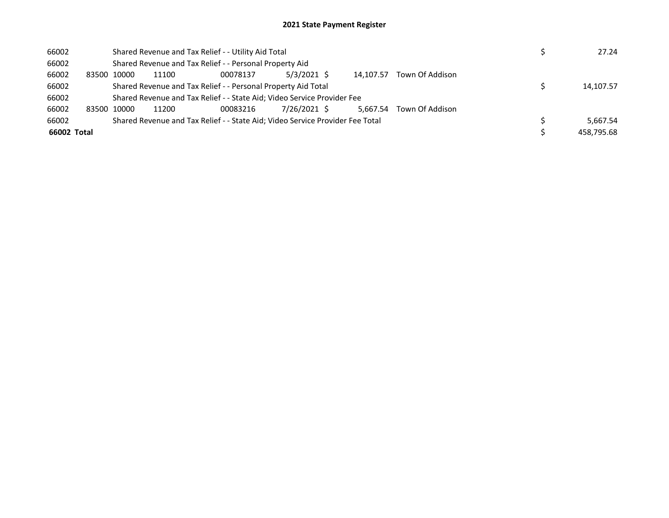| 66002       |             | Shared Revenue and Tax Relief - - Utility Aid Total | 27.24                                                                         |              |           |                 |            |
|-------------|-------------|-----------------------------------------------------|-------------------------------------------------------------------------------|--------------|-----------|-----------------|------------|
| 66002       |             |                                                     | Shared Revenue and Tax Relief - - Personal Property Aid                       |              |           |                 |            |
| 66002       | 83500 10000 | 11100                                               | 00078137                                                                      | 5/3/2021 \$  | 14.107.57 | Town Of Addison |            |
| 66002       |             |                                                     | Shared Revenue and Tax Relief - - Personal Property Aid Total                 |              |           |                 | 14,107.57  |
| 66002       |             |                                                     | Shared Revenue and Tax Relief - - State Aid; Video Service Provider Fee       |              |           |                 |            |
| 66002       | 83500 10000 | 11200                                               | 00083216                                                                      | 7/26/2021 \$ | 5.667.54  | Town Of Addison |            |
| 66002       |             |                                                     | Shared Revenue and Tax Relief - - State Aid; Video Service Provider Fee Total |              |           |                 | 5,667.54   |
| 66002 Total |             |                                                     |                                                                               |              |           |                 | 458,795.68 |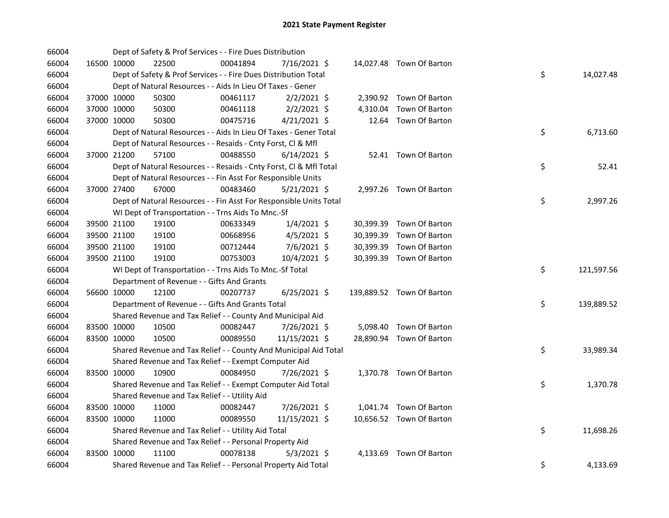| 66004 |             |             | Dept of Safety & Prof Services - - Fire Dues Distribution          |          |                |  |                           |    |            |
|-------|-------------|-------------|--------------------------------------------------------------------|----------|----------------|--|---------------------------|----|------------|
| 66004 |             | 16500 10000 | 22500                                                              | 00041894 | 7/16/2021 \$   |  | 14,027.48 Town Of Barton  |    |            |
| 66004 |             |             | Dept of Safety & Prof Services - - Fire Dues Distribution Total    |          |                |  |                           | \$ | 14,027.48  |
| 66004 |             |             | Dept of Natural Resources - - Aids In Lieu Of Taxes - Gener        |          |                |  |                           |    |            |
| 66004 | 37000 10000 |             | 50300                                                              | 00461117 | $2/2/2021$ \$  |  | 2,390.92 Town Of Barton   |    |            |
| 66004 | 37000 10000 |             | 50300                                                              | 00461118 | $2/2/2021$ \$  |  | 4,310.04 Town Of Barton   |    |            |
| 66004 | 37000 10000 |             | 50300                                                              | 00475716 | $4/21/2021$ \$ |  | 12.64 Town Of Barton      |    |            |
| 66004 |             |             | Dept of Natural Resources - - Aids In Lieu Of Taxes - Gener Total  |          |                |  |                           | \$ | 6,713.60   |
| 66004 |             |             | Dept of Natural Resources - - Resaids - Cnty Forst, Cl & Mfl       |          |                |  |                           |    |            |
| 66004 |             | 37000 21200 | 57100                                                              | 00488550 | $6/14/2021$ \$ |  | 52.41 Town Of Barton      |    |            |
| 66004 |             |             | Dept of Natural Resources - - Resaids - Cnty Forst, Cl & Mfl Total |          |                |  |                           | \$ | 52.41      |
| 66004 |             |             | Dept of Natural Resources - - Fin Asst For Responsible Units       |          |                |  |                           |    |            |
| 66004 |             | 37000 27400 | 67000                                                              | 00483460 | $5/21/2021$ \$ |  | 2,997.26 Town Of Barton   |    |            |
| 66004 |             |             | Dept of Natural Resources - - Fin Asst For Responsible Units Total |          |                |  |                           | \$ | 2,997.26   |
| 66004 |             |             | WI Dept of Transportation - - Trns Aids To Mnc.-Sf                 |          |                |  |                           |    |            |
| 66004 |             | 39500 21100 | 19100                                                              | 00633349 | $1/4/2021$ \$  |  | 30,399.39 Town Of Barton  |    |            |
| 66004 | 39500 21100 |             | 19100                                                              | 00668956 | $4/5/2021$ \$  |  | 30,399.39 Town Of Barton  |    |            |
| 66004 | 39500 21100 |             | 19100                                                              | 00712444 | $7/6/2021$ \$  |  | 30,399.39 Town Of Barton  |    |            |
| 66004 |             | 39500 21100 | 19100                                                              | 00753003 | 10/4/2021 \$   |  | 30,399.39 Town Of Barton  |    |            |
| 66004 |             |             | WI Dept of Transportation - - Trns Aids To Mnc.-Sf Total           |          |                |  |                           | \$ | 121,597.56 |
| 66004 |             |             | Department of Revenue - - Gifts And Grants                         |          |                |  |                           |    |            |
| 66004 |             | 56600 10000 | 12100                                                              | 00207737 | $6/25/2021$ \$ |  | 139,889.52 Town Of Barton |    |            |
| 66004 |             |             | Department of Revenue - - Gifts And Grants Total                   |          |                |  |                           | \$ | 139,889.52 |
| 66004 |             |             | Shared Revenue and Tax Relief - - County And Municipal Aid         |          |                |  |                           |    |            |
| 66004 | 83500 10000 |             | 10500                                                              | 00082447 | 7/26/2021 \$   |  | 5,098.40 Town Of Barton   |    |            |
| 66004 | 83500 10000 |             | 10500                                                              | 00089550 | 11/15/2021 \$  |  | 28,890.94 Town Of Barton  |    |            |
| 66004 |             |             | Shared Revenue and Tax Relief - - County And Municipal Aid Total   |          |                |  |                           | \$ | 33,989.34  |
| 66004 |             |             | Shared Revenue and Tax Relief - - Exempt Computer Aid              |          |                |  |                           |    |            |
| 66004 | 83500 10000 |             | 10900                                                              | 00084950 | 7/26/2021 \$   |  | 1,370.78 Town Of Barton   |    |            |
| 66004 |             |             | Shared Revenue and Tax Relief - - Exempt Computer Aid Total        |          |                |  |                           | \$ | 1,370.78   |
| 66004 |             |             | Shared Revenue and Tax Relief - - Utility Aid                      |          |                |  |                           |    |            |
| 66004 |             | 83500 10000 | 11000                                                              | 00082447 | 7/26/2021 \$   |  | 1,041.74 Town Of Barton   |    |            |
| 66004 | 83500 10000 |             | 11000                                                              | 00089550 | 11/15/2021 \$  |  | 10,656.52 Town Of Barton  |    |            |
| 66004 |             |             | Shared Revenue and Tax Relief - - Utility Aid Total                |          |                |  |                           | \$ | 11,698.26  |
| 66004 |             |             | Shared Revenue and Tax Relief - - Personal Property Aid            |          |                |  |                           |    |            |
| 66004 | 83500 10000 |             | 11100                                                              | 00078138 | $5/3/2021$ \$  |  | 4,133.69 Town Of Barton   |    |            |
| 66004 |             |             | Shared Revenue and Tax Relief - - Personal Property Aid Total      |          |                |  |                           | \$ | 4,133.69   |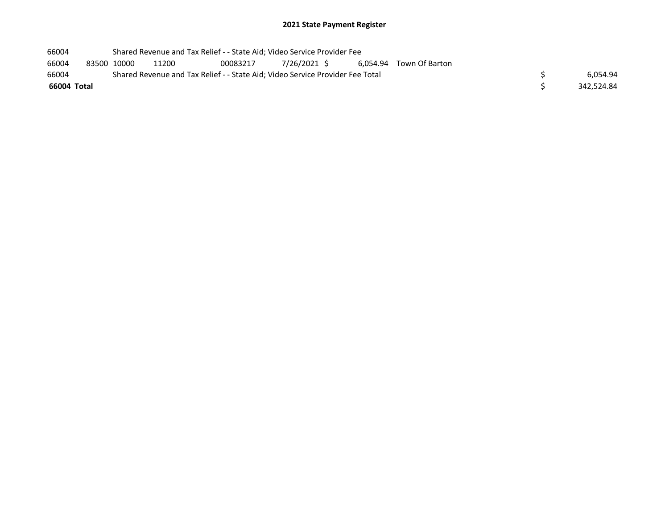| 66004       |                                                                               | Shared Revenue and Tax Relief - - State Aid; Video Service Provider Fee |       |          |              |  |                         |  |            |
|-------------|-------------------------------------------------------------------------------|-------------------------------------------------------------------------|-------|----------|--------------|--|-------------------------|--|------------|
| 66004       |                                                                               | 83500 10000                                                             | 11200 | 00083217 | 7/26/2021 \$ |  | 6,054.94 Town Of Barton |  |            |
| 66004       | Shared Revenue and Tax Relief - - State Aid; Video Service Provider Fee Total |                                                                         |       |          |              |  |                         |  | 6.054.94   |
| 66004 Total |                                                                               |                                                                         |       |          |              |  |                         |  | 342.524.84 |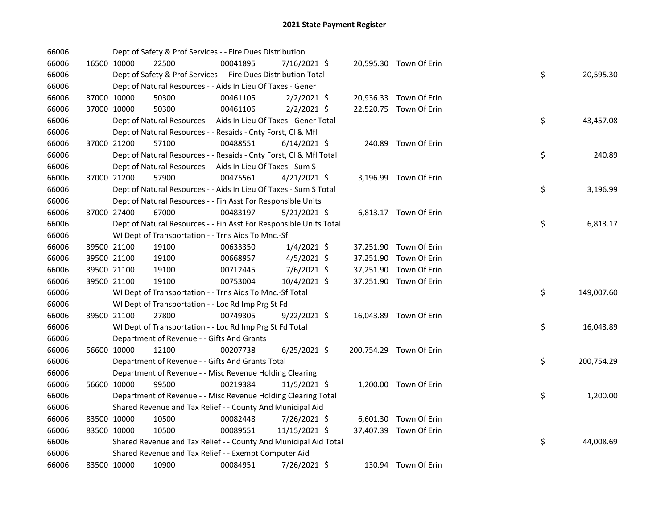| 66006 |             |             | Dept of Safety & Prof Services - - Fire Dues Distribution          |          |                |  |                         |    |            |
|-------|-------------|-------------|--------------------------------------------------------------------|----------|----------------|--|-------------------------|----|------------|
| 66006 |             | 16500 10000 | 22500                                                              | 00041895 | 7/16/2021 \$   |  | 20,595.30 Town Of Erin  |    |            |
| 66006 |             |             | Dept of Safety & Prof Services - - Fire Dues Distribution Total    |          |                |  |                         | \$ | 20,595.30  |
| 66006 |             |             | Dept of Natural Resources - - Aids In Lieu Of Taxes - Gener        |          |                |  |                         |    |            |
| 66006 |             | 37000 10000 | 50300                                                              | 00461105 | $2/2/2021$ \$  |  | 20,936.33 Town Of Erin  |    |            |
| 66006 | 37000 10000 |             | 50300                                                              | 00461106 | $2/2/2021$ \$  |  | 22,520.75 Town Of Erin  |    |            |
| 66006 |             |             | Dept of Natural Resources - - Aids In Lieu Of Taxes - Gener Total  |          |                |  |                         | \$ | 43,457.08  |
| 66006 |             |             | Dept of Natural Resources - - Resaids - Cnty Forst, Cl & Mfl       |          |                |  |                         |    |            |
| 66006 |             | 37000 21200 | 57100                                                              | 00488551 | $6/14/2021$ \$ |  | 240.89 Town Of Erin     |    |            |
| 66006 |             |             | Dept of Natural Resources - - Resaids - Cnty Forst, CI & Mfl Total |          |                |  |                         | \$ | 240.89     |
| 66006 |             |             | Dept of Natural Resources - - Aids In Lieu Of Taxes - Sum S        |          |                |  |                         |    |            |
| 66006 |             | 37000 21200 | 57900                                                              | 00475561 | $4/21/2021$ \$ |  | 3,196.99 Town Of Erin   |    |            |
| 66006 |             |             | Dept of Natural Resources - - Aids In Lieu Of Taxes - Sum S Total  |          |                |  |                         | \$ | 3,196.99   |
| 66006 |             |             | Dept of Natural Resources - - Fin Asst For Responsible Units       |          |                |  |                         |    |            |
| 66006 | 37000 27400 |             | 67000                                                              | 00483197 | $5/21/2021$ \$ |  | 6,813.17 Town Of Erin   |    |            |
| 66006 |             |             | Dept of Natural Resources - - Fin Asst For Responsible Units Total |          |                |  |                         | \$ | 6,813.17   |
| 66006 |             |             | WI Dept of Transportation - - Trns Aids To Mnc.-Sf                 |          |                |  |                         |    |            |
| 66006 |             | 39500 21100 | 19100                                                              | 00633350 | $1/4/2021$ \$  |  | 37,251.90 Town Of Erin  |    |            |
| 66006 |             | 39500 21100 | 19100                                                              | 00668957 | $4/5/2021$ \$  |  | 37,251.90 Town Of Erin  |    |            |
| 66006 | 39500 21100 |             | 19100                                                              | 00712445 | 7/6/2021 \$    |  | 37,251.90 Town Of Erin  |    |            |
| 66006 |             | 39500 21100 | 19100                                                              | 00753004 | 10/4/2021 \$   |  | 37,251.90 Town Of Erin  |    |            |
| 66006 |             |             | WI Dept of Transportation - - Trns Aids To Mnc.-Sf Total           |          |                |  |                         | \$ | 149,007.60 |
| 66006 |             |             | WI Dept of Transportation - - Loc Rd Imp Prg St Fd                 |          |                |  |                         |    |            |
| 66006 |             | 39500 21100 | 27800                                                              | 00749305 | $9/22/2021$ \$ |  | 16,043.89 Town Of Erin  |    |            |
| 66006 |             |             | WI Dept of Transportation - - Loc Rd Imp Prg St Fd Total           |          |                |  |                         | \$ | 16,043.89  |
| 66006 |             |             | Department of Revenue - - Gifts And Grants                         |          |                |  |                         |    |            |
| 66006 |             | 56600 10000 | 12100                                                              | 00207738 | $6/25/2021$ \$ |  | 200,754.29 Town Of Erin |    |            |
| 66006 |             |             | Department of Revenue - - Gifts And Grants Total                   |          |                |  |                         | \$ | 200,754.29 |
| 66006 |             |             | Department of Revenue - - Misc Revenue Holding Clearing            |          |                |  |                         |    |            |
| 66006 |             | 56600 10000 | 99500                                                              | 00219384 | $11/5/2021$ \$ |  | 1,200.00 Town Of Erin   |    |            |
| 66006 |             |             | Department of Revenue - - Misc Revenue Holding Clearing Total      |          |                |  |                         | \$ | 1,200.00   |
| 66006 |             |             | Shared Revenue and Tax Relief - - County And Municipal Aid         |          |                |  |                         |    |            |
| 66006 | 83500 10000 |             | 10500                                                              | 00082448 | 7/26/2021 \$   |  | 6,601.30 Town Of Erin   |    |            |
| 66006 | 83500 10000 |             | 10500                                                              | 00089551 | 11/15/2021 \$  |  | 37,407.39 Town Of Erin  |    |            |
| 66006 |             |             | Shared Revenue and Tax Relief - - County And Municipal Aid Total   |          |                |  |                         | \$ | 44,008.69  |
| 66006 |             |             | Shared Revenue and Tax Relief - - Exempt Computer Aid              |          |                |  |                         |    |            |
| 66006 |             | 83500 10000 | 10900                                                              | 00084951 | 7/26/2021 \$   |  | 130.94 Town Of Erin     |    |            |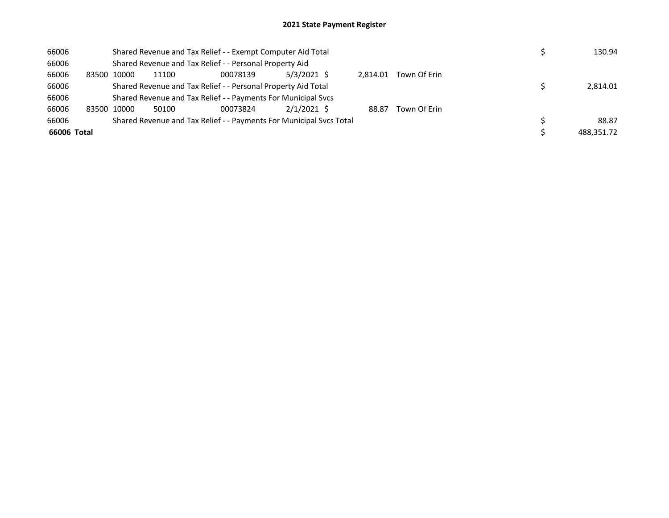| 66006       |                                                               | Shared Revenue and Tax Relief - - Exempt Computer Aid Total |       |                                                                     |               |          |              |  |            |  |
|-------------|---------------------------------------------------------------|-------------------------------------------------------------|-------|---------------------------------------------------------------------|---------------|----------|--------------|--|------------|--|
| 66006       |                                                               |                                                             |       | Shared Revenue and Tax Relief - - Personal Property Aid             |               |          |              |  |            |  |
| 66006       | 83500                                                         | 10000                                                       | 11100 | 00078139                                                            | $5/3/2021$ \$ | 2.814.01 | Town Of Erin |  |            |  |
| 66006       | Shared Revenue and Tax Relief - - Personal Property Aid Total |                                                             |       |                                                                     |               |          |              |  |            |  |
| 66006       |                                                               |                                                             |       | Shared Revenue and Tax Relief - - Payments For Municipal Svcs       |               |          |              |  |            |  |
| 66006       |                                                               | 83500 10000                                                 | 50100 | 00073824                                                            | $2/1/2021$ \$ | 88.87    | Town Of Erin |  |            |  |
| 66006       |                                                               |                                                             |       | Shared Revenue and Tax Relief - - Payments For Municipal Svcs Total |               |          |              |  | 88.87      |  |
| 66006 Total |                                                               |                                                             |       |                                                                     |               |          |              |  | 488.351.72 |  |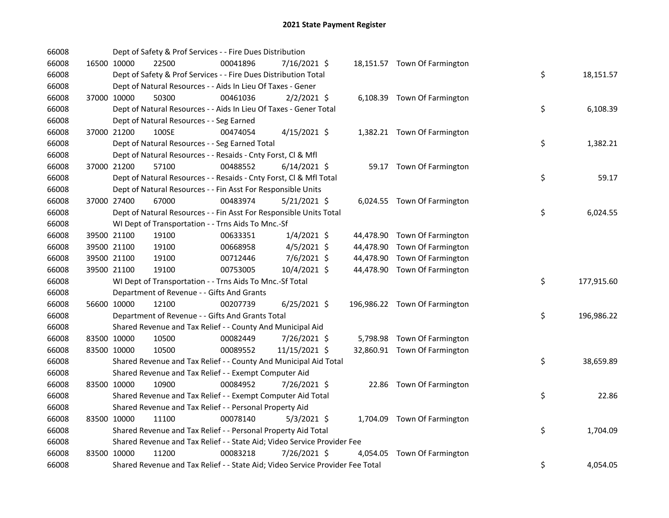| 66008 |             | Dept of Safety & Prof Services - - Fire Dues Distribution                     |          |                |  |                               |    |            |
|-------|-------------|-------------------------------------------------------------------------------|----------|----------------|--|-------------------------------|----|------------|
| 66008 | 16500 10000 | 22500                                                                         | 00041896 | 7/16/2021 \$   |  | 18,151.57 Town Of Farmington  |    |            |
| 66008 |             | Dept of Safety & Prof Services - - Fire Dues Distribution Total               |          |                |  |                               | \$ | 18,151.57  |
| 66008 |             | Dept of Natural Resources - - Aids In Lieu Of Taxes - Gener                   |          |                |  |                               |    |            |
| 66008 | 37000 10000 | 50300                                                                         | 00461036 | $2/2/2021$ \$  |  | 6,108.39 Town Of Farmington   |    |            |
| 66008 |             | Dept of Natural Resources - - Aids In Lieu Of Taxes - Gener Total             |          |                |  |                               | \$ | 6,108.39   |
| 66008 |             | Dept of Natural Resources - - Seg Earned                                      |          |                |  |                               |    |            |
| 66008 | 37000 21200 | 100SE                                                                         | 00474054 | $4/15/2021$ \$ |  | 1,382.21 Town Of Farmington   |    |            |
| 66008 |             | Dept of Natural Resources - - Seg Earned Total                                |          |                |  |                               | \$ | 1,382.21   |
| 66008 |             | Dept of Natural Resources - - Resaids - Cnty Forst, CI & Mfl                  |          |                |  |                               |    |            |
| 66008 | 37000 21200 | 57100                                                                         | 00488552 | $6/14/2021$ \$ |  | 59.17 Town Of Farmington      |    |            |
| 66008 |             | Dept of Natural Resources - - Resaids - Cnty Forst, Cl & Mfl Total            |          |                |  |                               | \$ | 59.17      |
| 66008 |             | Dept of Natural Resources - - Fin Asst For Responsible Units                  |          |                |  |                               |    |            |
| 66008 | 37000 27400 | 67000                                                                         | 00483974 | $5/21/2021$ \$ |  | 6,024.55 Town Of Farmington   |    |            |
| 66008 |             | Dept of Natural Resources - - Fin Asst For Responsible Units Total            |          |                |  |                               | \$ | 6,024.55   |
| 66008 |             | WI Dept of Transportation - - Trns Aids To Mnc.-Sf                            |          |                |  |                               |    |            |
| 66008 | 39500 21100 | 19100                                                                         | 00633351 | $1/4/2021$ \$  |  | 44,478.90 Town Of Farmington  |    |            |
| 66008 | 39500 21100 | 19100                                                                         | 00668958 | $4/5/2021$ \$  |  | 44,478.90 Town Of Farmington  |    |            |
| 66008 | 39500 21100 | 19100                                                                         | 00712446 | 7/6/2021 \$    |  | 44,478.90 Town Of Farmington  |    |            |
| 66008 | 39500 21100 | 19100                                                                         | 00753005 | 10/4/2021 \$   |  | 44,478.90 Town Of Farmington  |    |            |
| 66008 |             | WI Dept of Transportation - - Trns Aids To Mnc.-Sf Total                      |          |                |  |                               | \$ | 177,915.60 |
| 66008 |             | Department of Revenue - - Gifts And Grants                                    |          |                |  |                               |    |            |
| 66008 | 56600 10000 | 12100                                                                         | 00207739 | 6/25/2021 \$   |  | 196,986.22 Town Of Farmington |    |            |
| 66008 |             | Department of Revenue - - Gifts And Grants Total                              |          |                |  |                               | \$ | 196,986.22 |
| 66008 |             | Shared Revenue and Tax Relief - - County And Municipal Aid                    |          |                |  |                               |    |            |
| 66008 | 83500 10000 | 10500                                                                         | 00082449 | 7/26/2021 \$   |  | 5,798.98 Town Of Farmington   |    |            |
| 66008 | 83500 10000 | 10500                                                                         | 00089552 | 11/15/2021 \$  |  | 32,860.91 Town Of Farmington  |    |            |
| 66008 |             | Shared Revenue and Tax Relief - - County And Municipal Aid Total              |          |                |  |                               | \$ | 38,659.89  |
| 66008 |             | Shared Revenue and Tax Relief - - Exempt Computer Aid                         |          |                |  |                               |    |            |
| 66008 | 83500 10000 | 10900                                                                         | 00084952 | 7/26/2021 \$   |  | 22.86 Town Of Farmington      |    |            |
| 66008 |             | Shared Revenue and Tax Relief - - Exempt Computer Aid Total                   |          |                |  |                               | \$ | 22.86      |
| 66008 |             | Shared Revenue and Tax Relief - - Personal Property Aid                       |          |                |  |                               |    |            |
| 66008 | 83500 10000 | 11100                                                                         | 00078140 | $5/3/2021$ \$  |  | 1,704.09 Town Of Farmington   |    |            |
| 66008 |             | Shared Revenue and Tax Relief - - Personal Property Aid Total                 |          |                |  |                               | \$ | 1,704.09   |
| 66008 |             | Shared Revenue and Tax Relief - - State Aid; Video Service Provider Fee       |          |                |  |                               |    |            |
| 66008 | 83500 10000 | 11200                                                                         | 00083218 | 7/26/2021 \$   |  | 4,054.05 Town Of Farmington   |    |            |
| 66008 |             | Shared Revenue and Tax Relief - - State Aid; Video Service Provider Fee Total |          |                |  |                               | \$ | 4,054.05   |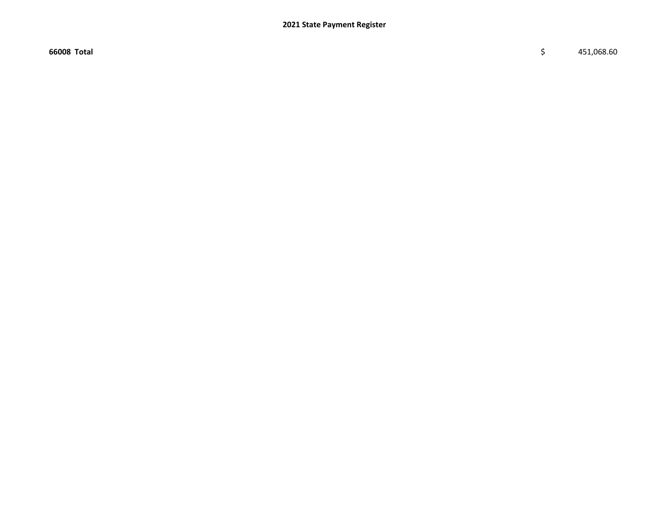$66008$  Total  $\zeta$  451,068.60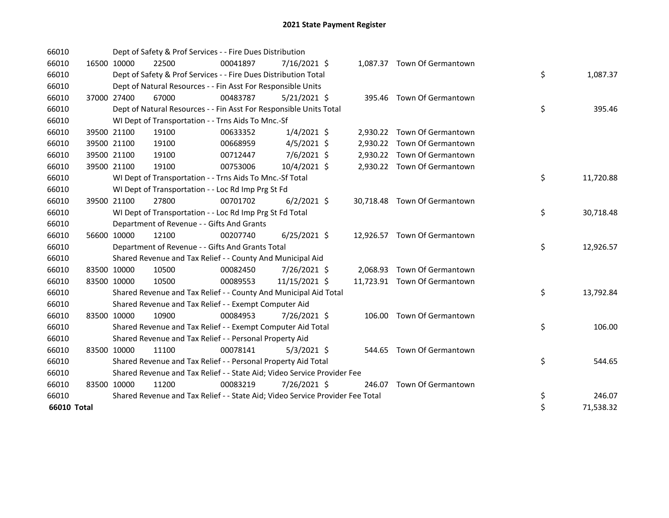| 66010       |             | Dept of Safety & Prof Services - - Fire Dues Distribution                     |          |                |  |                              |    |           |
|-------------|-------------|-------------------------------------------------------------------------------|----------|----------------|--|------------------------------|----|-----------|
| 66010       | 16500 10000 | 22500                                                                         | 00041897 | $7/16/2021$ \$ |  | 1,087.37 Town Of Germantown  |    |           |
| 66010       |             | Dept of Safety & Prof Services - - Fire Dues Distribution Total               |          |                |  |                              | \$ | 1,087.37  |
| 66010       |             | Dept of Natural Resources - - Fin Asst For Responsible Units                  |          |                |  |                              |    |           |
| 66010       | 37000 27400 | 67000                                                                         | 00483787 | $5/21/2021$ \$ |  | 395.46 Town Of Germantown    |    |           |
| 66010       |             | Dept of Natural Resources - - Fin Asst For Responsible Units Total            |          |                |  |                              | \$ | 395.46    |
| 66010       |             | WI Dept of Transportation - - Trns Aids To Mnc.-Sf                            |          |                |  |                              |    |           |
| 66010       | 39500 21100 | 19100                                                                         | 00633352 | $1/4/2021$ \$  |  | 2,930.22 Town Of Germantown  |    |           |
| 66010       | 39500 21100 | 19100                                                                         | 00668959 | $4/5/2021$ \$  |  | 2,930.22 Town Of Germantown  |    |           |
| 66010       | 39500 21100 | 19100                                                                         | 00712447 | 7/6/2021 \$    |  | 2,930.22 Town Of Germantown  |    |           |
| 66010       | 39500 21100 | 19100                                                                         | 00753006 | 10/4/2021 \$   |  | 2,930.22 Town Of Germantown  |    |           |
| 66010       |             | WI Dept of Transportation - - Trns Aids To Mnc.-Sf Total                      |          |                |  |                              | \$ | 11,720.88 |
| 66010       |             | WI Dept of Transportation - - Loc Rd Imp Prg St Fd                            |          |                |  |                              |    |           |
| 66010       | 39500 21100 | 27800                                                                         | 00701702 | $6/2/2021$ \$  |  | 30,718.48 Town Of Germantown |    |           |
| 66010       |             | WI Dept of Transportation - - Loc Rd Imp Prg St Fd Total                      |          |                |  |                              | \$ | 30,718.48 |
| 66010       |             | Department of Revenue - - Gifts And Grants                                    |          |                |  |                              |    |           |
| 66010       | 56600 10000 | 12100                                                                         | 00207740 | $6/25/2021$ \$ |  | 12,926.57 Town Of Germantown |    |           |
| 66010       |             | Department of Revenue - - Gifts And Grants Total                              |          |                |  |                              | \$ | 12,926.57 |
| 66010       |             | Shared Revenue and Tax Relief - - County And Municipal Aid                    |          |                |  |                              |    |           |
| 66010       | 83500 10000 | 10500                                                                         | 00082450 | 7/26/2021 \$   |  | 2,068.93 Town Of Germantown  |    |           |
| 66010       | 83500 10000 | 10500                                                                         | 00089553 | 11/15/2021 \$  |  | 11,723.91 Town Of Germantown |    |           |
| 66010       |             | Shared Revenue and Tax Relief - - County And Municipal Aid Total              |          |                |  |                              | \$ | 13,792.84 |
| 66010       |             | Shared Revenue and Tax Relief - - Exempt Computer Aid                         |          |                |  |                              |    |           |
| 66010       | 83500 10000 | 10900                                                                         | 00084953 | 7/26/2021 \$   |  | 106.00 Town Of Germantown    |    |           |
| 66010       |             | Shared Revenue and Tax Relief - - Exempt Computer Aid Total                   |          |                |  |                              | \$ | 106.00    |
| 66010       |             | Shared Revenue and Tax Relief - - Personal Property Aid                       |          |                |  |                              |    |           |
| 66010       | 83500 10000 | 11100                                                                         | 00078141 | $5/3/2021$ \$  |  | 544.65 Town Of Germantown    |    |           |
| 66010       |             | Shared Revenue and Tax Relief - - Personal Property Aid Total                 |          |                |  |                              | \$ | 544.65    |
| 66010       |             | Shared Revenue and Tax Relief - - State Aid; Video Service Provider Fee       |          |                |  |                              |    |           |
| 66010       | 83500 10000 | 11200                                                                         | 00083219 | 7/26/2021 \$   |  | 246.07 Town Of Germantown    |    |           |
| 66010       |             | Shared Revenue and Tax Relief - - State Aid; Video Service Provider Fee Total |          |                |  |                              | \$ | 246.07    |
| 66010 Total |             |                                                                               |          |                |  |                              | \$ | 71,538.32 |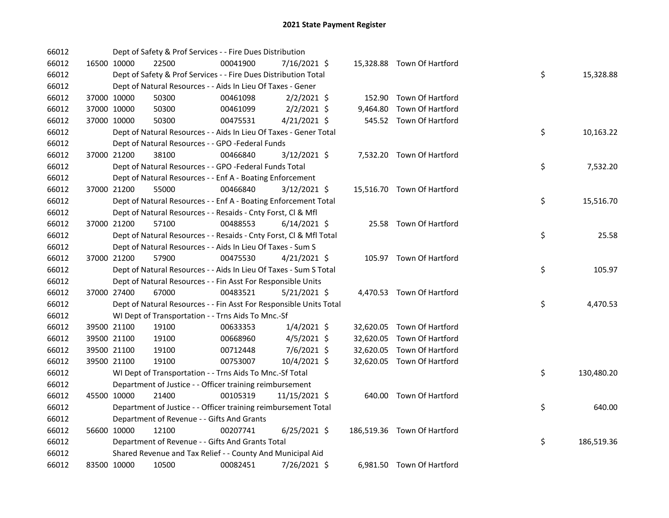| 66012 |             | Dept of Safety & Prof Services - - Fire Dues Distribution          |          |                |          |                             |    |            |
|-------|-------------|--------------------------------------------------------------------|----------|----------------|----------|-----------------------------|----|------------|
| 66012 | 16500 10000 | 22500                                                              | 00041900 | 7/16/2021 \$   |          | 15,328.88 Town Of Hartford  |    |            |
| 66012 |             | Dept of Safety & Prof Services - - Fire Dues Distribution Total    |          |                |          |                             | \$ | 15,328.88  |
| 66012 |             | Dept of Natural Resources - - Aids In Lieu Of Taxes - Gener        |          |                |          |                             |    |            |
| 66012 | 37000 10000 | 50300                                                              | 00461098 | $2/2/2021$ \$  |          | 152.90 Town Of Hartford     |    |            |
| 66012 | 37000 10000 | 50300                                                              | 00461099 | $2/2/2021$ \$  | 9,464.80 | Town Of Hartford            |    |            |
| 66012 | 37000 10000 | 50300                                                              | 00475531 | $4/21/2021$ \$ |          | 545.52 Town Of Hartford     |    |            |
| 66012 |             | Dept of Natural Resources - - Aids In Lieu Of Taxes - Gener Total  |          |                |          |                             | \$ | 10,163.22  |
| 66012 |             | Dept of Natural Resources - - GPO -Federal Funds                   |          |                |          |                             |    |            |
| 66012 | 37000 21200 | 38100                                                              | 00466840 | $3/12/2021$ \$ |          | 7,532.20 Town Of Hartford   |    |            |
| 66012 |             | Dept of Natural Resources - - GPO -Federal Funds Total             |          |                |          |                             | \$ | 7,532.20   |
| 66012 |             | Dept of Natural Resources - - Enf A - Boating Enforcement          |          |                |          |                             |    |            |
| 66012 | 37000 21200 | 55000                                                              | 00466840 | $3/12/2021$ \$ |          | 15,516.70 Town Of Hartford  |    |            |
| 66012 |             | Dept of Natural Resources - - Enf A - Boating Enforcement Total    |          |                |          |                             | \$ | 15,516.70  |
| 66012 |             | Dept of Natural Resources - - Resaids - Cnty Forst, Cl & Mfl       |          |                |          |                             |    |            |
| 66012 | 37000 21200 | 57100                                                              | 00488553 | $6/14/2021$ \$ |          | 25.58 Town Of Hartford      |    |            |
| 66012 |             | Dept of Natural Resources - - Resaids - Cnty Forst, Cl & Mfl Total |          |                |          |                             | \$ | 25.58      |
| 66012 |             | Dept of Natural Resources - - Aids In Lieu Of Taxes - Sum S        |          |                |          |                             |    |            |
| 66012 | 37000 21200 | 57900                                                              | 00475530 | $4/21/2021$ \$ |          | 105.97 Town Of Hartford     |    |            |
| 66012 |             | Dept of Natural Resources - - Aids In Lieu Of Taxes - Sum S Total  |          |                |          |                             | \$ | 105.97     |
| 66012 |             | Dept of Natural Resources - - Fin Asst For Responsible Units       |          |                |          |                             |    |            |
| 66012 | 37000 27400 | 67000                                                              | 00483521 | $5/21/2021$ \$ |          | 4,470.53 Town Of Hartford   |    |            |
| 66012 |             | Dept of Natural Resources - - Fin Asst For Responsible Units Total |          |                |          |                             | \$ | 4,470.53   |
| 66012 |             | WI Dept of Transportation - - Trns Aids To Mnc.-Sf                 |          |                |          |                             |    |            |
| 66012 | 39500 21100 | 19100                                                              | 00633353 | $1/4/2021$ \$  |          | 32,620.05 Town Of Hartford  |    |            |
| 66012 | 39500 21100 | 19100                                                              | 00668960 | $4/5/2021$ \$  |          | 32,620.05 Town Of Hartford  |    |            |
| 66012 | 39500 21100 | 19100                                                              | 00712448 | 7/6/2021 \$    |          | 32,620.05 Town Of Hartford  |    |            |
| 66012 | 39500 21100 | 19100                                                              | 00753007 | 10/4/2021 \$   |          | 32,620.05 Town Of Hartford  |    |            |
| 66012 |             | WI Dept of Transportation - - Trns Aids To Mnc.-Sf Total           |          |                |          |                             | \$ | 130,480.20 |
| 66012 |             | Department of Justice - - Officer training reimbursement           |          |                |          |                             |    |            |
| 66012 | 45500 10000 | 21400                                                              | 00105319 | 11/15/2021 \$  |          | 640.00 Town Of Hartford     |    |            |
| 66012 |             | Department of Justice - - Officer training reimbursement Total     |          |                |          |                             | \$ | 640.00     |
| 66012 |             | Department of Revenue - - Gifts And Grants                         |          |                |          |                             |    |            |
| 66012 | 56600 10000 | 12100                                                              | 00207741 | $6/25/2021$ \$ |          | 186,519.36 Town Of Hartford |    |            |
| 66012 |             | Department of Revenue - - Gifts And Grants Total                   |          |                |          |                             | \$ | 186,519.36 |
| 66012 |             | Shared Revenue and Tax Relief - - County And Municipal Aid         |          |                |          |                             |    |            |
| 66012 | 83500 10000 | 10500                                                              | 00082451 | 7/26/2021 \$   |          | 6,981.50 Town Of Hartford   |    |            |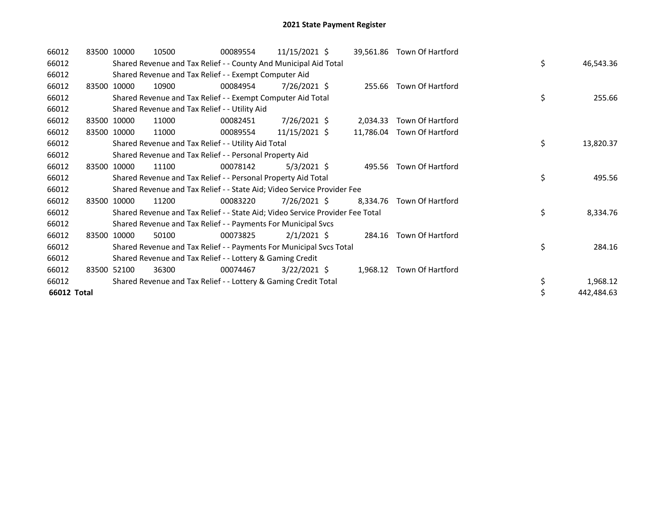| 66012       | 83500 10000 |             | 10500                                                                         | 00089554 | $11/15/2021$ \$ |          | 39,561.86 Town Of Hartford |    |            |
|-------------|-------------|-------------|-------------------------------------------------------------------------------|----------|-----------------|----------|----------------------------|----|------------|
| 66012       |             |             | Shared Revenue and Tax Relief - - County And Municipal Aid Total              |          |                 |          |                            | \$ | 46,543.36  |
| 66012       |             |             | Shared Revenue and Tax Relief - - Exempt Computer Aid                         |          |                 |          |                            |    |            |
| 66012       |             | 83500 10000 | 10900                                                                         | 00084954 | 7/26/2021 \$    |          | 255.66 Town Of Hartford    |    |            |
| 66012       |             |             | Shared Revenue and Tax Relief - - Exempt Computer Aid Total                   |          |                 |          |                            | \$ | 255.66     |
| 66012       |             |             | Shared Revenue and Tax Relief - - Utility Aid                                 |          |                 |          |                            |    |            |
| 66012       |             | 83500 10000 | 11000                                                                         | 00082451 | $7/26/2021$ \$  | 2,034.33 | Town Of Hartford           |    |            |
| 66012       |             | 83500 10000 | 11000                                                                         | 00089554 | 11/15/2021 \$   |          | 11,786.04 Town Of Hartford |    |            |
| 66012       |             |             | Shared Revenue and Tax Relief - - Utility Aid Total                           |          |                 |          |                            | \$ | 13,820.37  |
| 66012       |             |             | Shared Revenue and Tax Relief - - Personal Property Aid                       |          |                 |          |                            |    |            |
| 66012       |             | 83500 10000 | 11100                                                                         | 00078142 | $5/3/2021$ \$   |          | 495.56 Town Of Hartford    |    |            |
| 66012       |             |             | Shared Revenue and Tax Relief - - Personal Property Aid Total                 |          |                 |          |                            | \$ | 495.56     |
| 66012       |             |             | Shared Revenue and Tax Relief - - State Aid; Video Service Provider Fee       |          |                 |          |                            |    |            |
| 66012       |             | 83500 10000 | 11200                                                                         | 00083220 | $7/26/2021$ \$  | 8.334.76 | Town Of Hartford           |    |            |
| 66012       |             |             | Shared Revenue and Tax Relief - - State Aid; Video Service Provider Fee Total |          |                 |          |                            | \$ | 8,334.76   |
| 66012       |             |             | Shared Revenue and Tax Relief - - Payments For Municipal Svcs                 |          |                 |          |                            |    |            |
| 66012       |             | 83500 10000 | 50100                                                                         | 00073825 | $2/1/2021$ \$   |          | 284.16 Town Of Hartford    |    |            |
| 66012       |             |             | Shared Revenue and Tax Relief - - Payments For Municipal Svcs Total           |          |                 |          |                            | \$ | 284.16     |
| 66012       |             |             | Shared Revenue and Tax Relief - - Lottery & Gaming Credit                     |          |                 |          |                            |    |            |
| 66012       |             | 83500 52100 | 36300                                                                         | 00074467 | $3/22/2021$ \$  | 1,968.12 | Town Of Hartford           |    |            |
| 66012       |             |             | Shared Revenue and Tax Relief - - Lottery & Gaming Credit Total               |          |                 |          |                            | \$ | 1,968.12   |
| 66012 Total |             |             |                                                                               |          |                 |          |                            | \$ | 442,484.63 |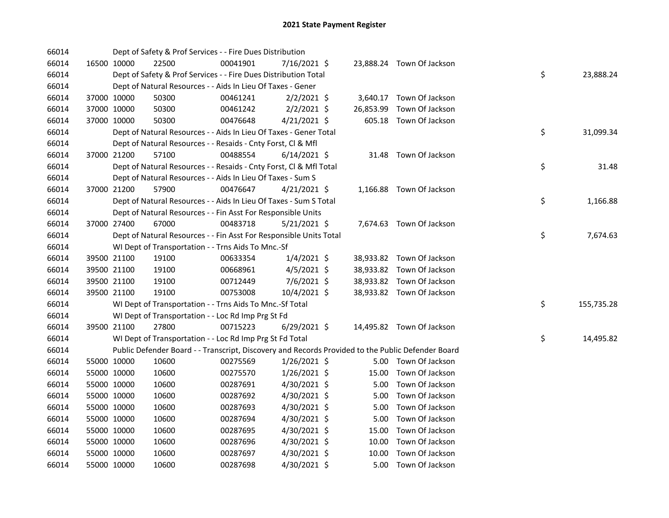| 66014 |             |             | Dept of Safety & Prof Services - - Fire Dues Distribution                                         |          |                |           |                           |    |            |
|-------|-------------|-------------|---------------------------------------------------------------------------------------------------|----------|----------------|-----------|---------------------------|----|------------|
| 66014 |             | 16500 10000 | 22500                                                                                             | 00041901 | 7/16/2021 \$   |           | 23,888.24 Town Of Jackson |    |            |
| 66014 |             |             | Dept of Safety & Prof Services - - Fire Dues Distribution Total                                   |          |                |           |                           | \$ | 23,888.24  |
| 66014 |             |             | Dept of Natural Resources - - Aids In Lieu Of Taxes - Gener                                       |          |                |           |                           |    |            |
| 66014 |             | 37000 10000 | 50300                                                                                             | 00461241 | $2/2/2021$ \$  |           | 3,640.17 Town Of Jackson  |    |            |
| 66014 |             | 37000 10000 | 50300                                                                                             | 00461242 | $2/2/2021$ \$  | 26,853.99 | Town Of Jackson           |    |            |
| 66014 |             | 37000 10000 | 50300                                                                                             | 00476648 | $4/21/2021$ \$ |           | 605.18 Town Of Jackson    |    |            |
| 66014 |             |             | Dept of Natural Resources - - Aids In Lieu Of Taxes - Gener Total                                 |          |                |           |                           | \$ | 31,099.34  |
| 66014 |             |             | Dept of Natural Resources - - Resaids - Cnty Forst, Cl & Mfl                                      |          |                |           |                           |    |            |
| 66014 |             | 37000 21200 | 57100                                                                                             | 00488554 | $6/14/2021$ \$ |           | 31.48 Town Of Jackson     |    |            |
| 66014 |             |             | Dept of Natural Resources - - Resaids - Cnty Forst, Cl & Mfl Total                                |          |                |           |                           | \$ | 31.48      |
| 66014 |             |             | Dept of Natural Resources - - Aids In Lieu Of Taxes - Sum S                                       |          |                |           |                           |    |            |
| 66014 |             | 37000 21200 | 57900                                                                                             | 00476647 | $4/21/2021$ \$ |           | 1,166.88 Town Of Jackson  |    |            |
| 66014 |             |             | Dept of Natural Resources - - Aids In Lieu Of Taxes - Sum S Total                                 |          |                |           |                           | \$ | 1,166.88   |
| 66014 |             |             | Dept of Natural Resources - - Fin Asst For Responsible Units                                      |          |                |           |                           |    |            |
| 66014 |             | 37000 27400 | 67000                                                                                             | 00483718 | 5/21/2021 \$   |           | 7,674.63 Town Of Jackson  |    |            |
| 66014 |             |             | Dept of Natural Resources - - Fin Asst For Responsible Units Total                                |          |                |           |                           | \$ | 7,674.63   |
| 66014 |             |             | WI Dept of Transportation - - Trns Aids To Mnc.-Sf                                                |          |                |           |                           |    |            |
| 66014 |             | 39500 21100 | 19100                                                                                             | 00633354 | $1/4/2021$ \$  |           | 38,933.82 Town Of Jackson |    |            |
| 66014 |             | 39500 21100 | 19100                                                                                             | 00668961 | $4/5/2021$ \$  |           | 38,933.82 Town Of Jackson |    |            |
| 66014 |             | 39500 21100 | 19100                                                                                             | 00712449 | $7/6/2021$ \$  |           | 38,933.82 Town Of Jackson |    |            |
| 66014 |             | 39500 21100 | 19100                                                                                             | 00753008 | $10/4/2021$ \$ |           | 38,933.82 Town Of Jackson |    |            |
| 66014 |             |             | WI Dept of Transportation - - Trns Aids To Mnc.-Sf Total                                          |          |                |           |                           | \$ | 155,735.28 |
| 66014 |             |             | WI Dept of Transportation - - Loc Rd Imp Prg St Fd                                                |          |                |           |                           |    |            |
| 66014 |             | 39500 21100 | 27800                                                                                             | 00715223 | $6/29/2021$ \$ |           | 14,495.82 Town Of Jackson |    |            |
| 66014 |             |             | WI Dept of Transportation - - Loc Rd Imp Prg St Fd Total                                          |          |                |           |                           | \$ | 14,495.82  |
| 66014 |             |             | Public Defender Board - - Transcript, Discovery and Records Provided to the Public Defender Board |          |                |           |                           |    |            |
| 66014 |             | 55000 10000 | 10600                                                                                             | 00275569 | $1/26/2021$ \$ |           | 5.00 Town Of Jackson      |    |            |
| 66014 |             | 55000 10000 | 10600                                                                                             | 00275570 | $1/26/2021$ \$ | 15.00     | Town Of Jackson           |    |            |
| 66014 |             | 55000 10000 | 10600                                                                                             | 00287691 | 4/30/2021 \$   | 5.00      | Town Of Jackson           |    |            |
| 66014 | 55000 10000 |             | 10600                                                                                             | 00287692 | 4/30/2021 \$   | 5.00      | Town Of Jackson           |    |            |
| 66014 | 55000 10000 |             | 10600                                                                                             | 00287693 | 4/30/2021 \$   | 5.00      | Town Of Jackson           |    |            |
| 66014 | 55000 10000 |             | 10600                                                                                             | 00287694 | 4/30/2021 \$   | 5.00      | Town Of Jackson           |    |            |
| 66014 |             | 55000 10000 | 10600                                                                                             | 00287695 | 4/30/2021 \$   | 15.00     | Town Of Jackson           |    |            |
| 66014 | 55000 10000 |             | 10600                                                                                             | 00287696 | 4/30/2021 \$   | 10.00     | Town Of Jackson           |    |            |
| 66014 | 55000 10000 |             | 10600                                                                                             | 00287697 | $4/30/2021$ \$ | 10.00     | Town Of Jackson           |    |            |
| 66014 | 55000 10000 |             | 10600                                                                                             | 00287698 | 4/30/2021 \$   | 5.00      | Town Of Jackson           |    |            |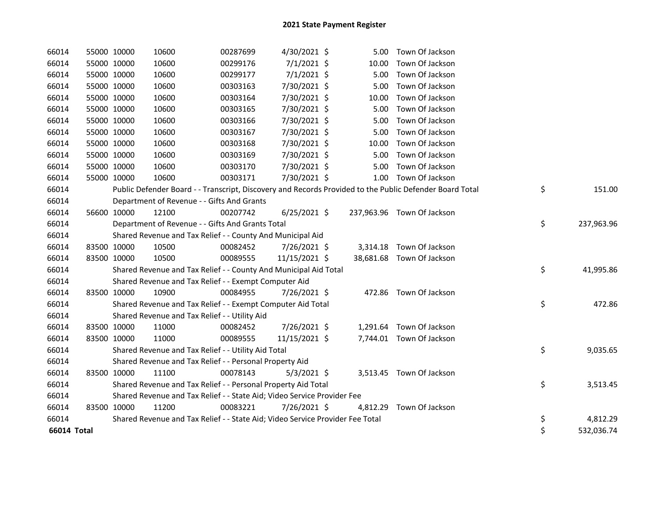| 66014       | 55000 10000 |             | 10600                                                                         | 00287699 | 4/30/2021 \$   | 5.00  | Town Of Jackson                                                                                         |                  |
|-------------|-------------|-------------|-------------------------------------------------------------------------------|----------|----------------|-------|---------------------------------------------------------------------------------------------------------|------------------|
| 66014       |             | 55000 10000 | 10600                                                                         | 00299176 | $7/1/2021$ \$  | 10.00 | Town Of Jackson                                                                                         |                  |
| 66014       |             | 55000 10000 | 10600                                                                         | 00299177 | $7/1/2021$ \$  | 5.00  | Town Of Jackson                                                                                         |                  |
| 66014       | 55000 10000 |             | 10600                                                                         | 00303163 | 7/30/2021 \$   | 5.00  | Town Of Jackson                                                                                         |                  |
| 66014       | 55000 10000 |             | 10600                                                                         | 00303164 | 7/30/2021 \$   | 10.00 | Town Of Jackson                                                                                         |                  |
| 66014       | 55000 10000 |             | 10600                                                                         | 00303165 | 7/30/2021 \$   | 5.00  | Town Of Jackson                                                                                         |                  |
| 66014       |             | 55000 10000 | 10600                                                                         | 00303166 | 7/30/2021 \$   | 5.00  | Town Of Jackson                                                                                         |                  |
| 66014       |             | 55000 10000 | 10600                                                                         | 00303167 | 7/30/2021 \$   | 5.00  | Town Of Jackson                                                                                         |                  |
| 66014       |             | 55000 10000 | 10600                                                                         | 00303168 | 7/30/2021 \$   | 10.00 | Town Of Jackson                                                                                         |                  |
| 66014       | 55000 10000 |             | 10600                                                                         | 00303169 | 7/30/2021 \$   | 5.00  | Town Of Jackson                                                                                         |                  |
| 66014       | 55000 10000 |             | 10600                                                                         | 00303170 | 7/30/2021 \$   | 5.00  | Town Of Jackson                                                                                         |                  |
| 66014       | 55000 10000 |             | 10600                                                                         | 00303171 | 7/30/2021 \$   |       | 1.00 Town Of Jackson                                                                                    |                  |
| 66014       |             |             |                                                                               |          |                |       | Public Defender Board - - Transcript, Discovery and Records Provided to the Public Defender Board Total | \$<br>151.00     |
| 66014       |             |             | Department of Revenue - - Gifts And Grants                                    |          |                |       |                                                                                                         |                  |
| 66014       |             | 56600 10000 | 12100                                                                         | 00207742 | $6/25/2021$ \$ |       | 237,963.96 Town Of Jackson                                                                              |                  |
| 66014       |             |             | Department of Revenue - - Gifts And Grants Total                              |          |                |       |                                                                                                         | \$<br>237,963.96 |
| 66014       |             |             | Shared Revenue and Tax Relief - - County And Municipal Aid                    |          |                |       |                                                                                                         |                  |
| 66014       |             | 83500 10000 | 10500                                                                         | 00082452 | 7/26/2021 \$   |       | 3,314.18 Town Of Jackson                                                                                |                  |
| 66014       |             | 83500 10000 | 10500                                                                         | 00089555 | 11/15/2021 \$  |       | 38,681.68 Town Of Jackson                                                                               |                  |
| 66014       |             |             | Shared Revenue and Tax Relief - - County And Municipal Aid Total              |          |                |       |                                                                                                         | \$<br>41,995.86  |
| 66014       |             |             | Shared Revenue and Tax Relief - - Exempt Computer Aid                         |          |                |       |                                                                                                         |                  |
| 66014       | 83500 10000 |             | 10900                                                                         | 00084955 | 7/26/2021 \$   |       | 472.86 Town Of Jackson                                                                                  |                  |
| 66014       |             |             | Shared Revenue and Tax Relief - - Exempt Computer Aid Total                   |          |                |       |                                                                                                         | \$<br>472.86     |
| 66014       |             |             | Shared Revenue and Tax Relief - - Utility Aid                                 |          |                |       |                                                                                                         |                  |
| 66014       | 83500 10000 |             | 11000                                                                         | 00082452 | 7/26/2021 \$   |       | 1,291.64 Town Of Jackson                                                                                |                  |
| 66014       |             | 83500 10000 | 11000                                                                         | 00089555 | 11/15/2021 \$  |       | 7,744.01 Town Of Jackson                                                                                |                  |
| 66014       |             |             | Shared Revenue and Tax Relief - - Utility Aid Total                           |          |                |       |                                                                                                         | \$<br>9,035.65   |
| 66014       |             |             | Shared Revenue and Tax Relief - - Personal Property Aid                       |          |                |       |                                                                                                         |                  |
| 66014       | 83500 10000 |             | 11100                                                                         | 00078143 | $5/3/2021$ \$  |       | 3,513.45 Town Of Jackson                                                                                |                  |
| 66014       |             |             | Shared Revenue and Tax Relief - - Personal Property Aid Total                 |          |                |       |                                                                                                         | \$<br>3,513.45   |
| 66014       |             |             | Shared Revenue and Tax Relief - - State Aid; Video Service Provider Fee       |          |                |       |                                                                                                         |                  |
| 66014       | 83500 10000 |             | 11200                                                                         | 00083221 | 7/26/2021 \$   |       | 4,812.29 Town Of Jackson                                                                                |                  |
| 66014       |             |             | Shared Revenue and Tax Relief - - State Aid; Video Service Provider Fee Total |          |                |       |                                                                                                         | \$<br>4,812.29   |
| 66014 Total |             |             |                                                                               |          |                |       |                                                                                                         | \$<br>532,036.74 |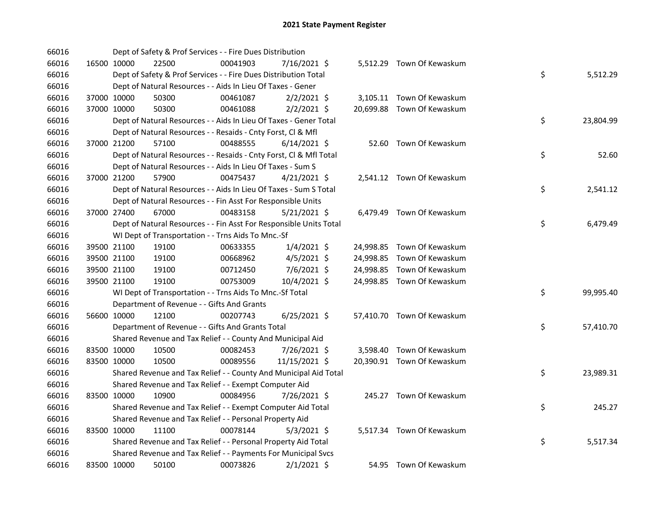| 66016 |             | Dept of Safety & Prof Services - - Fire Dues Distribution          |          |                |  |                            |    |           |
|-------|-------------|--------------------------------------------------------------------|----------|----------------|--|----------------------------|----|-----------|
| 66016 | 16500 10000 | 22500                                                              | 00041903 | 7/16/2021 \$   |  | 5,512.29 Town Of Kewaskum  |    |           |
| 66016 |             | Dept of Safety & Prof Services - - Fire Dues Distribution Total    |          |                |  |                            | \$ | 5,512.29  |
| 66016 |             | Dept of Natural Resources - - Aids In Lieu Of Taxes - Gener        |          |                |  |                            |    |           |
| 66016 | 37000 10000 | 50300                                                              | 00461087 | $2/2/2021$ \$  |  | 3,105.11 Town Of Kewaskum  |    |           |
| 66016 | 37000 10000 | 50300                                                              | 00461088 | $2/2/2021$ \$  |  | 20,699.88 Town Of Kewaskum |    |           |
| 66016 |             | Dept of Natural Resources - - Aids In Lieu Of Taxes - Gener Total  |          |                |  |                            | \$ | 23,804.99 |
| 66016 |             | Dept of Natural Resources - - Resaids - Cnty Forst, Cl & Mfl       |          |                |  |                            |    |           |
| 66016 | 37000 21200 | 57100                                                              | 00488555 | $6/14/2021$ \$ |  | 52.60 Town Of Kewaskum     |    |           |
| 66016 |             | Dept of Natural Resources - - Resaids - Cnty Forst, Cl & Mfl Total |          |                |  |                            | \$ | 52.60     |
| 66016 |             | Dept of Natural Resources - - Aids In Lieu Of Taxes - Sum S        |          |                |  |                            |    |           |
| 66016 | 37000 21200 | 57900                                                              | 00475437 | $4/21/2021$ \$ |  | 2,541.12 Town Of Kewaskum  |    |           |
| 66016 |             | Dept of Natural Resources - - Aids In Lieu Of Taxes - Sum S Total  |          |                |  |                            | \$ | 2,541.12  |
| 66016 |             | Dept of Natural Resources - - Fin Asst For Responsible Units       |          |                |  |                            |    |           |
| 66016 | 37000 27400 | 67000                                                              | 00483158 | $5/21/2021$ \$ |  | 6,479.49 Town Of Kewaskum  |    |           |
| 66016 |             | Dept of Natural Resources - - Fin Asst For Responsible Units Total |          |                |  |                            | \$ | 6,479.49  |
| 66016 |             | WI Dept of Transportation - - Trns Aids To Mnc.-Sf                 |          |                |  |                            |    |           |
| 66016 | 39500 21100 | 19100                                                              | 00633355 | $1/4/2021$ \$  |  | 24,998.85 Town Of Kewaskum |    |           |
| 66016 | 39500 21100 | 19100                                                              | 00668962 | $4/5/2021$ \$  |  | 24,998.85 Town Of Kewaskum |    |           |
| 66016 | 39500 21100 | 19100                                                              | 00712450 | 7/6/2021 \$    |  | 24,998.85 Town Of Kewaskum |    |           |
| 66016 | 39500 21100 | 19100                                                              | 00753009 | 10/4/2021 \$   |  | 24,998.85 Town Of Kewaskum |    |           |
| 66016 |             | WI Dept of Transportation - - Trns Aids To Mnc.-Sf Total           |          |                |  |                            | \$ | 99,995.40 |
| 66016 |             | Department of Revenue - - Gifts And Grants                         |          |                |  |                            |    |           |
| 66016 | 56600 10000 | 12100                                                              | 00207743 | $6/25/2021$ \$ |  | 57,410.70 Town Of Kewaskum |    |           |
| 66016 |             | Department of Revenue - - Gifts And Grants Total                   |          |                |  |                            | \$ | 57,410.70 |
| 66016 |             | Shared Revenue and Tax Relief - - County And Municipal Aid         |          |                |  |                            |    |           |
| 66016 | 83500 10000 | 10500                                                              | 00082453 | 7/26/2021 \$   |  | 3,598.40 Town Of Kewaskum  |    |           |
| 66016 | 83500 10000 | 10500                                                              | 00089556 | 11/15/2021 \$  |  | 20,390.91 Town Of Kewaskum |    |           |
| 66016 |             | Shared Revenue and Tax Relief - - County And Municipal Aid Total   |          |                |  |                            | \$ | 23,989.31 |
| 66016 |             | Shared Revenue and Tax Relief - - Exempt Computer Aid              |          |                |  |                            |    |           |
| 66016 | 83500 10000 | 10900                                                              | 00084956 | 7/26/2021 \$   |  | 245.27 Town Of Kewaskum    |    |           |
| 66016 |             | Shared Revenue and Tax Relief - - Exempt Computer Aid Total        |          |                |  |                            | \$ | 245.27    |
| 66016 |             | Shared Revenue and Tax Relief - - Personal Property Aid            |          |                |  |                            |    |           |
| 66016 | 83500 10000 | 11100                                                              | 00078144 | $5/3/2021$ \$  |  | 5,517.34 Town Of Kewaskum  |    |           |
| 66016 |             | Shared Revenue and Tax Relief - - Personal Property Aid Total      |          |                |  |                            | \$ | 5,517.34  |
| 66016 |             | Shared Revenue and Tax Relief - - Payments For Municipal Svcs      |          |                |  |                            |    |           |
| 66016 | 83500 10000 | 50100                                                              | 00073826 | $2/1/2021$ \$  |  | 54.95 Town Of Kewaskum     |    |           |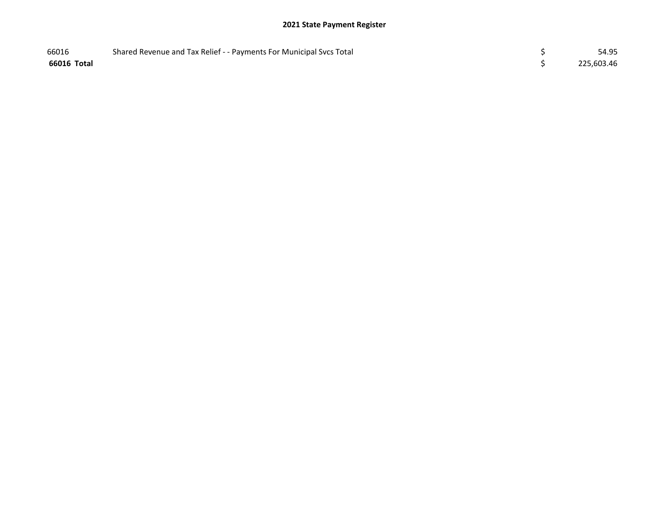| 66016       | Shared Revenue and Tax Relief - - Payments For Municipal Svcs Total | 54.95      |
|-------------|---------------------------------------------------------------------|------------|
| 66016 Total |                                                                     | 225,603.46 |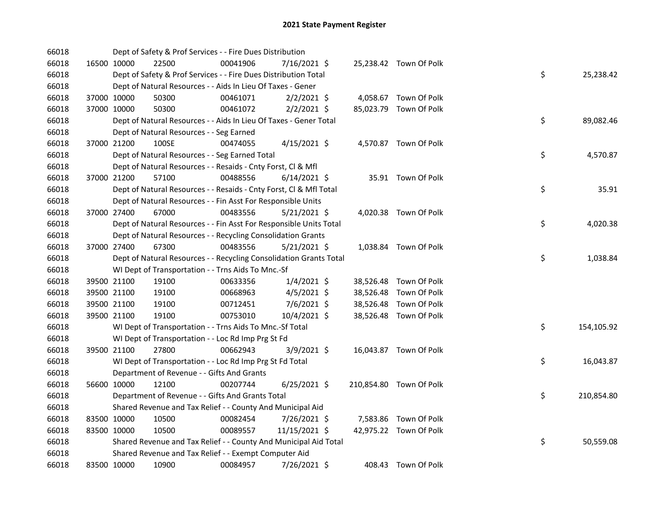| 66018 |             |             | Dept of Safety & Prof Services - - Fire Dues Distribution          |          |                |  |                         |    |            |
|-------|-------------|-------------|--------------------------------------------------------------------|----------|----------------|--|-------------------------|----|------------|
| 66018 |             | 16500 10000 | 22500                                                              | 00041906 | 7/16/2021 \$   |  | 25,238.42 Town Of Polk  |    |            |
| 66018 |             |             | Dept of Safety & Prof Services - - Fire Dues Distribution Total    |          |                |  |                         | \$ | 25,238.42  |
| 66018 |             |             | Dept of Natural Resources - - Aids In Lieu Of Taxes - Gener        |          |                |  |                         |    |            |
| 66018 |             | 37000 10000 | 50300                                                              | 00461071 | $2/2/2021$ \$  |  | 4,058.67 Town Of Polk   |    |            |
| 66018 | 37000 10000 |             | 50300                                                              | 00461072 | $2/2/2021$ \$  |  | 85,023.79 Town Of Polk  |    |            |
| 66018 |             |             | Dept of Natural Resources - - Aids In Lieu Of Taxes - Gener Total  |          |                |  |                         | \$ | 89,082.46  |
| 66018 |             |             | Dept of Natural Resources - - Seg Earned                           |          |                |  |                         |    |            |
| 66018 |             | 37000 21200 | 100SE                                                              | 00474055 | $4/15/2021$ \$ |  | 4,570.87 Town Of Polk   |    |            |
| 66018 |             |             | Dept of Natural Resources - - Seg Earned Total                     |          |                |  |                         | \$ | 4,570.87   |
| 66018 |             |             | Dept of Natural Resources - - Resaids - Cnty Forst, Cl & Mfl       |          |                |  |                         |    |            |
| 66018 |             | 37000 21200 | 57100                                                              | 00488556 | $6/14/2021$ \$ |  | 35.91 Town Of Polk      |    |            |
| 66018 |             |             | Dept of Natural Resources - - Resaids - Cnty Forst, Cl & Mfl Total |          |                |  |                         | \$ | 35.91      |
| 66018 |             |             | Dept of Natural Resources - - Fin Asst For Responsible Units       |          |                |  |                         |    |            |
| 66018 |             | 37000 27400 | 67000                                                              | 00483556 | $5/21/2021$ \$ |  | 4,020.38 Town Of Polk   |    |            |
| 66018 |             |             | Dept of Natural Resources - - Fin Asst For Responsible Units Total |          |                |  |                         | \$ | 4,020.38   |
| 66018 |             |             | Dept of Natural Resources - - Recycling Consolidation Grants       |          |                |  |                         |    |            |
| 66018 |             | 37000 27400 | 67300                                                              | 00483556 | $5/21/2021$ \$ |  | 1,038.84 Town Of Polk   |    |            |
| 66018 |             |             | Dept of Natural Resources - - Recycling Consolidation Grants Total |          |                |  |                         | \$ | 1,038.84   |
| 66018 |             |             | WI Dept of Transportation - - Trns Aids To Mnc.-Sf                 |          |                |  |                         |    |            |
| 66018 |             | 39500 21100 | 19100                                                              | 00633356 | $1/4/2021$ \$  |  | 38,526.48 Town Of Polk  |    |            |
| 66018 |             | 39500 21100 | 19100                                                              | 00668963 | $4/5/2021$ \$  |  | 38,526.48 Town Of Polk  |    |            |
| 66018 |             | 39500 21100 | 19100                                                              | 00712451 | 7/6/2021 \$    |  | 38,526.48 Town Of Polk  |    |            |
| 66018 |             | 39500 21100 | 19100                                                              | 00753010 | 10/4/2021 \$   |  | 38,526.48 Town Of Polk  |    |            |
| 66018 |             |             | WI Dept of Transportation - - Trns Aids To Mnc.-Sf Total           |          |                |  |                         | \$ | 154,105.92 |
| 66018 |             |             | WI Dept of Transportation - - Loc Rd Imp Prg St Fd                 |          |                |  |                         |    |            |
| 66018 |             | 39500 21100 | 27800                                                              | 00662943 | 3/9/2021 \$    |  | 16,043.87 Town Of Polk  |    |            |
| 66018 |             |             | WI Dept of Transportation - - Loc Rd Imp Prg St Fd Total           |          |                |  |                         | \$ | 16,043.87  |
| 66018 |             |             | Department of Revenue - - Gifts And Grants                         |          |                |  |                         |    |            |
| 66018 |             | 56600 10000 | 12100                                                              | 00207744 | $6/25/2021$ \$ |  | 210,854.80 Town Of Polk |    |            |
| 66018 |             |             | Department of Revenue - - Gifts And Grants Total                   |          |                |  |                         | \$ | 210,854.80 |
| 66018 |             |             | Shared Revenue and Tax Relief - - County And Municipal Aid         |          |                |  |                         |    |            |
| 66018 |             | 83500 10000 | 10500                                                              | 00082454 | 7/26/2021 \$   |  | 7,583.86 Town Of Polk   |    |            |
| 66018 | 83500 10000 |             | 10500                                                              | 00089557 | 11/15/2021 \$  |  | 42,975.22 Town Of Polk  |    |            |
| 66018 |             |             | Shared Revenue and Tax Relief - - County And Municipal Aid Total   |          |                |  |                         | \$ | 50,559.08  |
| 66018 |             |             | Shared Revenue and Tax Relief - - Exempt Computer Aid              |          |                |  |                         |    |            |
| 66018 | 83500 10000 |             | 10900                                                              | 00084957 | 7/26/2021 \$   |  | 408.43 Town Of Polk     |    |            |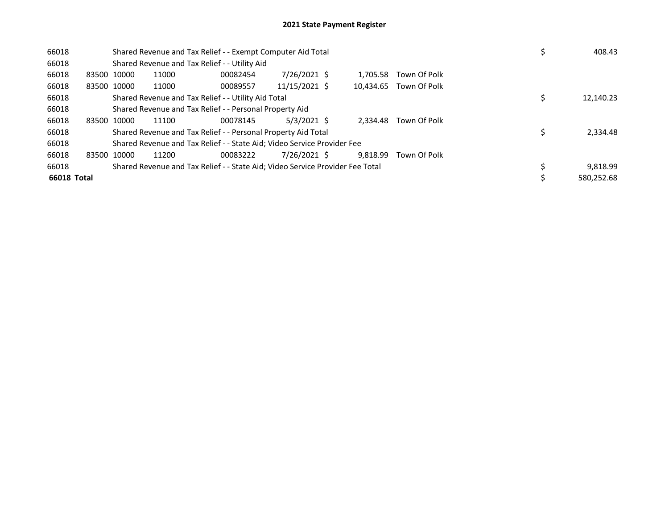| 66018       |             |       | Shared Revenue and Tax Relief - - Exempt Computer Aid Total                   | 408.43        |          |                        |            |
|-------------|-------------|-------|-------------------------------------------------------------------------------|---------------|----------|------------------------|------------|
| 66018       |             |       | Shared Revenue and Tax Relief - - Utility Aid                                 |               |          |                        |            |
| 66018       | 83500 10000 | 11000 | 00082454                                                                      | 7/26/2021 \$  | 1.705.58 | Town Of Polk           |            |
| 66018       | 83500 10000 | 11000 | 00089557                                                                      | 11/15/2021 \$ |          | 10,434.65 Town Of Polk |            |
| 66018       |             |       | Shared Revenue and Tax Relief - - Utility Aid Total                           |               |          |                        | 12,140.23  |
| 66018       |             |       | Shared Revenue and Tax Relief - - Personal Property Aid                       |               |          |                        |            |
| 66018       | 83500 10000 | 11100 | 00078145                                                                      | $5/3/2021$ \$ | 2.334.48 | Town Of Polk           |            |
| 66018       |             |       | Shared Revenue and Tax Relief - - Personal Property Aid Total                 |               |          |                        | 2,334.48   |
| 66018       |             |       | Shared Revenue and Tax Relief - - State Aid; Video Service Provider Fee       |               |          |                        |            |
| 66018       | 83500 10000 | 11200 | 00083222                                                                      | 7/26/2021 \$  | 9.818.99 | Town Of Polk           |            |
| 66018       |             |       | Shared Revenue and Tax Relief - - State Aid; Video Service Provider Fee Total |               |          |                        | 9,818.99   |
| 66018 Total |             |       |                                                                               |               |          |                        | 580.252.68 |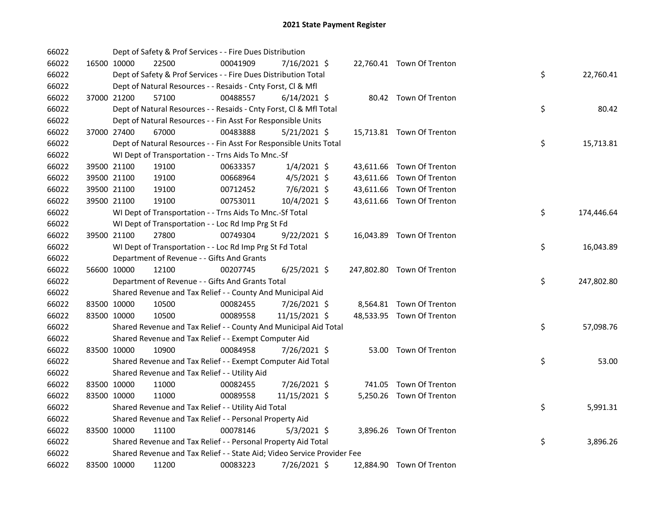| 66022 |             | Dept of Safety & Prof Services - - Fire Dues Distribution               |          |                |  |                            |    |            |
|-------|-------------|-------------------------------------------------------------------------|----------|----------------|--|----------------------------|----|------------|
| 66022 | 16500 10000 | 22500                                                                   | 00041909 | 7/16/2021 \$   |  | 22,760.41 Town Of Trenton  |    |            |
| 66022 |             | Dept of Safety & Prof Services - - Fire Dues Distribution Total         |          |                |  |                            | \$ | 22,760.41  |
| 66022 |             | Dept of Natural Resources - - Resaids - Cnty Forst, Cl & Mfl            |          |                |  |                            |    |            |
| 66022 | 37000 21200 | 57100                                                                   | 00488557 | $6/14/2021$ \$ |  | 80.42 Town Of Trenton      |    |            |
| 66022 |             | Dept of Natural Resources - - Resaids - Cnty Forst, Cl & Mfl Total      |          |                |  |                            | \$ | 80.42      |
| 66022 |             | Dept of Natural Resources - - Fin Asst For Responsible Units            |          |                |  |                            |    |            |
| 66022 | 37000 27400 | 67000                                                                   | 00483888 | $5/21/2021$ \$ |  | 15,713.81 Town Of Trenton  |    |            |
| 66022 |             | Dept of Natural Resources - - Fin Asst For Responsible Units Total      |          |                |  |                            | \$ | 15,713.81  |
| 66022 |             | WI Dept of Transportation - - Trns Aids To Mnc.-Sf                      |          |                |  |                            |    |            |
| 66022 | 39500 21100 | 19100                                                                   | 00633357 | $1/4/2021$ \$  |  | 43,611.66 Town Of Trenton  |    |            |
| 66022 | 39500 21100 | 19100                                                                   | 00668964 | $4/5/2021$ \$  |  | 43,611.66 Town Of Trenton  |    |            |
| 66022 | 39500 21100 | 19100                                                                   | 00712452 | 7/6/2021 \$    |  | 43,611.66 Town Of Trenton  |    |            |
| 66022 | 39500 21100 | 19100                                                                   | 00753011 | 10/4/2021 \$   |  | 43,611.66 Town Of Trenton  |    |            |
| 66022 |             | WI Dept of Transportation - - Trns Aids To Mnc.-Sf Total                |          |                |  |                            | \$ | 174,446.64 |
| 66022 |             | WI Dept of Transportation - - Loc Rd Imp Prg St Fd                      |          |                |  |                            |    |            |
| 66022 | 39500 21100 | 27800                                                                   | 00749304 | $9/22/2021$ \$ |  | 16,043.89 Town Of Trenton  |    |            |
| 66022 |             | WI Dept of Transportation - - Loc Rd Imp Prg St Fd Total                |          |                |  |                            | \$ | 16,043.89  |
| 66022 |             | Department of Revenue - - Gifts And Grants                              |          |                |  |                            |    |            |
| 66022 | 56600 10000 | 12100                                                                   | 00207745 | $6/25/2021$ \$ |  | 247,802.80 Town Of Trenton |    |            |
| 66022 |             | Department of Revenue - - Gifts And Grants Total                        |          |                |  |                            | \$ | 247,802.80 |
| 66022 |             | Shared Revenue and Tax Relief - - County And Municipal Aid              |          |                |  |                            |    |            |
| 66022 | 83500 10000 | 10500                                                                   | 00082455 | 7/26/2021 \$   |  | 8,564.81 Town Of Trenton   |    |            |
| 66022 | 83500 10000 | 10500                                                                   | 00089558 | 11/15/2021 \$  |  | 48,533.95 Town Of Trenton  |    |            |
| 66022 |             | Shared Revenue and Tax Relief - - County And Municipal Aid Total        |          |                |  |                            | \$ | 57,098.76  |
| 66022 |             | Shared Revenue and Tax Relief - - Exempt Computer Aid                   |          |                |  |                            |    |            |
| 66022 | 83500 10000 | 10900                                                                   | 00084958 | 7/26/2021 \$   |  | 53.00 Town Of Trenton      |    |            |
| 66022 |             | Shared Revenue and Tax Relief - - Exempt Computer Aid Total             |          |                |  |                            | \$ | 53.00      |
| 66022 |             | Shared Revenue and Tax Relief - - Utility Aid                           |          |                |  |                            |    |            |
| 66022 | 83500 10000 | 11000                                                                   | 00082455 | 7/26/2021 \$   |  | 741.05 Town Of Trenton     |    |            |
| 66022 | 83500 10000 | 11000                                                                   | 00089558 | 11/15/2021 \$  |  | 5,250.26 Town Of Trenton   |    |            |
| 66022 |             | Shared Revenue and Tax Relief - - Utility Aid Total                     |          |                |  |                            | \$ | 5,991.31   |
| 66022 |             | Shared Revenue and Tax Relief - - Personal Property Aid                 |          |                |  |                            |    |            |
| 66022 | 83500 10000 | 11100                                                                   | 00078146 | $5/3/2021$ \$  |  | 3,896.26 Town Of Trenton   |    |            |
| 66022 |             | Shared Revenue and Tax Relief - - Personal Property Aid Total           |          |                |  |                            | \$ | 3,896.26   |
| 66022 |             | Shared Revenue and Tax Relief - - State Aid; Video Service Provider Fee |          |                |  |                            |    |            |
| 66022 | 83500 10000 | 11200                                                                   | 00083223 | 7/26/2021 \$   |  | 12,884.90 Town Of Trenton  |    |            |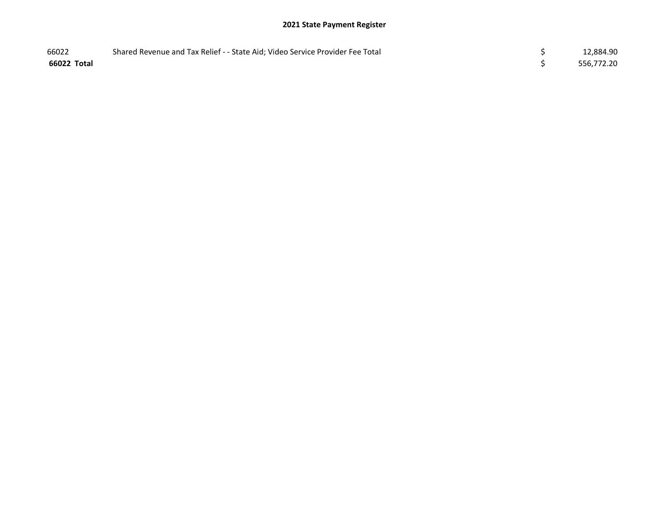| 66022       | Shared Revenue and Tax Relief - - State Aid; Video Service Provider Fee Total | 12,884.90  |
|-------------|-------------------------------------------------------------------------------|------------|
| 66022 Total |                                                                               | 556,772.20 |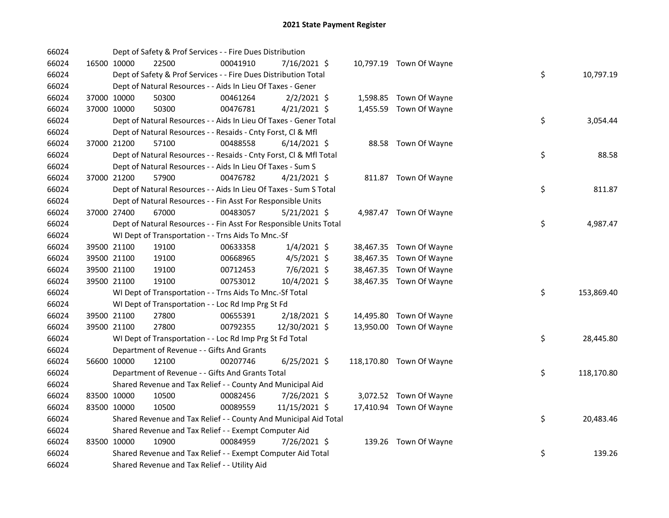| 66024 |             |             | Dept of Safety & Prof Services - - Fire Dues Distribution          |          |                |  |                          |    |            |
|-------|-------------|-------------|--------------------------------------------------------------------|----------|----------------|--|--------------------------|----|------------|
| 66024 |             | 16500 10000 | 22500                                                              | 00041910 | 7/16/2021 \$   |  | 10,797.19 Town Of Wayne  |    |            |
| 66024 |             |             | Dept of Safety & Prof Services - - Fire Dues Distribution Total    |          |                |  |                          | \$ | 10,797.19  |
| 66024 |             |             | Dept of Natural Resources - - Aids In Lieu Of Taxes - Gener        |          |                |  |                          |    |            |
| 66024 |             | 37000 10000 | 50300                                                              | 00461264 | $2/2/2021$ \$  |  | 1,598.85 Town Of Wayne   |    |            |
| 66024 |             | 37000 10000 | 50300                                                              | 00476781 | $4/21/2021$ \$ |  | 1,455.59 Town Of Wayne   |    |            |
| 66024 |             |             | Dept of Natural Resources - - Aids In Lieu Of Taxes - Gener Total  |          |                |  |                          | \$ | 3,054.44   |
| 66024 |             |             | Dept of Natural Resources - - Resaids - Cnty Forst, Cl & Mfl       |          |                |  |                          |    |            |
| 66024 | 37000 21200 |             | 57100                                                              | 00488558 | $6/14/2021$ \$ |  | 88.58 Town Of Wayne      |    |            |
| 66024 |             |             | Dept of Natural Resources - - Resaids - Cnty Forst, Cl & Mfl Total |          |                |  |                          | \$ | 88.58      |
| 66024 |             |             | Dept of Natural Resources - - Aids In Lieu Of Taxes - Sum S        |          |                |  |                          |    |            |
| 66024 |             | 37000 21200 | 57900                                                              | 00476782 | $4/21/2021$ \$ |  | 811.87 Town Of Wayne     |    |            |
| 66024 |             |             | Dept of Natural Resources - - Aids In Lieu Of Taxes - Sum S Total  |          |                |  |                          | \$ | 811.87     |
| 66024 |             |             | Dept of Natural Resources - - Fin Asst For Responsible Units       |          |                |  |                          |    |            |
| 66024 | 37000 27400 |             | 67000                                                              | 00483057 | $5/21/2021$ \$ |  | 4,987.47 Town Of Wayne   |    |            |
| 66024 |             |             | Dept of Natural Resources - - Fin Asst For Responsible Units Total |          |                |  |                          | \$ | 4,987.47   |
| 66024 |             |             | WI Dept of Transportation - - Trns Aids To Mnc.-Sf                 |          |                |  |                          |    |            |
| 66024 |             | 39500 21100 | 19100                                                              | 00633358 | $1/4/2021$ \$  |  | 38,467.35 Town Of Wayne  |    |            |
| 66024 |             | 39500 21100 | 19100                                                              | 00668965 | $4/5/2021$ \$  |  | 38,467.35 Town Of Wayne  |    |            |
| 66024 |             | 39500 21100 | 19100                                                              | 00712453 | $7/6/2021$ \$  |  | 38,467.35 Town Of Wayne  |    |            |
| 66024 |             | 39500 21100 | 19100                                                              | 00753012 | 10/4/2021 \$   |  | 38,467.35 Town Of Wayne  |    |            |
| 66024 |             |             | WI Dept of Transportation - - Trns Aids To Mnc.-Sf Total           |          |                |  |                          | \$ | 153,869.40 |
| 66024 |             |             | WI Dept of Transportation - - Loc Rd Imp Prg St Fd                 |          |                |  |                          |    |            |
| 66024 |             | 39500 21100 | 27800                                                              | 00655391 | 2/18/2021 \$   |  | 14,495.80 Town Of Wayne  |    |            |
| 66024 |             | 39500 21100 | 27800                                                              | 00792355 | 12/30/2021 \$  |  | 13,950.00 Town Of Wayne  |    |            |
| 66024 |             |             | WI Dept of Transportation - - Loc Rd Imp Prg St Fd Total           |          |                |  |                          | \$ | 28,445.80  |
| 66024 |             |             | Department of Revenue - - Gifts And Grants                         |          |                |  |                          |    |            |
| 66024 |             | 56600 10000 | 12100                                                              | 00207746 | $6/25/2021$ \$ |  | 118,170.80 Town Of Wayne |    |            |
| 66024 |             |             | Department of Revenue - - Gifts And Grants Total                   |          |                |  |                          | \$ | 118,170.80 |
| 66024 |             |             | Shared Revenue and Tax Relief - - County And Municipal Aid         |          |                |  |                          |    |            |
| 66024 |             | 83500 10000 | 10500                                                              | 00082456 | 7/26/2021 \$   |  | 3,072.52 Town Of Wayne   |    |            |
| 66024 |             | 83500 10000 | 10500                                                              | 00089559 | 11/15/2021 \$  |  | 17,410.94 Town Of Wayne  |    |            |
| 66024 |             |             | Shared Revenue and Tax Relief - - County And Municipal Aid Total   |          |                |  |                          | \$ | 20,483.46  |
| 66024 |             |             | Shared Revenue and Tax Relief - - Exempt Computer Aid              |          |                |  |                          |    |            |
| 66024 |             | 83500 10000 | 10900                                                              | 00084959 | 7/26/2021 \$   |  | 139.26 Town Of Wayne     |    |            |
| 66024 |             |             | Shared Revenue and Tax Relief - - Exempt Computer Aid Total        |          |                |  |                          | \$ | 139.26     |
| 66024 |             |             | Shared Revenue and Tax Relief - - Utility Aid                      |          |                |  |                          |    |            |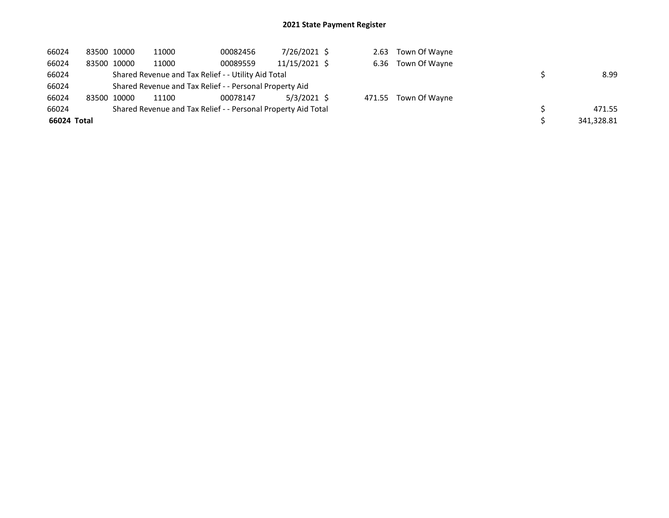| 66024       | 83500 10000 | 11000                                                         | 00082456 | 7/26/2021 \$  |  | 2.63 Town Of Wayne   |            |
|-------------|-------------|---------------------------------------------------------------|----------|---------------|--|----------------------|------------|
| 66024       | 83500 10000 | 11000                                                         | 00089559 | 11/15/2021 \$ |  | 6.36 Town Of Wayne   |            |
| 66024       |             | Shared Revenue and Tax Relief - - Utility Aid Total           |          |               |  |                      | 8.99       |
| 66024       |             | Shared Revenue and Tax Relief - - Personal Property Aid       |          |               |  |                      |            |
| 66024       | 83500 10000 | 11100                                                         | 00078147 | $5/3/2021$ \$ |  | 471.55 Town Of Wayne |            |
| 66024       |             | Shared Revenue and Tax Relief - - Personal Property Aid Total |          |               |  |                      | 471.55     |
| 66024 Total |             |                                                               |          |               |  |                      | 341,328.81 |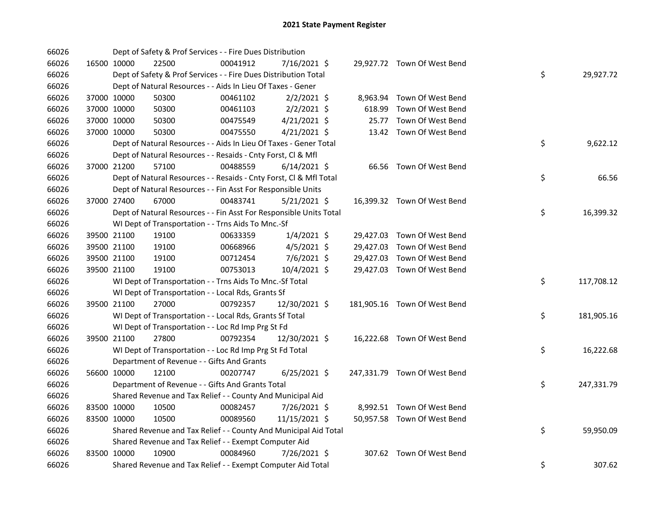| 66026 |             | Dept of Safety & Prof Services - - Fire Dues Distribution          |          |                |        |                              |    |            |
|-------|-------------|--------------------------------------------------------------------|----------|----------------|--------|------------------------------|----|------------|
| 66026 | 16500 10000 | 22500                                                              | 00041912 | 7/16/2021 \$   |        | 29,927.72 Town Of West Bend  |    |            |
| 66026 |             | Dept of Safety & Prof Services - - Fire Dues Distribution Total    |          |                |        |                              | \$ | 29,927.72  |
| 66026 |             | Dept of Natural Resources - - Aids In Lieu Of Taxes - Gener        |          |                |        |                              |    |            |
| 66026 | 37000 10000 | 50300                                                              | 00461102 | $2/2/2021$ \$  |        | 8,963.94 Town Of West Bend   |    |            |
| 66026 | 37000 10000 | 50300                                                              | 00461103 | $2/2/2021$ \$  | 618.99 | Town Of West Bend            |    |            |
| 66026 | 37000 10000 | 50300                                                              | 00475549 | $4/21/2021$ \$ | 25.77  | Town Of West Bend            |    |            |
| 66026 | 37000 10000 | 50300                                                              | 00475550 | $4/21/2021$ \$ |        | 13.42 Town Of West Bend      |    |            |
| 66026 |             | Dept of Natural Resources - - Aids In Lieu Of Taxes - Gener Total  |          |                |        |                              | \$ | 9,622.12   |
| 66026 |             | Dept of Natural Resources - - Resaids - Cnty Forst, CI & Mfl       |          |                |        |                              |    |            |
| 66026 | 37000 21200 | 57100                                                              | 00488559 | $6/14/2021$ \$ |        | 66.56 Town Of West Bend      |    |            |
| 66026 |             | Dept of Natural Resources - - Resaids - Cnty Forst, Cl & Mfl Total |          |                |        |                              | \$ | 66.56      |
| 66026 |             | Dept of Natural Resources - - Fin Asst For Responsible Units       |          |                |        |                              |    |            |
| 66026 | 37000 27400 | 67000                                                              | 00483741 | $5/21/2021$ \$ |        | 16,399.32 Town Of West Bend  |    |            |
| 66026 |             | Dept of Natural Resources - - Fin Asst For Responsible Units Total |          |                |        |                              | \$ | 16,399.32  |
| 66026 |             | WI Dept of Transportation - - Trns Aids To Mnc.-Sf                 |          |                |        |                              |    |            |
| 66026 | 39500 21100 | 19100                                                              | 00633359 | $1/4/2021$ \$  |        | 29,427.03 Town Of West Bend  |    |            |
| 66026 | 39500 21100 | 19100                                                              | 00668966 | $4/5/2021$ \$  |        | 29,427.03 Town Of West Bend  |    |            |
| 66026 | 39500 21100 | 19100                                                              | 00712454 | 7/6/2021 \$    |        | 29,427.03 Town Of West Bend  |    |            |
| 66026 | 39500 21100 | 19100                                                              | 00753013 | 10/4/2021 \$   |        | 29,427.03 Town Of West Bend  |    |            |
| 66026 |             | WI Dept of Transportation - - Trns Aids To Mnc.-Sf Total           |          |                |        |                              | \$ | 117,708.12 |
| 66026 |             | WI Dept of Transportation - - Local Rds, Grants Sf                 |          |                |        |                              |    |            |
| 66026 | 39500 21100 | 27000                                                              | 00792357 | 12/30/2021 \$  |        | 181,905.16 Town Of West Bend |    |            |
| 66026 |             | WI Dept of Transportation - - Local Rds, Grants Sf Total           |          |                |        |                              | \$ | 181,905.16 |
| 66026 |             | WI Dept of Transportation - - Loc Rd Imp Prg St Fd                 |          |                |        |                              |    |            |
| 66026 | 39500 21100 | 27800                                                              | 00792354 | 12/30/2021 \$  |        | 16,222.68 Town Of West Bend  |    |            |
| 66026 |             | WI Dept of Transportation - - Loc Rd Imp Prg St Fd Total           |          |                |        |                              | \$ | 16,222.68  |
| 66026 |             | Department of Revenue - - Gifts And Grants                         |          |                |        |                              |    |            |
| 66026 | 56600 10000 | 12100                                                              | 00207747 | $6/25/2021$ \$ |        | 247,331.79 Town Of West Bend |    |            |
| 66026 |             | Department of Revenue - - Gifts And Grants Total                   |          |                |        |                              | \$ | 247,331.79 |
| 66026 |             | Shared Revenue and Tax Relief - - County And Municipal Aid         |          |                |        |                              |    |            |
| 66026 | 83500 10000 | 10500                                                              | 00082457 | 7/26/2021 \$   |        | 8,992.51 Town Of West Bend   |    |            |
| 66026 | 83500 10000 | 10500                                                              | 00089560 | 11/15/2021 \$  |        | 50,957.58 Town Of West Bend  |    |            |
| 66026 |             | Shared Revenue and Tax Relief - - County And Municipal Aid Total   |          |                |        |                              | \$ | 59,950.09  |
| 66026 |             | Shared Revenue and Tax Relief - - Exempt Computer Aid              |          |                |        |                              |    |            |
| 66026 | 83500 10000 | 10900                                                              | 00084960 | 7/26/2021 \$   |        | 307.62 Town Of West Bend     |    |            |
| 66026 |             | Shared Revenue and Tax Relief - - Exempt Computer Aid Total        |          |                |        |                              | \$ | 307.62     |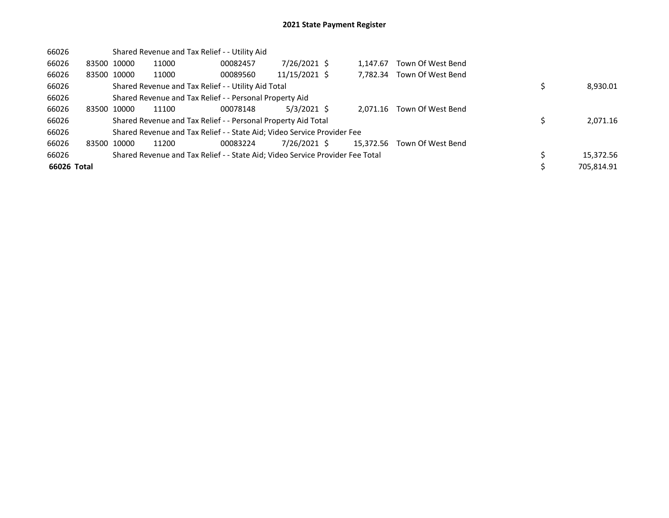| 66026       |             |             | Shared Revenue and Tax Relief - - Utility Aid                                 |          |               |           |                   |            |
|-------------|-------------|-------------|-------------------------------------------------------------------------------|----------|---------------|-----------|-------------------|------------|
| 66026       |             | 83500 10000 | 11000                                                                         | 00082457 | 7/26/2021 \$  | 1.147.67  | Town Of West Bend |            |
| 66026       |             | 83500 10000 | 11000                                                                         | 00089560 | 11/15/2021 \$ | 7,782.34  | Town Of West Bend |            |
| 66026       |             |             | Shared Revenue and Tax Relief - - Utility Aid Total                           |          |               |           |                   | 8,930.01   |
| 66026       |             |             | Shared Revenue and Tax Relief - - Personal Property Aid                       |          |               |           |                   |            |
| 66026       | 83500 10000 |             | 11100                                                                         | 00078148 | $5/3/2021$ \$ | 2.071.16  | Town Of West Bend |            |
| 66026       |             |             | Shared Revenue and Tax Relief - - Personal Property Aid Total                 |          |               |           |                   | 2,071.16   |
| 66026       |             |             | Shared Revenue and Tax Relief - - State Aid; Video Service Provider Fee       |          |               |           |                   |            |
| 66026       | 83500 10000 |             | 11200                                                                         | 00083224 | 7/26/2021 \$  | 15,372.56 | Town Of West Bend |            |
| 66026       |             |             | Shared Revenue and Tax Relief - - State Aid; Video Service Provider Fee Total |          |               |           |                   | 15,372.56  |
| 66026 Total |             |             |                                                                               |          |               |           |                   | 705.814.91 |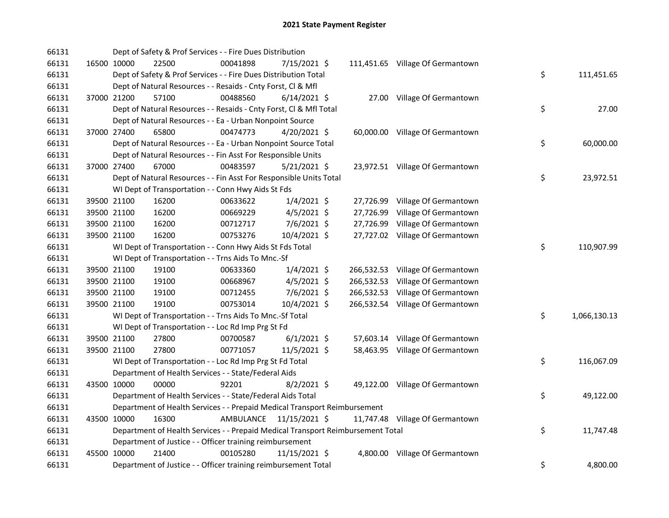| 66131 |             | Dept of Safety & Prof Services - - Fire Dues Distribution                       |                         |                |           |                                  |    |              |
|-------|-------------|---------------------------------------------------------------------------------|-------------------------|----------------|-----------|----------------------------------|----|--------------|
| 66131 | 16500 10000 | 22500                                                                           | 00041898                | 7/15/2021 \$   |           | 111,451.65 Village Of Germantown |    |              |
| 66131 |             | Dept of Safety & Prof Services - - Fire Dues Distribution Total                 |                         |                |           |                                  | \$ | 111,451.65   |
| 66131 |             | Dept of Natural Resources - - Resaids - Cnty Forst, Cl & Mfl                    |                         |                |           |                                  |    |              |
| 66131 | 37000 21200 | 57100                                                                           | 00488560                | $6/14/2021$ \$ |           | 27.00 Village Of Germantown      |    |              |
| 66131 |             | Dept of Natural Resources - - Resaids - Cnty Forst, CI & Mfl Total              |                         |                |           |                                  | \$ | 27.00        |
| 66131 |             | Dept of Natural Resources - - Ea - Urban Nonpoint Source                        |                         |                |           |                                  |    |              |
| 66131 | 37000 27400 | 65800                                                                           | 00474773                | $4/20/2021$ \$ |           | 60,000.00 Village Of Germantown  |    |              |
| 66131 |             | Dept of Natural Resources - - Ea - Urban Nonpoint Source Total                  |                         |                |           |                                  | \$ | 60,000.00    |
| 66131 |             | Dept of Natural Resources - - Fin Asst For Responsible Units                    |                         |                |           |                                  |    |              |
| 66131 | 37000 27400 | 67000                                                                           | 00483597                | $5/21/2021$ \$ |           | 23,972.51 Village Of Germantown  |    |              |
| 66131 |             | Dept of Natural Resources - - Fin Asst For Responsible Units Total              |                         |                |           |                                  | \$ | 23,972.51    |
| 66131 |             | WI Dept of Transportation - - Conn Hwy Aids St Fds                              |                         |                |           |                                  |    |              |
| 66131 | 39500 21100 | 16200                                                                           | 00633622                | $1/4/2021$ \$  |           | 27,726.99 Village Of Germantown  |    |              |
| 66131 | 39500 21100 | 16200                                                                           | 00669229                | $4/5/2021$ \$  | 27,726.99 | Village Of Germantown            |    |              |
| 66131 | 39500 21100 | 16200                                                                           | 00712717                | 7/6/2021 \$    | 27,726.99 | Village Of Germantown            |    |              |
| 66131 | 39500 21100 | 16200                                                                           | 00753276                | 10/4/2021 \$   |           | 27,727.02 Village Of Germantown  |    |              |
| 66131 |             | WI Dept of Transportation - - Conn Hwy Aids St Fds Total                        |                         |                |           |                                  | \$ | 110,907.99   |
| 66131 |             | WI Dept of Transportation - - Trns Aids To Mnc.-Sf                              |                         |                |           |                                  |    |              |
| 66131 | 39500 21100 | 19100                                                                           | 00633360                | $1/4/2021$ \$  |           | 266,532.53 Village Of Germantown |    |              |
| 66131 | 39500 21100 | 19100                                                                           | 00668967                | $4/5/2021$ \$  |           | 266,532.53 Village Of Germantown |    |              |
| 66131 | 39500 21100 | 19100                                                                           | 00712455                | $7/6/2021$ \$  |           | 266,532.53 Village Of Germantown |    |              |
| 66131 | 39500 21100 | 19100                                                                           | 00753014                | 10/4/2021 \$   |           | 266,532.54 Village Of Germantown |    |              |
| 66131 |             | WI Dept of Transportation - - Trns Aids To Mnc.-Sf Total                        |                         |                |           |                                  | \$ | 1,066,130.13 |
| 66131 |             | WI Dept of Transportation - - Loc Rd Imp Prg St Fd                              |                         |                |           |                                  |    |              |
| 66131 | 39500 21100 | 27800                                                                           | 00700587                | $6/1/2021$ \$  |           | 57,603.14 Village Of Germantown  |    |              |
| 66131 | 39500 21100 | 27800                                                                           | 00771057                | 11/5/2021 \$   |           | 58,463.95 Village Of Germantown  |    |              |
| 66131 |             | WI Dept of Transportation - - Loc Rd Imp Prg St Fd Total                        |                         |                |           |                                  | \$ | 116,067.09   |
| 66131 |             | Department of Health Services - - State/Federal Aids                            |                         |                |           |                                  |    |              |
| 66131 | 43500 10000 | 00000                                                                           | 92201                   | 8/2/2021 \$    |           | 49,122.00 Village Of Germantown  |    |              |
| 66131 |             | Department of Health Services - - State/Federal Aids Total                      |                         |                |           |                                  | \$ | 49,122.00    |
| 66131 |             | Department of Health Services - - Prepaid Medical Transport Reimbursement       |                         |                |           |                                  |    |              |
| 66131 | 43500 10000 | 16300                                                                           | AMBULANCE 11/15/2021 \$ |                |           | 11,747.48 Village Of Germantown  |    |              |
| 66131 |             | Department of Health Services - - Prepaid Medical Transport Reimbursement Total |                         |                |           |                                  | \$ | 11,747.48    |
| 66131 |             | Department of Justice - - Officer training reimbursement                        |                         |                |           |                                  |    |              |
| 66131 | 45500 10000 | 21400                                                                           | 00105280                | 11/15/2021 \$  |           | 4,800.00 Village Of Germantown   |    |              |
| 66131 |             | Department of Justice - - Officer training reimbursement Total                  |                         |                |           |                                  | \$ | 4,800.00     |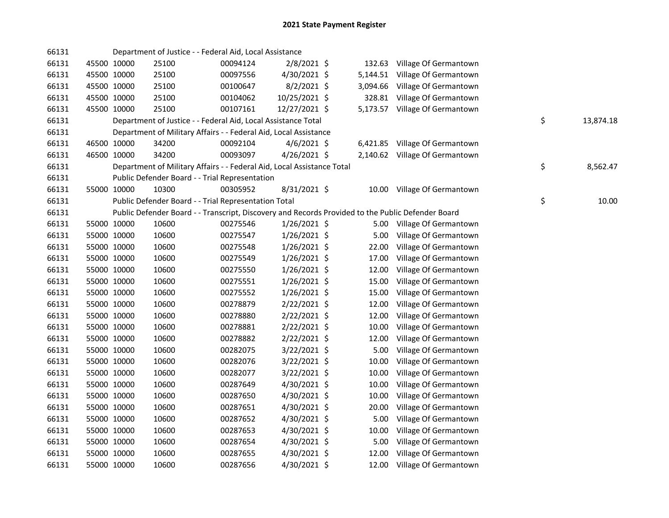| 66131 |             |             | Department of Justice - - Federal Aid, Local Assistance                |          |                |       |                                                                                                   |                 |
|-------|-------------|-------------|------------------------------------------------------------------------|----------|----------------|-------|---------------------------------------------------------------------------------------------------|-----------------|
| 66131 |             | 45500 10000 | 25100                                                                  | 00094124 | $2/8/2021$ \$  |       | 132.63 Village Of Germantown                                                                      |                 |
| 66131 |             | 45500 10000 | 25100                                                                  | 00097556 | 4/30/2021 \$   |       | 5,144.51 Village Of Germantown                                                                    |                 |
| 66131 |             | 45500 10000 | 25100                                                                  | 00100647 | $8/2/2021$ \$  |       | 3,094.66 Village Of Germantown                                                                    |                 |
| 66131 | 45500 10000 |             | 25100                                                                  | 00104062 | 10/25/2021 \$  |       | 328.81 Village Of Germantown                                                                      |                 |
| 66131 | 45500 10000 |             | 25100                                                                  | 00107161 | 12/27/2021 \$  |       | 5,173.57 Village Of Germantown                                                                    |                 |
| 66131 |             |             | Department of Justice - - Federal Aid, Local Assistance Total          |          |                |       |                                                                                                   | \$<br>13,874.18 |
| 66131 |             |             | Department of Military Affairs - - Federal Aid, Local Assistance       |          |                |       |                                                                                                   |                 |
| 66131 | 46500 10000 |             | 34200                                                                  | 00092104 | $4/6/2021$ \$  |       | 6,421.85 Village Of Germantown                                                                    |                 |
| 66131 | 46500 10000 |             | 34200                                                                  | 00093097 | $4/26/2021$ \$ |       | 2,140.62 Village Of Germantown                                                                    |                 |
| 66131 |             |             | Department of Military Affairs - - Federal Aid, Local Assistance Total |          |                |       |                                                                                                   | \$<br>8,562.47  |
| 66131 |             |             | Public Defender Board - - Trial Representation                         |          |                |       |                                                                                                   |                 |
| 66131 | 55000 10000 |             | 10300                                                                  | 00305952 | 8/31/2021 \$   |       | 10.00 Village Of Germantown                                                                       |                 |
| 66131 |             |             | Public Defender Board - - Trial Representation Total                   |          |                |       |                                                                                                   | \$<br>10.00     |
| 66131 |             |             |                                                                        |          |                |       | Public Defender Board - - Transcript, Discovery and Records Provided to the Public Defender Board |                 |
| 66131 |             | 55000 10000 | 10600                                                                  | 00275546 | $1/26/2021$ \$ |       | 5.00 Village Of Germantown                                                                        |                 |
| 66131 |             | 55000 10000 | 10600                                                                  | 00275547 | $1/26/2021$ \$ | 5.00  | Village Of Germantown                                                                             |                 |
| 66131 |             | 55000 10000 | 10600                                                                  | 00275548 | $1/26/2021$ \$ | 22.00 | Village Of Germantown                                                                             |                 |
| 66131 |             | 55000 10000 | 10600                                                                  | 00275549 | $1/26/2021$ \$ | 17.00 | Village Of Germantown                                                                             |                 |
| 66131 |             | 55000 10000 | 10600                                                                  | 00275550 | $1/26/2021$ \$ | 12.00 | Village Of Germantown                                                                             |                 |
| 66131 | 55000 10000 |             | 10600                                                                  | 00275551 | $1/26/2021$ \$ | 15.00 | Village Of Germantown                                                                             |                 |
| 66131 | 55000 10000 |             | 10600                                                                  | 00275552 | $1/26/2021$ \$ | 15.00 | Village Of Germantown                                                                             |                 |
| 66131 | 55000 10000 |             | 10600                                                                  | 00278879 | 2/22/2021 \$   | 12.00 | Village Of Germantown                                                                             |                 |
| 66131 | 55000 10000 |             | 10600                                                                  | 00278880 | 2/22/2021 \$   | 12.00 | Village Of Germantown                                                                             |                 |
| 66131 | 55000 10000 |             | 10600                                                                  | 00278881 | 2/22/2021 \$   | 10.00 | Village Of Germantown                                                                             |                 |
| 66131 | 55000 10000 |             | 10600                                                                  | 00278882 | 2/22/2021 \$   | 12.00 | Village Of Germantown                                                                             |                 |
| 66131 | 55000 10000 |             | 10600                                                                  | 00282075 | 3/22/2021 \$   | 5.00  | Village Of Germantown                                                                             |                 |
| 66131 | 55000 10000 |             | 10600                                                                  | 00282076 | $3/22/2021$ \$ | 10.00 | Village Of Germantown                                                                             |                 |
| 66131 | 55000 10000 |             | 10600                                                                  | 00282077 | $3/22/2021$ \$ | 10.00 | Village Of Germantown                                                                             |                 |
| 66131 | 55000 10000 |             | 10600                                                                  | 00287649 | 4/30/2021 \$   | 10.00 | Village Of Germantown                                                                             |                 |
| 66131 | 55000 10000 |             | 10600                                                                  | 00287650 | 4/30/2021 \$   | 10.00 | Village Of Germantown                                                                             |                 |
| 66131 |             | 55000 10000 | 10600                                                                  | 00287651 | 4/30/2021 \$   | 20.00 | Village Of Germantown                                                                             |                 |
| 66131 | 55000 10000 |             | 10600                                                                  | 00287652 | 4/30/2021 \$   | 5.00  | Village Of Germantown                                                                             |                 |
| 66131 | 55000 10000 |             | 10600                                                                  | 00287653 | 4/30/2021 \$   | 10.00 | Village Of Germantown                                                                             |                 |
| 66131 | 55000 10000 |             | 10600                                                                  | 00287654 | 4/30/2021 \$   | 5.00  | Village Of Germantown                                                                             |                 |
| 66131 |             | 55000 10000 | 10600                                                                  | 00287655 | 4/30/2021 \$   | 12.00 | Village Of Germantown                                                                             |                 |
| 66131 |             | 55000 10000 | 10600                                                                  | 00287656 | 4/30/2021 \$   |       | 12.00 Village Of Germantown                                                                       |                 |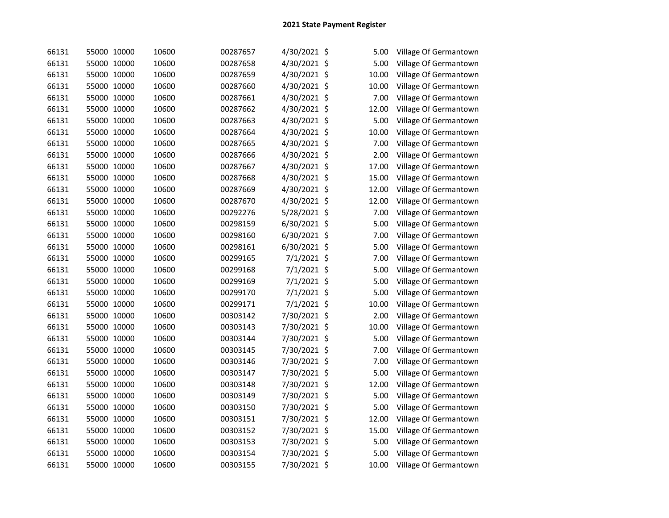| 66131 | 55000 10000 | 10600 | 00287657 | 4/30/2021 \$  | 5.00       | Village Of Germantown |
|-------|-------------|-------|----------|---------------|------------|-----------------------|
| 66131 | 55000 10000 | 10600 | 00287658 | 4/30/2021 \$  | 5.00       | Village Of Germantown |
| 66131 | 55000 10000 | 10600 | 00287659 | 4/30/2021 \$  | 10.00      | Village Of Germantown |
| 66131 | 55000 10000 | 10600 | 00287660 | 4/30/2021 \$  | 10.00      | Village Of Germantown |
| 66131 | 55000 10000 | 10600 | 00287661 | 4/30/2021 \$  | 7.00       | Village Of Germantown |
| 66131 | 55000 10000 | 10600 | 00287662 | 4/30/2021 \$  | 12.00      | Village Of Germantown |
| 66131 | 55000 10000 | 10600 | 00287663 | 4/30/2021 \$  | 5.00       | Village Of Germantown |
| 66131 | 55000 10000 | 10600 | 00287664 | 4/30/2021 \$  | 10.00      | Village Of Germantown |
| 66131 | 55000 10000 | 10600 | 00287665 | 4/30/2021     | \$<br>7.00 | Village Of Germantown |
| 66131 | 55000 10000 | 10600 | 00287666 | 4/30/2021 \$  | 2.00       | Village Of Germantown |
| 66131 | 55000 10000 | 10600 | 00287667 | 4/30/2021 \$  | 17.00      | Village Of Germantown |
| 66131 | 55000 10000 | 10600 | 00287668 | 4/30/2021 \$  | 15.00      | Village Of Germantown |
| 66131 | 55000 10000 | 10600 | 00287669 | 4/30/2021 \$  | 12.00      | Village Of Germantown |
| 66131 | 55000 10000 | 10600 | 00287670 | 4/30/2021 \$  | 12.00      | Village Of Germantown |
| 66131 | 55000 10000 | 10600 | 00292276 | 5/28/2021 \$  | 7.00       | Village Of Germantown |
| 66131 | 55000 10000 | 10600 | 00298159 | 6/30/2021 \$  | 5.00       | Village Of Germantown |
| 66131 | 55000 10000 | 10600 | 00298160 | 6/30/2021 \$  | 7.00       | Village Of Germantown |
| 66131 | 55000 10000 | 10600 | 00298161 | 6/30/2021 \$  | 5.00       | Village Of Germantown |
| 66131 | 55000 10000 | 10600 | 00299165 | 7/1/2021 \$   | 7.00       | Village Of Germantown |
| 66131 | 55000 10000 | 10600 | 00299168 | 7/1/2021 \$   | 5.00       | Village Of Germantown |
| 66131 | 55000 10000 | 10600 | 00299169 | $7/1/2021$ \$ | 5.00       | Village Of Germantown |
| 66131 | 55000 10000 | 10600 | 00299170 | 7/1/2021 \$   | 5.00       | Village Of Germantown |
| 66131 | 55000 10000 | 10600 | 00299171 | 7/1/2021 \$   | 10.00      | Village Of Germantown |
| 66131 | 55000 10000 | 10600 | 00303142 | 7/30/2021 \$  | 2.00       | Village Of Germantown |
| 66131 | 55000 10000 | 10600 | 00303143 | 7/30/2021 \$  | 10.00      | Village Of Germantown |
| 66131 | 55000 10000 | 10600 | 00303144 | 7/30/2021 \$  | 5.00       | Village Of Germantown |
| 66131 | 55000 10000 | 10600 | 00303145 | 7/30/2021 \$  | 7.00       | Village Of Germantown |
| 66131 | 55000 10000 | 10600 | 00303146 | 7/30/2021 \$  | 7.00       | Village Of Germantown |
| 66131 | 55000 10000 | 10600 | 00303147 | 7/30/2021 \$  | 5.00       | Village Of Germantown |
| 66131 | 55000 10000 | 10600 | 00303148 | 7/30/2021 \$  | 12.00      | Village Of Germantown |
| 66131 | 55000 10000 | 10600 | 00303149 | 7/30/2021 \$  | 5.00       | Village Of Germantown |
| 66131 | 55000 10000 | 10600 | 00303150 | 7/30/2021 \$  | 5.00       | Village Of Germantown |
| 66131 | 55000 10000 | 10600 | 00303151 | 7/30/2021 \$  | 12.00      | Village Of Germantown |
| 66131 | 55000 10000 | 10600 | 00303152 | 7/30/2021 \$  | 15.00      | Village Of Germantown |
| 66131 | 55000 10000 | 10600 | 00303153 | 7/30/2021 \$  | 5.00       | Village Of Germantown |
| 66131 | 55000 10000 | 10600 | 00303154 | 7/30/2021 \$  | 5.00       | Village Of Germantown |
| 66131 | 55000 10000 | 10600 | 00303155 | 7/30/2021 \$  | 10.00      | Village Of Germantown |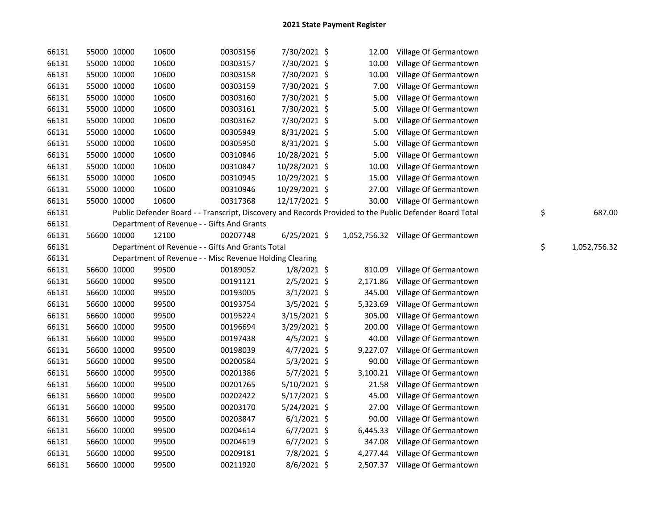| 66131 |             | 55000 10000 | 10600                                                   | 00303156 | 7/30/2021 \$   |          | 12.00 Village Of Germantown                                                                             |    |              |
|-------|-------------|-------------|---------------------------------------------------------|----------|----------------|----------|---------------------------------------------------------------------------------------------------------|----|--------------|
| 66131 |             | 55000 10000 | 10600                                                   | 00303157 | 7/30/2021 \$   | 10.00    | Village Of Germantown                                                                                   |    |              |
| 66131 |             | 55000 10000 | 10600                                                   | 00303158 | 7/30/2021 \$   | 10.00    | Village Of Germantown                                                                                   |    |              |
| 66131 |             | 55000 10000 | 10600                                                   | 00303159 | 7/30/2021 \$   | 7.00     | Village Of Germantown                                                                                   |    |              |
| 66131 |             | 55000 10000 | 10600                                                   | 00303160 | 7/30/2021 \$   | 5.00     | Village Of Germantown                                                                                   |    |              |
| 66131 |             | 55000 10000 | 10600                                                   | 00303161 | 7/30/2021 \$   | 5.00     | Village Of Germantown                                                                                   |    |              |
| 66131 |             | 55000 10000 | 10600                                                   | 00303162 | 7/30/2021 \$   | 5.00     | Village Of Germantown                                                                                   |    |              |
| 66131 |             | 55000 10000 | 10600                                                   | 00305949 | $8/31/2021$ \$ | 5.00     | Village Of Germantown                                                                                   |    |              |
| 66131 |             | 55000 10000 | 10600                                                   | 00305950 | 8/31/2021 \$   | 5.00     | Village Of Germantown                                                                                   |    |              |
| 66131 |             | 55000 10000 | 10600                                                   | 00310846 | 10/28/2021 \$  | 5.00     | Village Of Germantown                                                                                   |    |              |
| 66131 |             | 55000 10000 | 10600                                                   | 00310847 | 10/28/2021 \$  | 10.00    | Village Of Germantown                                                                                   |    |              |
| 66131 |             | 55000 10000 | 10600                                                   | 00310945 | 10/29/2021 \$  | 15.00    | Village Of Germantown                                                                                   |    |              |
| 66131 |             | 55000 10000 | 10600                                                   | 00310946 | 10/29/2021 \$  | 27.00    | Village Of Germantown                                                                                   |    |              |
| 66131 |             | 55000 10000 | 10600                                                   | 00317368 | 12/17/2021 \$  |          | 30.00 Village Of Germantown                                                                             |    |              |
| 66131 |             |             |                                                         |          |                |          | Public Defender Board - - Transcript, Discovery and Records Provided to the Public Defender Board Total | \$ | 687.00       |
| 66131 |             |             | Department of Revenue - - Gifts And Grants              |          |                |          |                                                                                                         |    |              |
| 66131 |             | 56600 10000 | 12100                                                   | 00207748 | $6/25/2021$ \$ |          | 1,052,756.32 Village Of Germantown                                                                      |    |              |
| 66131 |             |             | Department of Revenue - - Gifts And Grants Total        |          |                |          |                                                                                                         | \$ | 1,052,756.32 |
| 66131 |             |             | Department of Revenue - - Misc Revenue Holding Clearing |          |                |          |                                                                                                         |    |              |
| 66131 |             | 56600 10000 | 99500                                                   | 00189052 | $1/8/2021$ \$  | 810.09   | Village Of Germantown                                                                                   |    |              |
| 66131 |             | 56600 10000 | 99500                                                   | 00191121 | $2/5/2021$ \$  | 2,171.86 | Village Of Germantown                                                                                   |    |              |
| 66131 |             | 56600 10000 | 99500                                                   | 00193005 | $3/1/2021$ \$  | 345.00   | Village Of Germantown                                                                                   |    |              |
| 66131 |             | 56600 10000 | 99500                                                   | 00193754 | 3/5/2021 \$    | 5,323.69 | Village Of Germantown                                                                                   |    |              |
| 66131 |             | 56600 10000 | 99500                                                   | 00195224 | 3/15/2021 \$   | 305.00   | Village Of Germantown                                                                                   |    |              |
| 66131 |             | 56600 10000 | 99500                                                   | 00196694 | 3/29/2021 \$   | 200.00   | Village Of Germantown                                                                                   |    |              |
| 66131 |             | 56600 10000 | 99500                                                   | 00197438 | $4/5/2021$ \$  | 40.00    | Village Of Germantown                                                                                   |    |              |
| 66131 |             | 56600 10000 | 99500                                                   | 00198039 | 4/7/2021 \$    | 9,227.07 | Village Of Germantown                                                                                   |    |              |
| 66131 |             | 56600 10000 | 99500                                                   | 00200584 | $5/3/2021$ \$  | 90.00    | Village Of Germantown                                                                                   |    |              |
| 66131 |             | 56600 10000 | 99500                                                   | 00201386 | $5/7/2021$ \$  | 3,100.21 | Village Of Germantown                                                                                   |    |              |
| 66131 |             | 56600 10000 | 99500                                                   | 00201765 | $5/10/2021$ \$ | 21.58    | Village Of Germantown                                                                                   |    |              |
| 66131 |             | 56600 10000 | 99500                                                   | 00202422 | 5/17/2021 \$   | 45.00    | Village Of Germantown                                                                                   |    |              |
| 66131 |             | 56600 10000 | 99500                                                   | 00203170 | $5/24/2021$ \$ | 27.00    | Village Of Germantown                                                                                   |    |              |
| 66131 |             | 56600 10000 | 99500                                                   | 00203847 | $6/1/2021$ \$  | 90.00    | Village Of Germantown                                                                                   |    |              |
| 66131 |             | 56600 10000 | 99500                                                   | 00204614 | $6/7/2021$ \$  | 6,445.33 | Village Of Germantown                                                                                   |    |              |
| 66131 |             | 56600 10000 | 99500                                                   | 00204619 | $6/7/2021$ \$  |          | 347.08 Village Of Germantown                                                                            |    |              |
| 66131 |             | 56600 10000 | 99500                                                   | 00209181 | 7/8/2021 \$    |          | 4,277.44 Village Of Germantown                                                                          |    |              |
| 66131 | 56600 10000 |             | 99500                                                   | 00211920 | 8/6/2021 \$    |          | 2,507.37 Village Of Germantown                                                                          |    |              |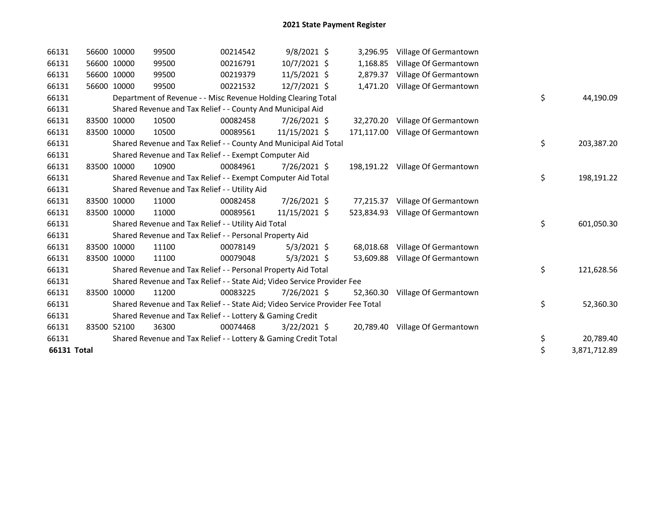| 66131       | 56600 10000 | 99500                                                                         | 00214542 | 9/8/2021 \$    | 3,296.95   | Village Of Germantown            |                    |
|-------------|-------------|-------------------------------------------------------------------------------|----------|----------------|------------|----------------------------------|--------------------|
| 66131       | 56600 10000 | 99500                                                                         | 00216791 | 10/7/2021 \$   | 1,168.85   | Village Of Germantown            |                    |
| 66131       | 56600 10000 | 99500                                                                         | 00219379 | $11/5/2021$ \$ | 2,879.37   | Village Of Germantown            |                    |
| 66131       | 56600 10000 | 99500                                                                         | 00221532 | 12/7/2021 \$   | 1,471.20   | Village Of Germantown            |                    |
| 66131       |             | Department of Revenue - - Misc Revenue Holding Clearing Total                 |          |                |            |                                  | \$<br>44,190.09    |
| 66131       |             | Shared Revenue and Tax Relief - - County And Municipal Aid                    |          |                |            |                                  |                    |
| 66131       | 83500 10000 | 10500                                                                         | 00082458 | 7/26/2021 \$   | 32,270.20  | Village Of Germantown            |                    |
| 66131       | 83500 10000 | 10500                                                                         | 00089561 | 11/15/2021 \$  |            | 171,117.00 Village Of Germantown |                    |
| 66131       |             | Shared Revenue and Tax Relief - - County And Municipal Aid Total              |          |                |            |                                  | \$<br>203,387.20   |
| 66131       |             | Shared Revenue and Tax Relief - - Exempt Computer Aid                         |          |                |            |                                  |                    |
| 66131       | 83500 10000 | 10900                                                                         | 00084961 | 7/26/2021 \$   |            | 198,191.22 Village Of Germantown |                    |
| 66131       |             | Shared Revenue and Tax Relief - - Exempt Computer Aid Total                   |          |                |            |                                  | \$<br>198,191.22   |
| 66131       |             | Shared Revenue and Tax Relief - - Utility Aid                                 |          |                |            |                                  |                    |
| 66131       | 83500 10000 | 11000                                                                         | 00082458 | 7/26/2021 \$   | 77,215.37  | Village Of Germantown            |                    |
| 66131       | 83500 10000 | 11000                                                                         | 00089561 | 11/15/2021 \$  | 523,834.93 | Village Of Germantown            |                    |
| 66131       |             | Shared Revenue and Tax Relief - - Utility Aid Total                           |          |                |            |                                  | \$<br>601,050.30   |
| 66131       |             | Shared Revenue and Tax Relief - - Personal Property Aid                       |          |                |            |                                  |                    |
| 66131       | 83500 10000 | 11100                                                                         | 00078149 | $5/3/2021$ \$  | 68,018.68  | Village Of Germantown            |                    |
| 66131       | 83500 10000 | 11100                                                                         | 00079048 | $5/3/2021$ \$  | 53,609.88  | Village Of Germantown            |                    |
| 66131       |             | Shared Revenue and Tax Relief - - Personal Property Aid Total                 |          |                |            |                                  | \$<br>121,628.56   |
| 66131       |             | Shared Revenue and Tax Relief - - State Aid; Video Service Provider Fee       |          |                |            |                                  |                    |
| 66131       | 83500 10000 | 11200                                                                         | 00083225 | 7/26/2021 \$   | 52.360.30  | Village Of Germantown            |                    |
| 66131       |             | Shared Revenue and Tax Relief - - State Aid; Video Service Provider Fee Total |          |                |            |                                  | \$<br>52,360.30    |
| 66131       |             | Shared Revenue and Tax Relief - - Lottery & Gaming Credit                     |          |                |            |                                  |                    |
| 66131       | 83500 52100 | 36300                                                                         | 00074468 | $3/22/2021$ \$ | 20,789.40  | Village Of Germantown            |                    |
| 66131       |             | Shared Revenue and Tax Relief - - Lottery & Gaming Credit Total               |          |                |            |                                  | \$<br>20,789.40    |
| 66131 Total |             |                                                                               |          |                |            |                                  | \$<br>3,871,712.89 |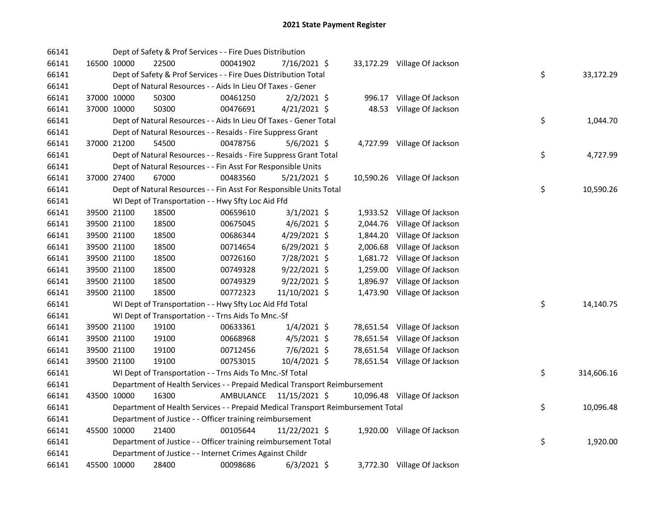| 66141 |             | Dept of Safety & Prof Services - - Fire Dues Distribution                       |           |                |          |                              |    |            |
|-------|-------------|---------------------------------------------------------------------------------|-----------|----------------|----------|------------------------------|----|------------|
| 66141 | 16500 10000 | 22500                                                                           | 00041902  | 7/16/2021 \$   |          | 33,172.29 Village Of Jackson |    |            |
| 66141 |             | Dept of Safety & Prof Services - - Fire Dues Distribution Total                 |           |                |          |                              | \$ | 33,172.29  |
| 66141 |             | Dept of Natural Resources - - Aids In Lieu Of Taxes - Gener                     |           |                |          |                              |    |            |
| 66141 | 37000 10000 | 50300                                                                           | 00461250  | $2/2/2021$ \$  |          | 996.17 Village Of Jackson    |    |            |
| 66141 | 37000 10000 | 50300                                                                           | 00476691  | $4/21/2021$ \$ |          | 48.53 Village Of Jackson     |    |            |
| 66141 |             | Dept of Natural Resources - - Aids In Lieu Of Taxes - Gener Total               |           |                |          |                              | \$ | 1,044.70   |
| 66141 |             | Dept of Natural Resources - - Resaids - Fire Suppress Grant                     |           |                |          |                              |    |            |
| 66141 | 37000 21200 | 54500                                                                           | 00478756  | $5/6/2021$ \$  |          | 4,727.99 Village Of Jackson  |    |            |
| 66141 |             | Dept of Natural Resources - - Resaids - Fire Suppress Grant Total               |           |                |          |                              | \$ | 4,727.99   |
| 66141 |             | Dept of Natural Resources - - Fin Asst For Responsible Units                    |           |                |          |                              |    |            |
| 66141 | 37000 27400 | 67000                                                                           | 00483560  | $5/21/2021$ \$ |          | 10,590.26 Village Of Jackson |    |            |
| 66141 |             | Dept of Natural Resources - - Fin Asst For Responsible Units Total              |           |                |          |                              | \$ | 10,590.26  |
| 66141 |             | WI Dept of Transportation - - Hwy Sfty Loc Aid Ffd                              |           |                |          |                              |    |            |
| 66141 | 39500 21100 | 18500                                                                           | 00659610  | $3/1/2021$ \$  |          | 1,933.52 Village Of Jackson  |    |            |
| 66141 | 39500 21100 | 18500                                                                           | 00675045  | $4/6/2021$ \$  |          | 2,044.76 Village Of Jackson  |    |            |
| 66141 | 39500 21100 | 18500                                                                           | 00686344  | 4/29/2021 \$   | 1,844.20 | Village Of Jackson           |    |            |
| 66141 | 39500 21100 | 18500                                                                           | 00714654  | $6/29/2021$ \$ |          | 2,006.68 Village Of Jackson  |    |            |
| 66141 | 39500 21100 | 18500                                                                           | 00726160  | 7/28/2021 \$   |          | 1,681.72 Village Of Jackson  |    |            |
| 66141 | 39500 21100 | 18500                                                                           | 00749328  | $9/22/2021$ \$ | 1,259.00 | Village Of Jackson           |    |            |
| 66141 | 39500 21100 | 18500                                                                           | 00749329  | $9/22/2021$ \$ | 1,896.97 | Village Of Jackson           |    |            |
| 66141 | 39500 21100 | 18500                                                                           | 00772323  | 11/10/2021 \$  |          | 1,473.90 Village Of Jackson  |    |            |
| 66141 |             | WI Dept of Transportation - - Hwy Sfty Loc Aid Ffd Total                        |           |                |          |                              | \$ | 14,140.75  |
| 66141 |             | WI Dept of Transportation - - Trns Aids To Mnc.-Sf                              |           |                |          |                              |    |            |
| 66141 | 39500 21100 | 19100                                                                           | 00633361  | $1/4/2021$ \$  |          | 78,651.54 Village Of Jackson |    |            |
| 66141 | 39500 21100 | 19100                                                                           | 00668968  | $4/5/2021$ \$  |          | 78,651.54 Village Of Jackson |    |            |
| 66141 | 39500 21100 | 19100                                                                           | 00712456  | $7/6/2021$ \$  |          | 78,651.54 Village Of Jackson |    |            |
| 66141 | 39500 21100 | 19100                                                                           | 00753015  | 10/4/2021 \$   |          | 78,651.54 Village Of Jackson |    |            |
| 66141 |             | WI Dept of Transportation - - Trns Aids To Mnc.-Sf Total                        |           |                |          |                              | \$ | 314,606.16 |
| 66141 |             | Department of Health Services - - Prepaid Medical Transport Reimbursement       |           |                |          |                              |    |            |
| 66141 | 43500 10000 | 16300                                                                           | AMBULANCE | 11/15/2021 \$  |          | 10,096.48 Village Of Jackson |    |            |
| 66141 |             | Department of Health Services - - Prepaid Medical Transport Reimbursement Total |           |                |          |                              | \$ | 10,096.48  |
| 66141 |             | Department of Justice - - Officer training reimbursement                        |           |                |          |                              |    |            |
| 66141 | 45500 10000 | 21400                                                                           | 00105644  | 11/22/2021 \$  |          | 1,920.00 Village Of Jackson  |    |            |
| 66141 |             | Department of Justice - - Officer training reimbursement Total                  |           |                |          |                              | \$ | 1,920.00   |
| 66141 |             | Department of Justice - - Internet Crimes Against Childr                        |           |                |          |                              |    |            |
| 66141 | 45500 10000 | 28400                                                                           | 00098686  | $6/3/2021$ \$  |          | 3,772.30 Village Of Jackson  |    |            |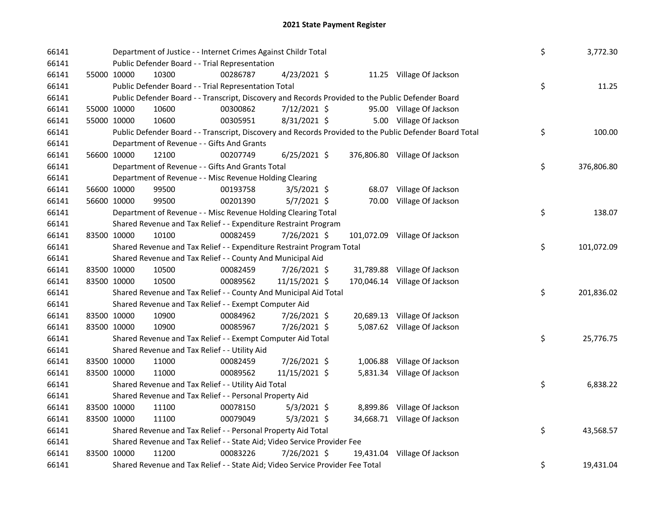| 66141<br>66141 | Department of Justice - - Internet Crimes Against Childr Total<br>Public Defender Board - - Trial Representation |          |                |       |                               | \$<br>3,772.30   |
|----------------|------------------------------------------------------------------------------------------------------------------|----------|----------------|-------|-------------------------------|------------------|
| 66141          | 10300<br>55000 10000                                                                                             | 00286787 | 4/23/2021 \$   |       | 11.25 Village Of Jackson      |                  |
| 66141          | Public Defender Board - - Trial Representation Total                                                             |          |                |       |                               | \$<br>11.25      |
| 66141          | Public Defender Board - - Transcript, Discovery and Records Provided to the Public Defender Board                |          |                |       |                               |                  |
| 66141          | 55000 10000<br>10600                                                                                             | 00300862 | 7/12/2021 \$   |       | 95.00 Village Of Jackson      |                  |
| 66141          | 55000 10000<br>10600                                                                                             | 00305951 | 8/31/2021 \$   |       | 5.00 Village Of Jackson       |                  |
| 66141          | Public Defender Board - - Transcript, Discovery and Records Provided to the Public Defender Board Total          |          |                |       |                               | \$<br>100.00     |
| 66141          | Department of Revenue - - Gifts And Grants                                                                       |          |                |       |                               |                  |
| 66141          | 12100<br>56600 10000                                                                                             | 00207749 | $6/25/2021$ \$ |       | 376,806.80 Village Of Jackson |                  |
| 66141          | Department of Revenue - - Gifts And Grants Total                                                                 |          |                |       |                               | \$<br>376,806.80 |
| 66141          | Department of Revenue - - Misc Revenue Holding Clearing                                                          |          |                |       |                               |                  |
| 66141          | 56600 10000<br>99500                                                                                             | 00193758 | $3/5/2021$ \$  |       | 68.07 Village Of Jackson      |                  |
| 66141          | 56600 10000<br>99500                                                                                             | 00201390 | $5/7/2021$ \$  | 70.00 | Village Of Jackson            |                  |
| 66141          | Department of Revenue - - Misc Revenue Holding Clearing Total                                                    |          |                |       |                               | \$<br>138.07     |
| 66141          | Shared Revenue and Tax Relief - - Expenditure Restraint Program                                                  |          |                |       |                               |                  |
| 66141          | 83500 10000<br>10100                                                                                             | 00082459 | 7/26/2021 \$   |       | 101,072.09 Village Of Jackson |                  |
| 66141          | Shared Revenue and Tax Relief - - Expenditure Restraint Program Total                                            |          |                |       |                               | \$<br>101,072.09 |
| 66141          | Shared Revenue and Tax Relief - - County And Municipal Aid                                                       |          |                |       |                               |                  |
| 66141          | 83500 10000<br>10500                                                                                             | 00082459 | 7/26/2021 \$   |       | 31,789.88 Village Of Jackson  |                  |
| 66141          | 83500 10000<br>10500                                                                                             | 00089562 | 11/15/2021 \$  |       | 170,046.14 Village Of Jackson |                  |
| 66141          | Shared Revenue and Tax Relief - - County And Municipal Aid Total                                                 |          |                |       |                               | \$<br>201,836.02 |
| 66141          | Shared Revenue and Tax Relief - - Exempt Computer Aid                                                            |          |                |       |                               |                  |
| 66141          | 83500 10000<br>10900                                                                                             | 00084962 | 7/26/2021 \$   |       | 20,689.13 Village Of Jackson  |                  |
| 66141          | 83500 10000<br>10900                                                                                             | 00085967 | 7/26/2021 \$   |       | 5,087.62 Village Of Jackson   |                  |
| 66141          | Shared Revenue and Tax Relief - - Exempt Computer Aid Total                                                      |          |                |       |                               | \$<br>25,776.75  |
| 66141          | Shared Revenue and Tax Relief - - Utility Aid                                                                    |          |                |       |                               |                  |
| 66141          | 83500 10000<br>11000                                                                                             | 00082459 | 7/26/2021 \$   |       | 1,006.88 Village Of Jackson   |                  |
| 66141          | 83500 10000<br>11000                                                                                             | 00089562 | 11/15/2021 \$  |       | 5,831.34 Village Of Jackson   |                  |
| 66141          | Shared Revenue and Tax Relief - - Utility Aid Total                                                              |          |                |       |                               | \$<br>6,838.22   |
| 66141          | Shared Revenue and Tax Relief - - Personal Property Aid                                                          |          |                |       |                               |                  |
| 66141          | 83500 10000<br>11100                                                                                             | 00078150 | $5/3/2021$ \$  |       | 8,899.86 Village Of Jackson   |                  |
| 66141          | 83500 10000<br>11100                                                                                             | 00079049 | $5/3/2021$ \$  |       | 34,668.71 Village Of Jackson  |                  |
| 66141          | Shared Revenue and Tax Relief - - Personal Property Aid Total                                                    |          |                |       |                               | \$<br>43,568.57  |
| 66141          | Shared Revenue and Tax Relief - - State Aid; Video Service Provider Fee                                          |          |                |       |                               |                  |
| 66141          | 83500 10000<br>11200                                                                                             | 00083226 | 7/26/2021 \$   |       | 19,431.04 Village Of Jackson  |                  |
| 66141          | Shared Revenue and Tax Relief - - State Aid; Video Service Provider Fee Total                                    |          |                |       |                               | \$<br>19,431.04  |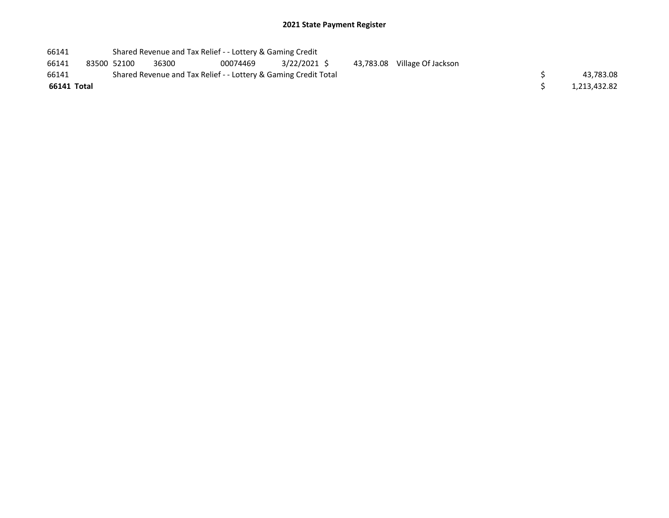| 66141       |             | Shared Revenue and Tax Relief - - Lottery & Gaming Credit       |          |             |           |                    |              |
|-------------|-------------|-----------------------------------------------------------------|----------|-------------|-----------|--------------------|--------------|
| 66141       | 83500 52100 | 36300                                                           | 00074469 | 3/22/2021 S | 43,783.08 | Village Of Jackson |              |
| 66141       |             | Shared Revenue and Tax Relief - - Lottery & Gaming Credit Total |          |             |           |                    | 43,783.08    |
| 66141 Total |             |                                                                 |          |             |           |                    | 1,213,432.82 |
|             |             |                                                                 |          |             |           |                    |              |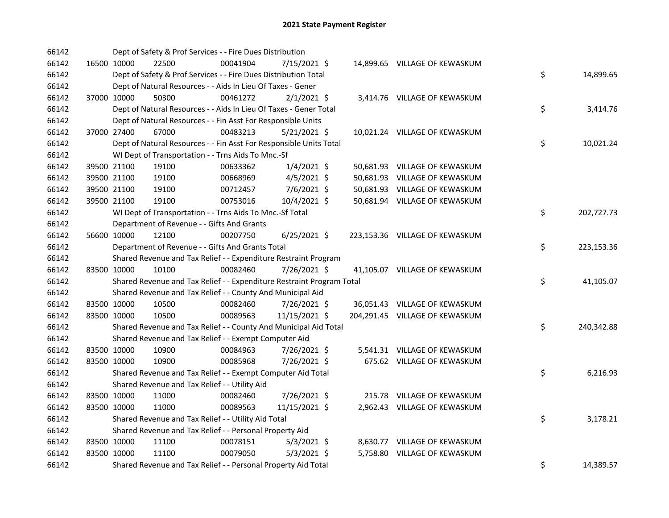| 66142 |             | Dept of Safety & Prof Services - - Fire Dues Distribution             |          |                |  |                                |    |            |
|-------|-------------|-----------------------------------------------------------------------|----------|----------------|--|--------------------------------|----|------------|
| 66142 | 16500 10000 | 22500                                                                 | 00041904 | 7/15/2021 \$   |  | 14,899.65 VILLAGE OF KEWASKUM  |    |            |
| 66142 |             | Dept of Safety & Prof Services - - Fire Dues Distribution Total       |          |                |  |                                | \$ | 14,899.65  |
| 66142 |             | Dept of Natural Resources - - Aids In Lieu Of Taxes - Gener           |          |                |  |                                |    |            |
| 66142 | 37000 10000 | 50300                                                                 | 00461272 | $2/1/2021$ \$  |  | 3,414.76 VILLAGE OF KEWASKUM   |    |            |
| 66142 |             | Dept of Natural Resources - - Aids In Lieu Of Taxes - Gener Total     |          |                |  |                                | \$ | 3,414.76   |
| 66142 |             | Dept of Natural Resources - - Fin Asst For Responsible Units          |          |                |  |                                |    |            |
| 66142 | 37000 27400 | 67000                                                                 | 00483213 | $5/21/2021$ \$ |  | 10,021.24 VILLAGE OF KEWASKUM  |    |            |
| 66142 |             | Dept of Natural Resources - - Fin Asst For Responsible Units Total    |          |                |  |                                | \$ | 10,021.24  |
| 66142 |             | WI Dept of Transportation - - Trns Aids To Mnc.-Sf                    |          |                |  |                                |    |            |
| 66142 | 39500 21100 | 19100                                                                 | 00633362 | $1/4/2021$ \$  |  | 50,681.93 VILLAGE OF KEWASKUM  |    |            |
| 66142 | 39500 21100 | 19100                                                                 | 00668969 | 4/5/2021 \$    |  | 50,681.93 VILLAGE OF KEWASKUM  |    |            |
| 66142 | 39500 21100 | 19100                                                                 | 00712457 | $7/6/2021$ \$  |  | 50,681.93 VILLAGE OF KEWASKUM  |    |            |
| 66142 | 39500 21100 | 19100                                                                 | 00753016 | 10/4/2021 \$   |  | 50,681.94 VILLAGE OF KEWASKUM  |    |            |
| 66142 |             | WI Dept of Transportation - - Trns Aids To Mnc.-Sf Total              |          |                |  |                                | \$ | 202,727.73 |
| 66142 |             | Department of Revenue - - Gifts And Grants                            |          |                |  |                                |    |            |
| 66142 | 56600 10000 | 12100                                                                 | 00207750 | $6/25/2021$ \$ |  | 223,153.36 VILLAGE OF KEWASKUM |    |            |
| 66142 |             | Department of Revenue - - Gifts And Grants Total                      |          |                |  |                                | \$ | 223,153.36 |
| 66142 |             | Shared Revenue and Tax Relief - - Expenditure Restraint Program       |          |                |  |                                |    |            |
| 66142 | 83500 10000 | 10100                                                                 | 00082460 | 7/26/2021 \$   |  | 41,105.07 VILLAGE OF KEWASKUM  |    |            |
| 66142 |             | Shared Revenue and Tax Relief - - Expenditure Restraint Program Total |          |                |  |                                | \$ | 41,105.07  |
| 66142 |             | Shared Revenue and Tax Relief - - County And Municipal Aid            |          |                |  |                                |    |            |
| 66142 | 83500 10000 | 10500                                                                 | 00082460 | $7/26/2021$ \$ |  | 36,051.43 VILLAGE OF KEWASKUM  |    |            |
| 66142 | 83500 10000 | 10500                                                                 | 00089563 | 11/15/2021 \$  |  | 204,291.45 VILLAGE OF KEWASKUM |    |            |
| 66142 |             | Shared Revenue and Tax Relief - - County And Municipal Aid Total      |          |                |  |                                | \$ | 240,342.88 |
| 66142 |             | Shared Revenue and Tax Relief - - Exempt Computer Aid                 |          |                |  |                                |    |            |
| 66142 | 83500 10000 | 10900                                                                 | 00084963 | 7/26/2021 \$   |  | 5,541.31 VILLAGE OF KEWASKUM   |    |            |
| 66142 | 83500 10000 | 10900                                                                 | 00085968 | 7/26/2021 \$   |  | 675.62 VILLAGE OF KEWASKUM     |    |            |
| 66142 |             | Shared Revenue and Tax Relief - - Exempt Computer Aid Total           |          |                |  |                                | \$ | 6,216.93   |
| 66142 |             | Shared Revenue and Tax Relief - - Utility Aid                         |          |                |  |                                |    |            |
| 66142 | 83500 10000 | 11000                                                                 | 00082460 | 7/26/2021 \$   |  | 215.78 VILLAGE OF KEWASKUM     |    |            |
| 66142 | 83500 10000 | 11000                                                                 | 00089563 | 11/15/2021 \$  |  | 2,962.43 VILLAGE OF KEWASKUM   |    |            |
| 66142 |             | Shared Revenue and Tax Relief - - Utility Aid Total                   |          |                |  |                                | \$ | 3,178.21   |
| 66142 |             | Shared Revenue and Tax Relief - - Personal Property Aid               |          |                |  |                                |    |            |
| 66142 | 83500 10000 | 11100                                                                 | 00078151 | $5/3/2021$ \$  |  | 8,630.77 VILLAGE OF KEWASKUM   |    |            |
| 66142 | 83500 10000 | 11100                                                                 | 00079050 | $5/3/2021$ \$  |  | 5,758.80 VILLAGE OF KEWASKUM   |    |            |
| 66142 |             | Shared Revenue and Tax Relief - - Personal Property Aid Total         |          |                |  |                                | \$ | 14,389.57  |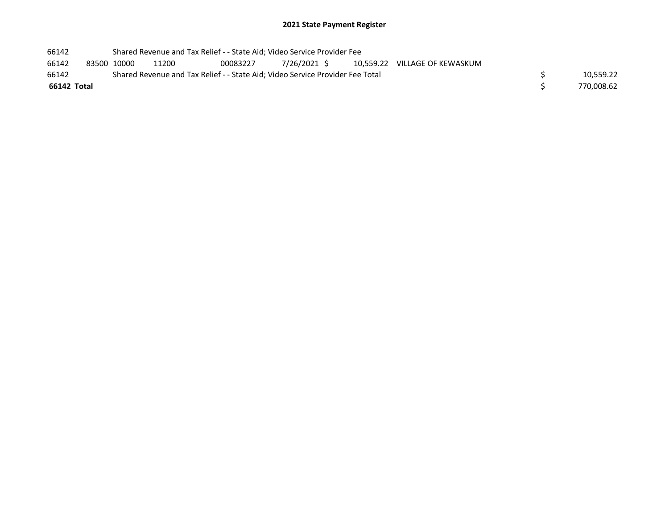| 66142       | Shared Revenue and Tax Relief - - State Aid; Video Service Provider Fee |       |                                                                               |              |  |                               |            |
|-------------|-------------------------------------------------------------------------|-------|-------------------------------------------------------------------------------|--------------|--|-------------------------------|------------|
| 66142       | 83500 10000                                                             | 11200 | 00083227                                                                      | 7/26/2021 \$ |  | 10.559.22 VILLAGE OF KEWASKUM |            |
| 66142       |                                                                         |       | Shared Revenue and Tax Relief - - State Aid; Video Service Provider Fee Total |              |  |                               | 10.559.22  |
| 66142 Total |                                                                         |       |                                                                               |              |  |                               | 770,008.62 |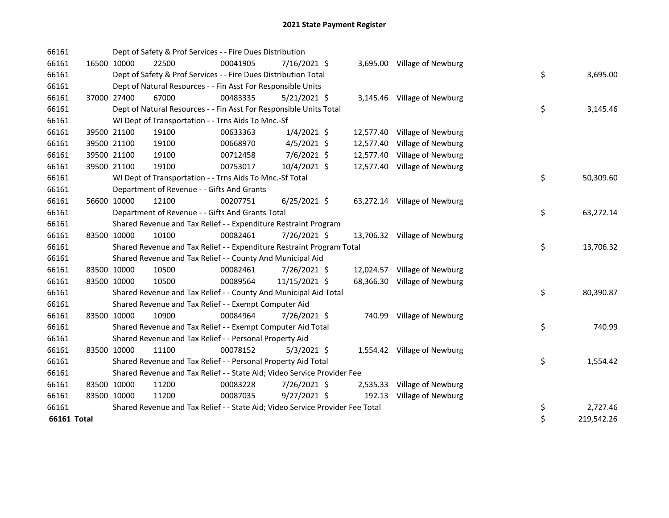| 66161       |             |             | Dept of Safety & Prof Services - - Fire Dues Distribution                     |          |                |        |                              |    |            |
|-------------|-------------|-------------|-------------------------------------------------------------------------------|----------|----------------|--------|------------------------------|----|------------|
| 66161       | 16500 10000 |             | 22500                                                                         | 00041905 | 7/16/2021 \$   |        | 3,695.00 Village of Newburg  |    |            |
| 66161       |             |             | Dept of Safety & Prof Services - - Fire Dues Distribution Total               |          |                |        |                              | \$ | 3,695.00   |
| 66161       |             |             | Dept of Natural Resources - - Fin Asst For Responsible Units                  |          |                |        |                              |    |            |
| 66161       |             | 37000 27400 | 67000                                                                         | 00483335 | $5/21/2021$ \$ |        | 3,145.46 Village of Newburg  |    |            |
| 66161       |             |             | Dept of Natural Resources - - Fin Asst For Responsible Units Total            |          |                |        |                              | \$ | 3,145.46   |
| 66161       |             |             | WI Dept of Transportation - - Trns Aids To Mnc.-Sf                            |          |                |        |                              |    |            |
| 66161       |             | 39500 21100 | 19100                                                                         | 00633363 | $1/4/2021$ \$  |        | 12,577.40 Village of Newburg |    |            |
| 66161       |             | 39500 21100 | 19100                                                                         | 00668970 | $4/5/2021$ \$  |        | 12,577.40 Village of Newburg |    |            |
| 66161       |             | 39500 21100 | 19100                                                                         | 00712458 | 7/6/2021 \$    |        | 12,577.40 Village of Newburg |    |            |
| 66161       |             | 39500 21100 | 19100                                                                         | 00753017 | 10/4/2021 \$   |        | 12,577.40 Village of Newburg |    |            |
| 66161       |             |             | WI Dept of Transportation - - Trns Aids To Mnc.-Sf Total                      |          |                |        |                              | \$ | 50,309.60  |
| 66161       |             |             | Department of Revenue - - Gifts And Grants                                    |          |                |        |                              |    |            |
| 66161       |             | 56600 10000 | 12100                                                                         | 00207751 | $6/25/2021$ \$ |        | 63,272.14 Village of Newburg |    |            |
| 66161       |             |             | Department of Revenue - - Gifts And Grants Total                              |          |                |        |                              | \$ | 63,272.14  |
| 66161       |             |             | Shared Revenue and Tax Relief - - Expenditure Restraint Program               |          |                |        |                              |    |            |
| 66161       | 83500 10000 |             | 10100                                                                         | 00082461 | 7/26/2021 \$   |        | 13,706.32 Village of Newburg |    |            |
| 66161       |             |             | Shared Revenue and Tax Relief - - Expenditure Restraint Program Total         |          |                |        |                              | \$ | 13,706.32  |
| 66161       |             |             | Shared Revenue and Tax Relief - - County And Municipal Aid                    |          |                |        |                              |    |            |
| 66161       |             | 83500 10000 | 10500                                                                         | 00082461 | 7/26/2021 \$   |        | 12,024.57 Village of Newburg |    |            |
| 66161       |             | 83500 10000 | 10500                                                                         | 00089564 | 11/15/2021 \$  |        | 68,366.30 Village of Newburg |    |            |
| 66161       |             |             | Shared Revenue and Tax Relief - - County And Municipal Aid Total              |          |                |        |                              | \$ | 80,390.87  |
| 66161       |             |             | Shared Revenue and Tax Relief - - Exempt Computer Aid                         |          |                |        |                              |    |            |
| 66161       |             | 83500 10000 | 10900                                                                         | 00084964 | 7/26/2021 \$   |        | 740.99 Village of Newburg    |    |            |
| 66161       |             |             | Shared Revenue and Tax Relief - - Exempt Computer Aid Total                   |          |                |        |                              | \$ | 740.99     |
| 66161       |             |             | Shared Revenue and Tax Relief - - Personal Property Aid                       |          |                |        |                              |    |            |
| 66161       |             | 83500 10000 | 11100                                                                         | 00078152 | $5/3/2021$ \$  |        | 1,554.42 Village of Newburg  |    |            |
| 66161       |             |             | Shared Revenue and Tax Relief - - Personal Property Aid Total                 |          |                |        |                              | \$ | 1,554.42   |
| 66161       |             |             | Shared Revenue and Tax Relief - - State Aid; Video Service Provider Fee       |          |                |        |                              |    |            |
| 66161       |             | 83500 10000 | 11200                                                                         | 00083228 | 7/26/2021 \$   |        | 2,535.33 Village of Newburg  |    |            |
| 66161       | 83500 10000 |             | 11200                                                                         | 00087035 | $9/27/2021$ \$ | 192.13 | Village of Newburg           |    |            |
| 66161       |             |             | Shared Revenue and Tax Relief - - State Aid; Video Service Provider Fee Total |          |                |        |                              | \$ | 2,727.46   |
| 66161 Total |             |             |                                                                               |          |                |        |                              | \$ | 219,542.26 |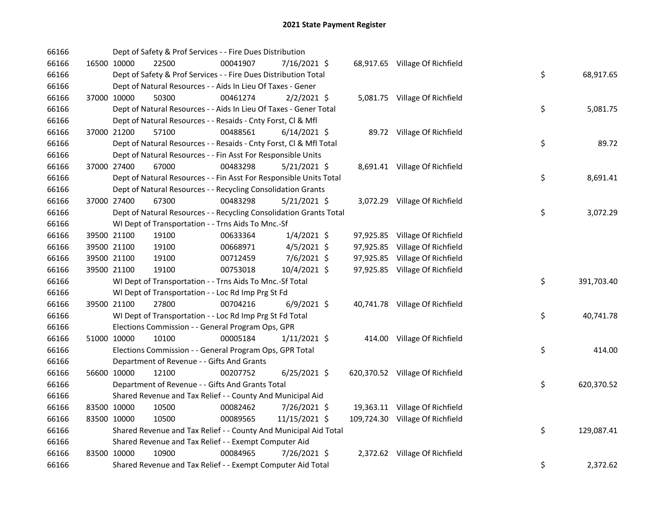| 66166 |             | Dept of Safety & Prof Services - - Fire Dues Distribution          |          |                |  |                                 |                  |  |
|-------|-------------|--------------------------------------------------------------------|----------|----------------|--|---------------------------------|------------------|--|
| 66166 | 16500 10000 | 22500                                                              | 00041907 | 7/16/2021 \$   |  | 68,917.65 Village Of Richfield  |                  |  |
| 66166 |             | Dept of Safety & Prof Services - - Fire Dues Distribution Total    |          |                |  |                                 | \$<br>68,917.65  |  |
| 66166 |             | Dept of Natural Resources - - Aids In Lieu Of Taxes - Gener        |          |                |  |                                 |                  |  |
| 66166 | 37000 10000 | 50300                                                              | 00461274 | $2/2/2021$ \$  |  | 5,081.75 Village Of Richfield   |                  |  |
| 66166 |             | Dept of Natural Resources - - Aids In Lieu Of Taxes - Gener Total  |          |                |  |                                 | \$<br>5,081.75   |  |
| 66166 |             | Dept of Natural Resources - - Resaids - Cnty Forst, Cl & Mfl       |          |                |  |                                 |                  |  |
| 66166 | 37000 21200 | 57100                                                              | 00488561 | $6/14/2021$ \$ |  | 89.72 Village Of Richfield      |                  |  |
| 66166 |             | Dept of Natural Resources - - Resaids - Cnty Forst, Cl & Mfl Total |          |                |  |                                 | \$<br>89.72      |  |
| 66166 |             | Dept of Natural Resources - - Fin Asst For Responsible Units       |          |                |  |                                 |                  |  |
| 66166 | 37000 27400 | 67000                                                              | 00483298 | $5/21/2021$ \$ |  | 8,691.41 Village Of Richfield   |                  |  |
| 66166 |             | Dept of Natural Resources - - Fin Asst For Responsible Units Total |          |                |  |                                 | \$<br>8,691.41   |  |
| 66166 |             | Dept of Natural Resources - - Recycling Consolidation Grants       |          |                |  |                                 |                  |  |
| 66166 | 37000 27400 | 67300                                                              | 00483298 | $5/21/2021$ \$ |  | 3,072.29 Village Of Richfield   |                  |  |
| 66166 |             | Dept of Natural Resources - - Recycling Consolidation Grants Total |          |                |  |                                 | \$<br>3,072.29   |  |
| 66166 |             | WI Dept of Transportation - - Trns Aids To Mnc.-Sf                 |          |                |  |                                 |                  |  |
| 66166 | 39500 21100 | 19100                                                              | 00633364 | $1/4/2021$ \$  |  | 97,925.85 Village Of Richfield  |                  |  |
| 66166 | 39500 21100 | 19100                                                              | 00668971 | $4/5/2021$ \$  |  | 97,925.85 Village Of Richfield  |                  |  |
| 66166 | 39500 21100 | 19100                                                              | 00712459 | 7/6/2021 \$    |  | 97,925.85 Village Of Richfield  |                  |  |
| 66166 | 39500 21100 | 19100                                                              | 00753018 | 10/4/2021 \$   |  | 97,925.85 Village Of Richfield  |                  |  |
| 66166 |             | WI Dept of Transportation - - Trns Aids To Mnc.-Sf Total           |          |                |  |                                 | \$<br>391,703.40 |  |
| 66166 |             | WI Dept of Transportation - - Loc Rd Imp Prg St Fd                 |          |                |  |                                 |                  |  |
| 66166 | 39500 21100 | 27800                                                              | 00704216 | $6/9/2021$ \$  |  | 40,741.78 Village Of Richfield  |                  |  |
| 66166 |             | WI Dept of Transportation - - Loc Rd Imp Prg St Fd Total           |          |                |  |                                 | \$<br>40,741.78  |  |
| 66166 |             | Elections Commission - - General Program Ops, GPR                  |          |                |  |                                 |                  |  |
| 66166 | 51000 10000 | 10100                                                              | 00005184 | $1/11/2021$ \$ |  | 414.00 Village Of Richfield     |                  |  |
| 66166 |             | Elections Commission - - General Program Ops, GPR Total            |          |                |  |                                 | \$<br>414.00     |  |
| 66166 |             | Department of Revenue - - Gifts And Grants                         |          |                |  |                                 |                  |  |
| 66166 | 56600 10000 | 12100                                                              | 00207752 | $6/25/2021$ \$ |  | 620,370.52 Village Of Richfield |                  |  |
| 66166 |             | Department of Revenue - - Gifts And Grants Total                   |          |                |  |                                 | \$<br>620,370.52 |  |
| 66166 |             | Shared Revenue and Tax Relief - - County And Municipal Aid         |          |                |  |                                 |                  |  |
| 66166 | 83500 10000 | 10500                                                              | 00082462 | 7/26/2021 \$   |  | 19,363.11 Village Of Richfield  |                  |  |
| 66166 | 83500 10000 | 10500                                                              | 00089565 | 11/15/2021 \$  |  | 109,724.30 Village Of Richfield |                  |  |
| 66166 |             | Shared Revenue and Tax Relief - - County And Municipal Aid Total   |          |                |  |                                 | \$<br>129,087.41 |  |
| 66166 |             | Shared Revenue and Tax Relief - - Exempt Computer Aid              |          |                |  |                                 |                  |  |
| 66166 | 83500 10000 | 10900                                                              | 00084965 | 7/26/2021 \$   |  | 2,372.62 Village Of Richfield   |                  |  |
| 66166 |             | Shared Revenue and Tax Relief - - Exempt Computer Aid Total        |          |                |  |                                 | \$<br>2,372.62   |  |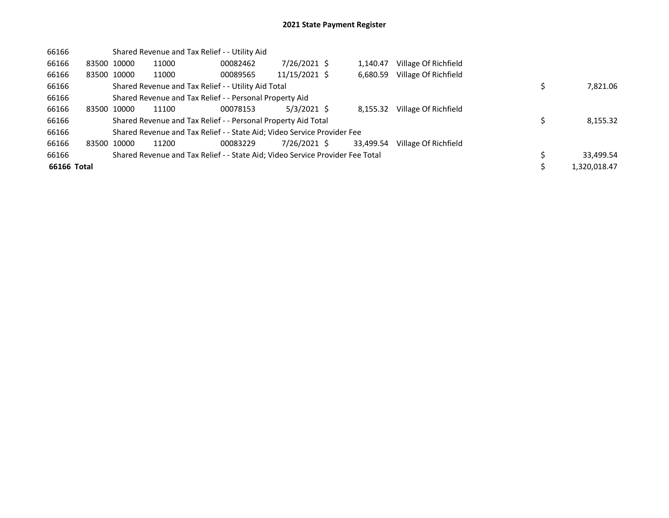| 66166       |             |             | Shared Revenue and Tax Relief - - Utility Aid                                 |          |               |           |                      |              |
|-------------|-------------|-------------|-------------------------------------------------------------------------------|----------|---------------|-----------|----------------------|--------------|
| 66166       |             | 83500 10000 | 11000                                                                         | 00082462 | 7/26/2021 \$  | 1.140.47  | Village Of Richfield |              |
| 66166       |             | 83500 10000 | 11000                                                                         | 00089565 | 11/15/2021 \$ | 6,680.59  | Village Of Richfield |              |
| 66166       |             |             | Shared Revenue and Tax Relief - - Utility Aid Total                           |          |               |           |                      | 7,821.06     |
| 66166       |             |             | Shared Revenue and Tax Relief - - Personal Property Aid                       |          |               |           |                      |              |
| 66166       |             | 83500 10000 | 11100                                                                         | 00078153 | $5/3/2021$ \$ | 8.155.32  | Village Of Richfield |              |
| 66166       |             |             | Shared Revenue and Tax Relief - - Personal Property Aid Total                 |          |               |           |                      | 8,155.32     |
| 66166       |             |             | Shared Revenue and Tax Relief - - State Aid; Video Service Provider Fee       |          |               |           |                      |              |
| 66166       | 83500 10000 |             | 11200                                                                         | 00083229 | 7/26/2021 \$  | 33.499.54 | Village Of Richfield |              |
| 66166       |             |             | Shared Revenue and Tax Relief - - State Aid; Video Service Provider Fee Total |          |               |           |                      | 33,499.54    |
| 66166 Total |             |             |                                                                               |          |               |           |                      | 1,320,018.47 |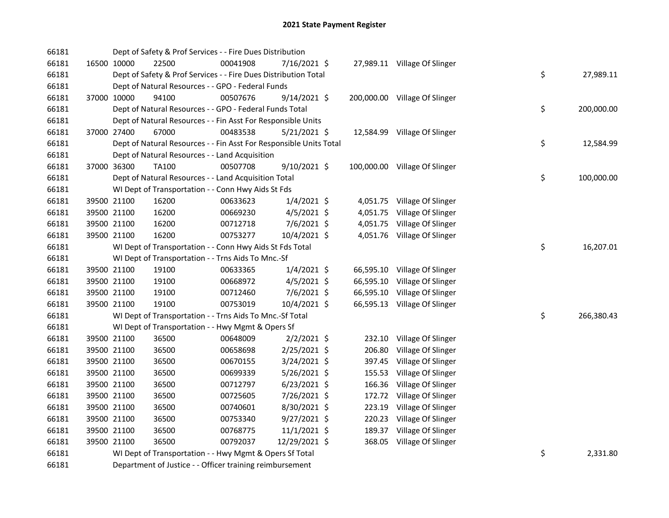| 66181 |             | Dept of Safety & Prof Services - - Fire Dues Distribution          |          |                |           |                               |    |            |
|-------|-------------|--------------------------------------------------------------------|----------|----------------|-----------|-------------------------------|----|------------|
| 66181 | 16500 10000 | 22500                                                              | 00041908 | 7/16/2021 \$   |           | 27,989.11 Village Of Slinger  |    |            |
| 66181 |             | Dept of Safety & Prof Services - - Fire Dues Distribution Total    |          |                |           |                               | \$ | 27,989.11  |
| 66181 |             | Dept of Natural Resources - - GPO - Federal Funds                  |          |                |           |                               |    |            |
| 66181 | 37000 10000 | 94100                                                              | 00507676 | $9/14/2021$ \$ |           | 200,000.00 Village Of Slinger |    |            |
| 66181 |             | Dept of Natural Resources - - GPO - Federal Funds Total            |          |                |           |                               | \$ | 200,000.00 |
| 66181 |             | Dept of Natural Resources - - Fin Asst For Responsible Units       |          |                |           |                               |    |            |
| 66181 | 37000 27400 | 67000                                                              | 00483538 | $5/21/2021$ \$ |           | 12,584.99 Village Of Slinger  |    |            |
| 66181 |             | Dept of Natural Resources - - Fin Asst For Responsible Units Total |          |                |           |                               | \$ | 12,584.99  |
| 66181 |             | Dept of Natural Resources - - Land Acquisition                     |          |                |           |                               |    |            |
| 66181 | 37000 36300 | TA100                                                              | 00507708 | $9/10/2021$ \$ |           | 100,000.00 Village Of Slinger |    |            |
| 66181 |             | Dept of Natural Resources - - Land Acquisition Total               |          |                |           |                               | \$ | 100,000.00 |
| 66181 |             | WI Dept of Transportation - - Conn Hwy Aids St Fds                 |          |                |           |                               |    |            |
| 66181 | 39500 21100 | 16200                                                              | 00633623 | $1/4/2021$ \$  |           | 4,051.75 Village Of Slinger   |    |            |
| 66181 | 39500 21100 | 16200                                                              | 00669230 | $4/5/2021$ \$  |           | 4,051.75 Village Of Slinger   |    |            |
| 66181 | 39500 21100 | 16200                                                              | 00712718 | 7/6/2021 \$    |           | 4,051.75 Village Of Slinger   |    |            |
| 66181 | 39500 21100 | 16200                                                              | 00753277 | 10/4/2021 \$   |           | 4,051.76 Village Of Slinger   |    |            |
| 66181 |             | WI Dept of Transportation - - Conn Hwy Aids St Fds Total           |          |                |           |                               | \$ | 16,207.01  |
| 66181 |             | WI Dept of Transportation - - Trns Aids To Mnc.-Sf                 |          |                |           |                               |    |            |
| 66181 | 39500 21100 | 19100                                                              | 00633365 | $1/4/2021$ \$  |           | 66,595.10 Village Of Slinger  |    |            |
| 66181 | 39500 21100 | 19100                                                              | 00668972 | $4/5/2021$ \$  | 66,595.10 | Village Of Slinger            |    |            |
| 66181 | 39500 21100 | 19100                                                              | 00712460 | $7/6/2021$ \$  | 66,595.10 | Village Of Slinger            |    |            |
| 66181 | 39500 21100 | 19100                                                              | 00753019 | 10/4/2021 \$   |           | 66,595.13 Village Of Slinger  |    |            |
| 66181 |             | WI Dept of Transportation - - Trns Aids To Mnc.-Sf Total           |          |                |           |                               | \$ | 266,380.43 |
| 66181 |             | WI Dept of Transportation - - Hwy Mgmt & Opers Sf                  |          |                |           |                               |    |            |
| 66181 | 39500 21100 | 36500                                                              | 00648009 | $2/2/2021$ \$  | 232.10    | Village Of Slinger            |    |            |
| 66181 | 39500 21100 | 36500                                                              | 00658698 | 2/25/2021 \$   | 206.80    | Village Of Slinger            |    |            |
| 66181 | 39500 21100 | 36500                                                              | 00670155 | 3/24/2021 \$   | 397.45    | Village Of Slinger            |    |            |
| 66181 | 39500 21100 | 36500                                                              | 00699339 | 5/26/2021 \$   | 155.53    | Village Of Slinger            |    |            |
| 66181 | 39500 21100 | 36500                                                              | 00712797 | $6/23/2021$ \$ | 166.36    | Village Of Slinger            |    |            |
| 66181 | 39500 21100 | 36500                                                              | 00725605 | 7/26/2021 \$   | 172.72    | Village Of Slinger            |    |            |
| 66181 | 39500 21100 | 36500                                                              | 00740601 | 8/30/2021 \$   | 223.19    | Village Of Slinger            |    |            |
| 66181 | 39500 21100 | 36500                                                              | 00753340 | $9/27/2021$ \$ | 220.23    | Village Of Slinger            |    |            |
| 66181 | 39500 21100 | 36500                                                              | 00768775 | $11/1/2021$ \$ | 189.37    | Village Of Slinger            |    |            |
| 66181 | 39500 21100 | 36500                                                              | 00792037 | 12/29/2021 \$  | 368.05    | Village Of Slinger            |    |            |
| 66181 |             | WI Dept of Transportation - - Hwy Mgmt & Opers Sf Total            |          |                |           |                               | \$ | 2,331.80   |
| 66181 |             | Department of Justice - - Officer training reimbursement           |          |                |           |                               |    |            |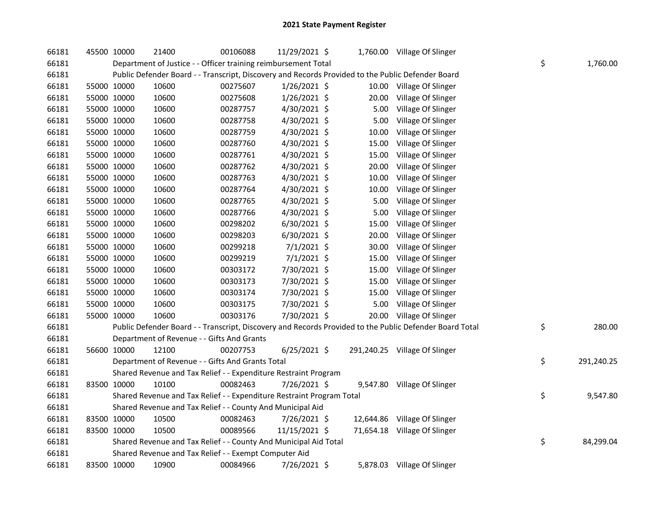| 66181 | 45500 10000 | 21400                                                                 | 00106088 | 11/29/2021 \$  |       | 1,760.00 Village Of Slinger                                                                             |    |            |
|-------|-------------|-----------------------------------------------------------------------|----------|----------------|-------|---------------------------------------------------------------------------------------------------------|----|------------|
| 66181 |             | Department of Justice - - Officer training reimbursement Total        |          |                |       |                                                                                                         | \$ | 1,760.00   |
| 66181 |             |                                                                       |          |                |       | Public Defender Board - - Transcript, Discovery and Records Provided to the Public Defender Board       |    |            |
| 66181 | 55000 10000 | 10600                                                                 | 00275607 | $1/26/2021$ \$ |       | 10.00 Village Of Slinger                                                                                |    |            |
| 66181 | 55000 10000 | 10600                                                                 | 00275608 | 1/26/2021 \$   | 20.00 | Village Of Slinger                                                                                      |    |            |
| 66181 | 55000 10000 | 10600                                                                 | 00287757 | 4/30/2021 \$   | 5.00  | Village Of Slinger                                                                                      |    |            |
| 66181 | 55000 10000 | 10600                                                                 | 00287758 | 4/30/2021 \$   | 5.00  | Village Of Slinger                                                                                      |    |            |
| 66181 | 55000 10000 | 10600                                                                 | 00287759 | 4/30/2021 \$   | 10.00 | Village Of Slinger                                                                                      |    |            |
| 66181 | 55000 10000 | 10600                                                                 | 00287760 | 4/30/2021 \$   | 15.00 | Village Of Slinger                                                                                      |    |            |
| 66181 | 55000 10000 | 10600                                                                 | 00287761 | 4/30/2021 \$   | 15.00 | Village Of Slinger                                                                                      |    |            |
| 66181 | 55000 10000 | 10600                                                                 | 00287762 | 4/30/2021 \$   | 20.00 | Village Of Slinger                                                                                      |    |            |
| 66181 | 55000 10000 | 10600                                                                 | 00287763 | 4/30/2021 \$   | 10.00 | Village Of Slinger                                                                                      |    |            |
| 66181 | 55000 10000 | 10600                                                                 | 00287764 | 4/30/2021 \$   | 10.00 | Village Of Slinger                                                                                      |    |            |
| 66181 | 55000 10000 | 10600                                                                 | 00287765 | 4/30/2021 \$   | 5.00  | Village Of Slinger                                                                                      |    |            |
| 66181 | 55000 10000 | 10600                                                                 | 00287766 | 4/30/2021 \$   | 5.00  | Village Of Slinger                                                                                      |    |            |
| 66181 | 55000 10000 | 10600                                                                 | 00298202 | 6/30/2021 \$   | 15.00 | Village Of Slinger                                                                                      |    |            |
| 66181 | 55000 10000 | 10600                                                                 | 00298203 | $6/30/2021$ \$ | 20.00 | Village Of Slinger                                                                                      |    |            |
| 66181 | 55000 10000 | 10600                                                                 | 00299218 | $7/1/2021$ \$  | 30.00 | Village Of Slinger                                                                                      |    |            |
| 66181 | 55000 10000 | 10600                                                                 | 00299219 | 7/1/2021 \$    | 15.00 | Village Of Slinger                                                                                      |    |            |
| 66181 | 55000 10000 | 10600                                                                 | 00303172 | 7/30/2021 \$   | 15.00 | Village Of Slinger                                                                                      |    |            |
| 66181 | 55000 10000 | 10600                                                                 | 00303173 | 7/30/2021 \$   | 15.00 | Village Of Slinger                                                                                      |    |            |
| 66181 | 55000 10000 | 10600                                                                 | 00303174 | 7/30/2021 \$   | 15.00 | Village Of Slinger                                                                                      |    |            |
| 66181 | 55000 10000 | 10600                                                                 | 00303175 | 7/30/2021 \$   | 5.00  | Village Of Slinger                                                                                      |    |            |
| 66181 | 55000 10000 | 10600                                                                 | 00303176 | 7/30/2021 \$   | 20.00 | Village Of Slinger                                                                                      |    |            |
| 66181 |             |                                                                       |          |                |       | Public Defender Board - - Transcript, Discovery and Records Provided to the Public Defender Board Total | \$ | 280.00     |
| 66181 |             | Department of Revenue - - Gifts And Grants                            |          |                |       |                                                                                                         |    |            |
| 66181 | 56600 10000 | 12100                                                                 | 00207753 | 6/25/2021 \$   |       | 291,240.25 Village Of Slinger                                                                           |    |            |
| 66181 |             | Department of Revenue - - Gifts And Grants Total                      |          |                |       |                                                                                                         | \$ | 291,240.25 |
| 66181 |             | Shared Revenue and Tax Relief - - Expenditure Restraint Program       |          |                |       |                                                                                                         |    |            |
| 66181 | 83500 10000 | 10100                                                                 | 00082463 | 7/26/2021 \$   |       | 9,547.80 Village Of Slinger                                                                             |    |            |
| 66181 |             | Shared Revenue and Tax Relief - - Expenditure Restraint Program Total |          |                |       |                                                                                                         | \$ | 9,547.80   |
| 66181 |             | Shared Revenue and Tax Relief - - County And Municipal Aid            |          |                |       |                                                                                                         |    |            |
| 66181 | 83500 10000 | 10500                                                                 | 00082463 | 7/26/2021 \$   |       | 12,644.86 Village Of Slinger                                                                            |    |            |
| 66181 | 83500 10000 | 10500                                                                 | 00089566 | 11/15/2021 \$  |       | 71,654.18 Village Of Slinger                                                                            |    |            |
| 66181 |             | Shared Revenue and Tax Relief - - County And Municipal Aid Total      |          |                |       |                                                                                                         | \$ | 84,299.04  |
| 66181 |             | Shared Revenue and Tax Relief - - Exempt Computer Aid                 |          |                |       |                                                                                                         |    |            |
| 66181 | 83500 10000 | 10900                                                                 | 00084966 | 7/26/2021 \$   |       | 5,878.03 Village Of Slinger                                                                             |    |            |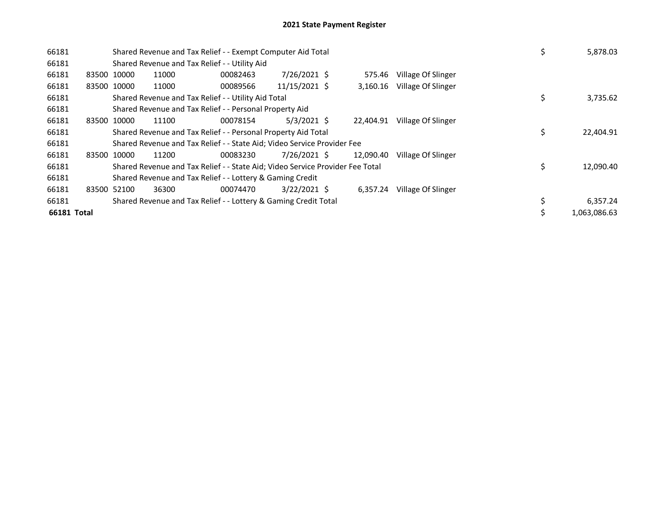| 66181       |             |             |       | Shared Revenue and Tax Relief - - Exempt Computer Aid Total                   | \$             | 5,878.03  |                    |   |              |
|-------------|-------------|-------------|-------|-------------------------------------------------------------------------------|----------------|-----------|--------------------|---|--------------|
| 66181       |             |             |       | Shared Revenue and Tax Relief - - Utility Aid                                 |                |           |                    |   |              |
| 66181       | 83500 10000 |             | 11000 | 00082463                                                                      | 7/26/2021 \$   | 575.46    | Village Of Slinger |   |              |
| 66181       |             | 83500 10000 | 11000 | 00089566                                                                      | 11/15/2021 \$  | 3,160.16  | Village Of Slinger |   |              |
| 66181       |             |             |       | Shared Revenue and Tax Relief - - Utility Aid Total                           |                |           |                    |   | 3,735.62     |
| 66181       |             |             |       | Shared Revenue and Tax Relief - - Personal Property Aid                       |                |           |                    |   |              |
| 66181       |             | 83500 10000 | 11100 | 00078154                                                                      | $5/3/2021$ \$  | 22,404.91 | Village Of Slinger |   |              |
| 66181       |             |             |       | Shared Revenue and Tax Relief - - Personal Property Aid Total                 |                |           |                    | Ś | 22,404.91    |
| 66181       |             |             |       | Shared Revenue and Tax Relief - - State Aid; Video Service Provider Fee       |                |           |                    |   |              |
| 66181       |             | 83500 10000 | 11200 | 00083230                                                                      | 7/26/2021 \$   | 12.090.40 | Village Of Slinger |   |              |
| 66181       |             |             |       | Shared Revenue and Tax Relief - - State Aid; Video Service Provider Fee Total |                |           |                    | Ś | 12,090.40    |
| 66181       |             |             |       | Shared Revenue and Tax Relief - - Lottery & Gaming Credit                     |                |           |                    |   |              |
| 66181       | 83500 52100 |             | 36300 | 00074470                                                                      | $3/22/2021$ \$ | 6,357.24  | Village Of Slinger |   |              |
| 66181       |             |             |       | Shared Revenue and Tax Relief - - Lottery & Gaming Credit Total               |                |           |                    |   | 6,357.24     |
| 66181 Total |             |             |       |                                                                               |                |           |                    |   | 1.063.086.63 |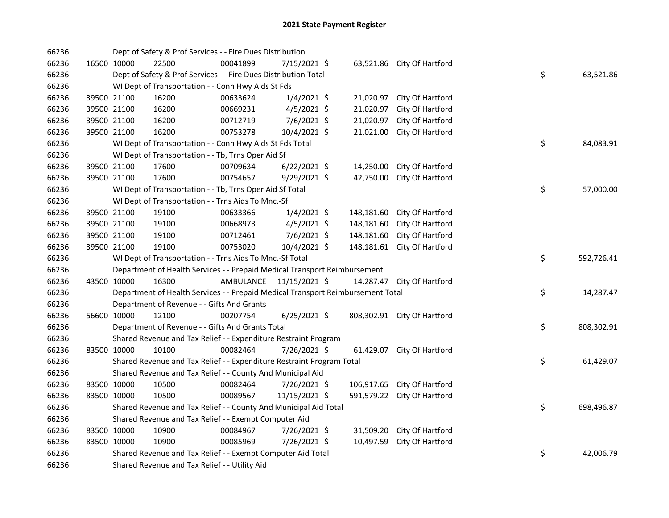| 66236 |             | Dept of Safety & Prof Services - - Fire Dues Distribution                       |           |                |            |                             |    |            |
|-------|-------------|---------------------------------------------------------------------------------|-----------|----------------|------------|-----------------------------|----|------------|
| 66236 | 16500 10000 | 22500                                                                           | 00041899  | 7/15/2021 \$   |            | 63,521.86 City Of Hartford  |    |            |
| 66236 |             | Dept of Safety & Prof Services - - Fire Dues Distribution Total                 |           |                |            |                             | \$ | 63,521.86  |
| 66236 |             | WI Dept of Transportation - - Conn Hwy Aids St Fds                              |           |                |            |                             |    |            |
| 66236 | 39500 21100 | 16200                                                                           | 00633624  | $1/4/2021$ \$  | 21,020.97  | City Of Hartford            |    |            |
| 66236 | 39500 21100 | 16200                                                                           | 00669231  | $4/5/2021$ \$  | 21,020.97  | City Of Hartford            |    |            |
| 66236 | 39500 21100 | 16200                                                                           | 00712719  | $7/6/2021$ \$  | 21,020.97  | City Of Hartford            |    |            |
| 66236 | 39500 21100 | 16200                                                                           | 00753278  | 10/4/2021 \$   | 21,021.00  | City Of Hartford            |    |            |
| 66236 |             | WI Dept of Transportation - - Conn Hwy Aids St Fds Total                        |           |                |            |                             | \$ | 84,083.91  |
| 66236 |             | WI Dept of Transportation - - Tb, Trns Oper Aid Sf                              |           |                |            |                             |    |            |
| 66236 | 39500 21100 | 17600                                                                           | 00709634  | $6/22/2021$ \$ | 14,250.00  | City Of Hartford            |    |            |
| 66236 | 39500 21100 | 17600                                                                           | 00754657  | 9/29/2021 \$   | 42,750.00  | City Of Hartford            |    |            |
| 66236 |             | WI Dept of Transportation - - Tb, Trns Oper Aid Sf Total                        |           |                |            |                             | \$ | 57,000.00  |
| 66236 |             | WI Dept of Transportation - - Trns Aids To Mnc.-Sf                              |           |                |            |                             |    |            |
| 66236 | 39500 21100 | 19100                                                                           | 00633366  | $1/4/2021$ \$  | 148,181.60 | City Of Hartford            |    |            |
| 66236 | 39500 21100 | 19100                                                                           | 00668973  | $4/5/2021$ \$  | 148,181.60 | City Of Hartford            |    |            |
| 66236 | 39500 21100 | 19100                                                                           | 00712461  | $7/6/2021$ \$  | 148,181.60 | City Of Hartford            |    |            |
| 66236 | 39500 21100 | 19100                                                                           | 00753020  | 10/4/2021 \$   | 148,181.61 | City Of Hartford            |    |            |
| 66236 |             | WI Dept of Transportation - - Trns Aids To Mnc.-Sf Total                        |           |                |            |                             | \$ | 592,726.41 |
| 66236 |             | Department of Health Services - - Prepaid Medical Transport Reimbursement       |           |                |            |                             |    |            |
| 66236 | 43500 10000 | 16300                                                                           | AMBULANCE | 11/15/2021 \$  |            | 14,287.47 City Of Hartford  |    |            |
| 66236 |             | Department of Health Services - - Prepaid Medical Transport Reimbursement Total |           |                |            |                             | \$ | 14,287.47  |
| 66236 |             | Department of Revenue - - Gifts And Grants                                      |           |                |            |                             |    |            |
| 66236 | 56600 10000 | 12100                                                                           | 00207754  | $6/25/2021$ \$ |            | 808,302.91 City Of Hartford |    |            |
| 66236 |             | Department of Revenue - - Gifts And Grants Total                                |           |                |            |                             | \$ | 808,302.91 |
| 66236 |             | Shared Revenue and Tax Relief - - Expenditure Restraint Program                 |           |                |            |                             |    |            |
| 66236 | 83500 10000 | 10100                                                                           | 00082464  | 7/26/2021 \$   | 61,429.07  | City Of Hartford            |    |            |
| 66236 |             | Shared Revenue and Tax Relief - - Expenditure Restraint Program Total           |           |                |            |                             | \$ | 61,429.07  |
| 66236 |             | Shared Revenue and Tax Relief - - County And Municipal Aid                      |           |                |            |                             |    |            |
| 66236 | 83500 10000 | 10500                                                                           | 00082464  | 7/26/2021 \$   |            | 106,917.65 City Of Hartford |    |            |
| 66236 | 83500 10000 | 10500                                                                           | 00089567  | 11/15/2021 \$  |            | 591,579.22 City Of Hartford |    |            |
| 66236 |             | Shared Revenue and Tax Relief - - County And Municipal Aid Total                |           |                |            |                             | \$ | 698,496.87 |
| 66236 |             | Shared Revenue and Tax Relief - - Exempt Computer Aid                           |           |                |            |                             |    |            |
| 66236 | 83500 10000 | 10900                                                                           | 00084967  | 7/26/2021 \$   | 31,509.20  | City Of Hartford            |    |            |
| 66236 | 83500 10000 | 10900                                                                           | 00085969  | 7/26/2021 \$   | 10,497.59  | City Of Hartford            |    |            |
| 66236 |             | Shared Revenue and Tax Relief - - Exempt Computer Aid Total                     |           |                |            |                             | \$ | 42,006.79  |
| 66236 |             | Shared Revenue and Tax Relief - - Utility Aid                                   |           |                |            |                             |    |            |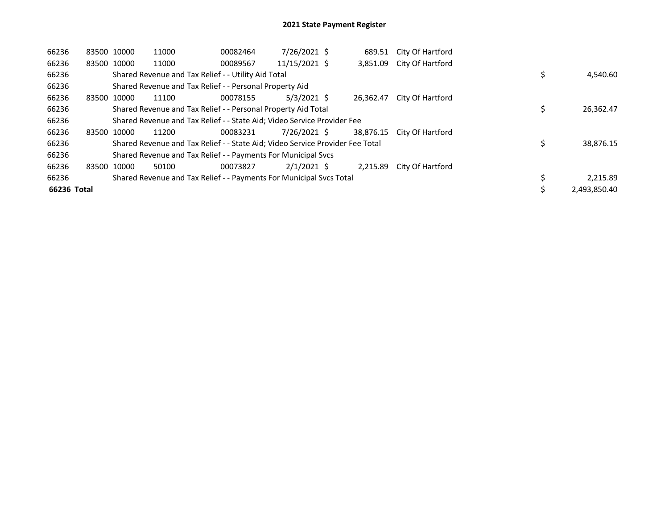| 66236       |             | 83500 10000 | 11000 | 00082464                                                                      | 7/26/2021 \$  | 689.51    | City Of Hartford |  |              |
|-------------|-------------|-------------|-------|-------------------------------------------------------------------------------|---------------|-----------|------------------|--|--------------|
| 66236       | 83500 10000 |             | 11000 | 00089567                                                                      | 11/15/2021 \$ | 3,851.09  | City Of Hartford |  |              |
| 66236       |             |             |       | Shared Revenue and Tax Relief - - Utility Aid Total                           |               |           |                  |  | 4,540.60     |
| 66236       |             |             |       | Shared Revenue and Tax Relief - - Personal Property Aid                       |               |           |                  |  |              |
| 66236       | 83500 10000 |             | 11100 | 00078155                                                                      | $5/3/2021$ \$ | 26.362.47 | City Of Hartford |  |              |
| 66236       |             |             |       | Shared Revenue and Tax Relief - - Personal Property Aid Total                 |               |           |                  |  | 26,362.47    |
| 66236       |             |             |       | Shared Revenue and Tax Relief - - State Aid; Video Service Provider Fee       |               |           |                  |  |              |
| 66236       |             | 83500 10000 | 11200 | 00083231                                                                      | 7/26/2021 \$  | 38.876.15 | City Of Hartford |  |              |
| 66236       |             |             |       | Shared Revenue and Tax Relief - - State Aid; Video Service Provider Fee Total |               |           |                  |  | 38,876.15    |
| 66236       |             |             |       | Shared Revenue and Tax Relief - - Payments For Municipal Svcs                 |               |           |                  |  |              |
| 66236       | 83500 10000 |             | 50100 | 00073827                                                                      | $2/1/2021$ \$ | 2.215.89  | City Of Hartford |  |              |
| 66236       |             |             |       | Shared Revenue and Tax Relief - - Payments For Municipal Svcs Total           |               |           |                  |  | 2,215.89     |
| 66236 Total |             |             |       |                                                                               |               |           |                  |  | 2,493,850.40 |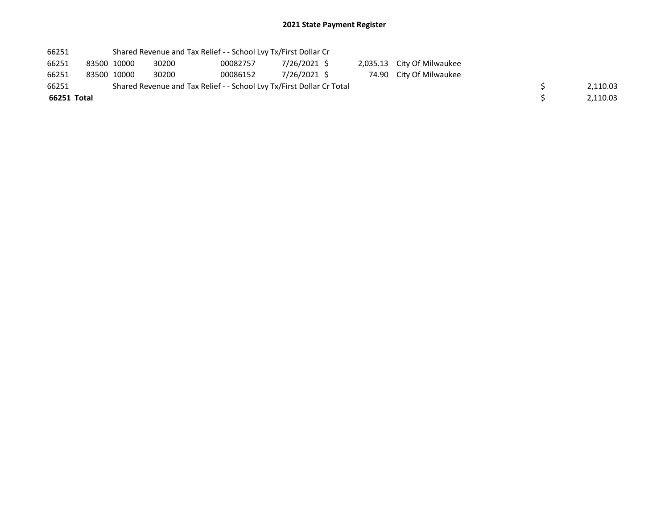| 66251       |             | Shared Revenue and Tax Relief - - School Lvy Tx/First Dollar Cr       |          |              |  |                            |  |          |
|-------------|-------------|-----------------------------------------------------------------------|----------|--------------|--|----------------------------|--|----------|
| 66251       | 83500 10000 | 30200                                                                 | 00082757 | 7/26/2021 \$ |  | 2,035.13 City Of Milwaukee |  |          |
| 66251       | 83500 10000 | 30200                                                                 | 00086152 | 7/26/2021 \$ |  | 74.90 City Of Milwaukee    |  |          |
| 66251       |             | Shared Revenue and Tax Relief - - School Lvy Tx/First Dollar Cr Total |          |              |  |                            |  | 2,110.03 |
| 66251 Total |             |                                                                       |          |              |  |                            |  | 2,110.03 |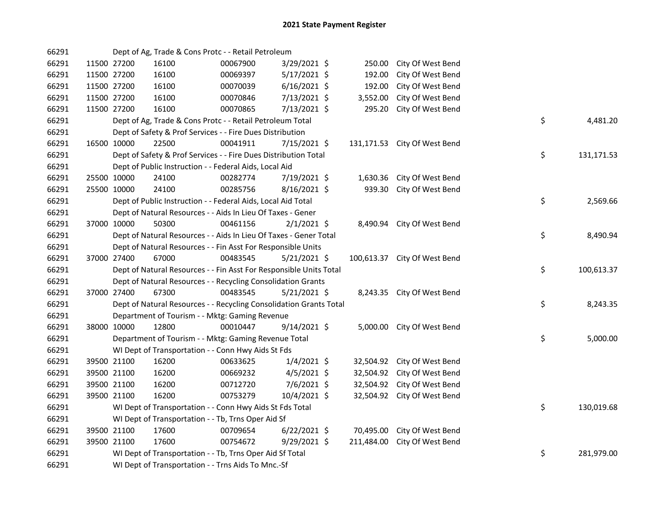| 66291 |             | Dept of Ag, Trade & Cons Protc - - Retail Petroleum                |          |                |            |                              |    |            |
|-------|-------------|--------------------------------------------------------------------|----------|----------------|------------|------------------------------|----|------------|
| 66291 | 11500 27200 | 16100                                                              | 00067900 | 3/29/2021 \$   | 250.00     | City Of West Bend            |    |            |
| 66291 | 11500 27200 | 16100                                                              | 00069397 | 5/17/2021 \$   | 192.00     | City Of West Bend            |    |            |
| 66291 | 11500 27200 | 16100                                                              | 00070039 | $6/16/2021$ \$ | 192.00     | City Of West Bend            |    |            |
| 66291 | 11500 27200 | 16100                                                              | 00070846 | 7/13/2021 \$   | 3,552.00   | City Of West Bend            |    |            |
| 66291 | 11500 27200 | 16100                                                              | 00070865 | 7/13/2021 \$   | 295.20     | City Of West Bend            |    |            |
| 66291 |             | Dept of Ag, Trade & Cons Protc - - Retail Petroleum Total          |          |                |            |                              | \$ | 4,481.20   |
| 66291 |             | Dept of Safety & Prof Services - - Fire Dues Distribution          |          |                |            |                              |    |            |
| 66291 | 16500 10000 | 22500                                                              | 00041911 | 7/15/2021 \$   |            | 131,171.53 City Of West Bend |    |            |
| 66291 |             | Dept of Safety & Prof Services - - Fire Dues Distribution Total    |          |                |            |                              | \$ | 131,171.53 |
| 66291 |             | Dept of Public Instruction - - Federal Aids, Local Aid             |          |                |            |                              |    |            |
| 66291 | 25500 10000 | 24100                                                              | 00282774 | 7/19/2021 \$   | 1,630.36   | City Of West Bend            |    |            |
| 66291 | 25500 10000 | 24100                                                              | 00285756 | $8/16/2021$ \$ | 939.30     | City Of West Bend            |    |            |
| 66291 |             | Dept of Public Instruction - - Federal Aids, Local Aid Total       |          |                |            |                              | \$ | 2,569.66   |
| 66291 |             | Dept of Natural Resources - - Aids In Lieu Of Taxes - Gener        |          |                |            |                              |    |            |
| 66291 | 37000 10000 | 50300                                                              | 00461156 | $2/1/2021$ \$  |            | 8,490.94 City Of West Bend   |    |            |
| 66291 |             | Dept of Natural Resources - - Aids In Lieu Of Taxes - Gener Total  |          |                |            |                              | \$ | 8,490.94   |
| 66291 |             | Dept of Natural Resources - - Fin Asst For Responsible Units       |          |                |            |                              |    |            |
| 66291 | 37000 27400 | 67000                                                              | 00483545 | 5/21/2021 \$   | 100,613.37 | City Of West Bend            |    |            |
| 66291 |             | Dept of Natural Resources - - Fin Asst For Responsible Units Total |          |                |            |                              | \$ | 100,613.37 |
| 66291 |             | Dept of Natural Resources - - Recycling Consolidation Grants       |          |                |            |                              |    |            |
| 66291 | 37000 27400 | 67300                                                              | 00483545 | $5/21/2021$ \$ |            | 8,243.35 City Of West Bend   |    |            |
| 66291 |             | Dept of Natural Resources - - Recycling Consolidation Grants Total |          |                |            |                              | \$ | 8,243.35   |
| 66291 |             | Department of Tourism - - Mktg: Gaming Revenue                     |          |                |            |                              |    |            |
| 66291 | 38000 10000 | 12800                                                              | 00010447 | $9/14/2021$ \$ |            | 5,000.00 City Of West Bend   |    |            |
| 66291 |             | Department of Tourism - - Mktg: Gaming Revenue Total               |          |                |            |                              | \$ | 5,000.00   |
| 66291 |             | WI Dept of Transportation - - Conn Hwy Aids St Fds                 |          |                |            |                              |    |            |
| 66291 | 39500 21100 | 16200                                                              | 00633625 | $1/4/2021$ \$  | 32,504.92  | City Of West Bend            |    |            |
| 66291 | 39500 21100 | 16200                                                              | 00669232 | $4/5/2021$ \$  | 32,504.92  | City Of West Bend            |    |            |
| 66291 | 39500 21100 | 16200                                                              | 00712720 | 7/6/2021 \$    | 32,504.92  | City Of West Bend            |    |            |
| 66291 | 39500 21100 | 16200                                                              | 00753279 | 10/4/2021 \$   | 32,504.92  | City Of West Bend            |    |            |
| 66291 |             | WI Dept of Transportation - - Conn Hwy Aids St Fds Total           |          |                |            |                              | \$ | 130,019.68 |
| 66291 |             | WI Dept of Transportation - - Tb, Trns Oper Aid Sf                 |          |                |            |                              |    |            |
| 66291 | 39500 21100 | 17600                                                              | 00709654 | $6/22/2021$ \$ | 70,495.00  | City Of West Bend            |    |            |
| 66291 | 39500 21100 | 17600                                                              | 00754672 | 9/29/2021 \$   | 211,484.00 | City Of West Bend            |    |            |
| 66291 |             | WI Dept of Transportation - - Tb, Trns Oper Aid Sf Total           |          |                |            |                              | \$ | 281,979.00 |
| 66291 |             | WI Dept of Transportation - - Trns Aids To Mnc.-Sf                 |          |                |            |                              |    |            |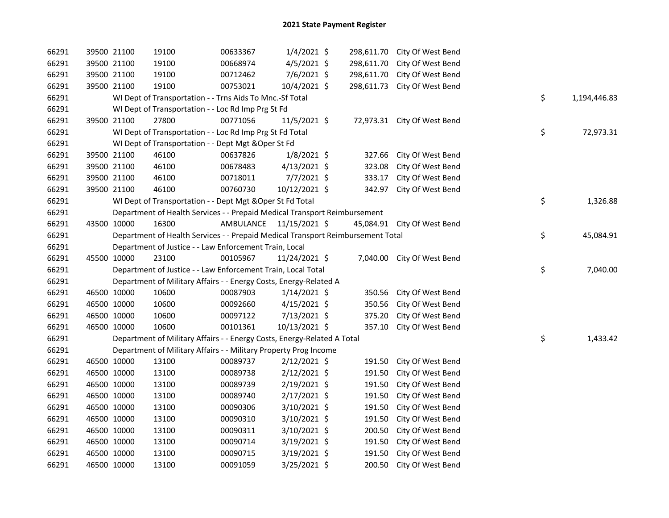| 66291 |             | 39500 21100 | 19100                                                                           | 00633367  | $1/4/2021$ \$  |        | 298,611.70 City Of West Bend |    |              |
|-------|-------------|-------------|---------------------------------------------------------------------------------|-----------|----------------|--------|------------------------------|----|--------------|
| 66291 |             | 39500 21100 | 19100                                                                           | 00668974  | 4/5/2021 \$    |        | 298,611.70 City Of West Bend |    |              |
| 66291 |             | 39500 21100 | 19100                                                                           | 00712462  | 7/6/2021 \$    |        | 298,611.70 City Of West Bend |    |              |
| 66291 |             | 39500 21100 | 19100                                                                           | 00753021  | 10/4/2021 \$   |        | 298,611.73 City Of West Bend |    |              |
| 66291 |             |             | WI Dept of Transportation - - Trns Aids To Mnc.-Sf Total                        |           |                |        |                              | \$ | 1,194,446.83 |
| 66291 |             |             | WI Dept of Transportation - - Loc Rd Imp Prg St Fd                              |           |                |        |                              |    |              |
| 66291 |             | 39500 21100 | 27800                                                                           | 00771056  | $11/5/2021$ \$ |        | 72,973.31 City Of West Bend  |    |              |
| 66291 |             |             | WI Dept of Transportation - - Loc Rd Imp Prg St Fd Total                        |           |                |        |                              | \$ | 72,973.31    |
| 66291 |             |             | WI Dept of Transportation - - Dept Mgt & Oper St Fd                             |           |                |        |                              |    |              |
| 66291 |             | 39500 21100 | 46100                                                                           | 00637826  | $1/8/2021$ \$  | 327.66 | City Of West Bend            |    |              |
| 66291 |             | 39500 21100 | 46100                                                                           | 00678483  | $4/13/2021$ \$ | 323.08 | City Of West Bend            |    |              |
| 66291 |             | 39500 21100 | 46100                                                                           | 00718011  | $7/7/2021$ \$  | 333.17 | City Of West Bend            |    |              |
| 66291 |             | 39500 21100 | 46100                                                                           | 00760730  | 10/12/2021 \$  |        | 342.97 City Of West Bend     |    |              |
| 66291 |             |             | WI Dept of Transportation - - Dept Mgt & Oper St Fd Total                       |           |                |        |                              | \$ | 1,326.88     |
| 66291 |             |             | Department of Health Services - - Prepaid Medical Transport Reimbursement       |           |                |        |                              |    |              |
| 66291 | 43500 10000 |             | 16300                                                                           | AMBULANCE | 11/15/2021 \$  |        | 45,084.91 City Of West Bend  |    |              |
| 66291 |             |             | Department of Health Services - - Prepaid Medical Transport Reimbursement Total |           |                |        |                              | \$ | 45,084.91    |
| 66291 |             |             | Department of Justice - - Law Enforcement Train, Local                          |           |                |        |                              |    |              |
| 66291 | 45500 10000 |             | 23100                                                                           | 00105967  | 11/24/2021 \$  |        | 7,040.00 City Of West Bend   |    |              |
| 66291 |             |             | Department of Justice - - Law Enforcement Train, Local Total                    |           |                |        |                              | \$ | 7,040.00     |
| 66291 |             |             | Department of Military Affairs - - Energy Costs, Energy-Related A               |           |                |        |                              |    |              |
| 66291 |             | 46500 10000 | 10600                                                                           | 00087903  | $1/14/2021$ \$ | 350.56 | City Of West Bend            |    |              |
| 66291 |             | 46500 10000 | 10600                                                                           | 00092660  | $4/15/2021$ \$ | 350.56 | City Of West Bend            |    |              |
| 66291 |             | 46500 10000 | 10600                                                                           | 00097122  | 7/13/2021 \$   | 375.20 | City Of West Bend            |    |              |
| 66291 | 46500 10000 |             | 10600                                                                           | 00101361  | 10/13/2021 \$  |        | 357.10 City Of West Bend     |    |              |
| 66291 |             |             | Department of Military Affairs - - Energy Costs, Energy-Related A Total         |           |                |        |                              | \$ | 1,433.42     |
| 66291 |             |             | Department of Military Affairs - - Military Property Prog Income                |           |                |        |                              |    |              |
| 66291 |             | 46500 10000 | 13100                                                                           | 00089737  | $2/12/2021$ \$ | 191.50 | City Of West Bend            |    |              |
| 66291 |             | 46500 10000 | 13100                                                                           | 00089738  | $2/12/2021$ \$ | 191.50 | City Of West Bend            |    |              |
| 66291 |             | 46500 10000 | 13100                                                                           | 00089739  | $2/19/2021$ \$ | 191.50 | City Of West Bend            |    |              |
| 66291 |             | 46500 10000 | 13100                                                                           | 00089740  | $2/17/2021$ \$ | 191.50 | City Of West Bend            |    |              |
| 66291 |             | 46500 10000 | 13100                                                                           | 00090306  | $3/10/2021$ \$ | 191.50 | City Of West Bend            |    |              |
| 66291 |             | 46500 10000 | 13100                                                                           | 00090310  | 3/10/2021 \$   | 191.50 | City Of West Bend            |    |              |
| 66291 |             | 46500 10000 | 13100                                                                           | 00090311  | 3/10/2021 \$   | 200.50 | City Of West Bend            |    |              |
| 66291 |             | 46500 10000 | 13100                                                                           | 00090714  | 3/19/2021 \$   | 191.50 | City Of West Bend            |    |              |
| 66291 |             | 46500 10000 | 13100                                                                           | 00090715  | 3/19/2021 \$   | 191.50 | City Of West Bend            |    |              |
| 66291 |             | 46500 10000 | 13100                                                                           | 00091059  | 3/25/2021 \$   | 200.50 | City Of West Bend            |    |              |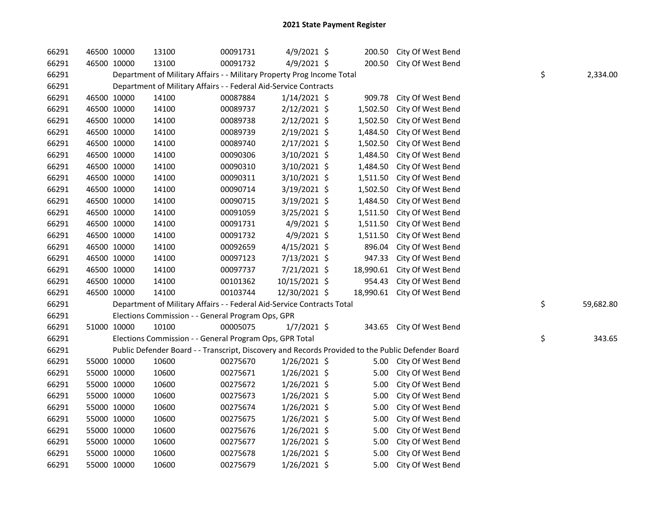| 66291 | 46500 10000 | 13100                                                                                             | 00091731 | $4/9/2021$ \$  | 200.50    | City Of West Bend           |    |           |
|-------|-------------|---------------------------------------------------------------------------------------------------|----------|----------------|-----------|-----------------------------|----|-----------|
| 66291 | 46500 10000 | 13100                                                                                             | 00091732 | $4/9/2021$ \$  | 200.50    | City Of West Bend           |    |           |
| 66291 |             | Department of Military Affairs - - Military Property Prog Income Total                            |          |                |           |                             | \$ | 2,334.00  |
| 66291 |             | Department of Military Affairs - - Federal Aid-Service Contracts                                  |          |                |           |                             |    |           |
| 66291 | 46500 10000 | 14100                                                                                             | 00087884 | $1/14/2021$ \$ | 909.78    | City Of West Bend           |    |           |
| 66291 | 46500 10000 | 14100                                                                                             | 00089737 | $2/12/2021$ \$ | 1,502.50  | City Of West Bend           |    |           |
| 66291 | 46500 10000 | 14100                                                                                             | 00089738 | $2/12/2021$ \$ | 1,502.50  | City Of West Bend           |    |           |
| 66291 | 46500 10000 | 14100                                                                                             | 00089739 | 2/19/2021 \$   | 1,484.50  | City Of West Bend           |    |           |
| 66291 | 46500 10000 | 14100                                                                                             | 00089740 | $2/17/2021$ \$ | 1,502.50  | City Of West Bend           |    |           |
| 66291 | 46500 10000 | 14100                                                                                             | 00090306 | 3/10/2021 \$   | 1,484.50  | City Of West Bend           |    |           |
| 66291 | 46500 10000 | 14100                                                                                             | 00090310 | 3/10/2021 \$   | 1,484.50  | City Of West Bend           |    |           |
| 66291 | 46500 10000 | 14100                                                                                             | 00090311 | 3/10/2021 \$   | 1,511.50  | City Of West Bend           |    |           |
| 66291 | 46500 10000 | 14100                                                                                             | 00090714 | 3/19/2021 \$   | 1,502.50  | City Of West Bend           |    |           |
| 66291 | 46500 10000 | 14100                                                                                             | 00090715 | 3/19/2021 \$   | 1,484.50  | City Of West Bend           |    |           |
| 66291 | 46500 10000 | 14100                                                                                             | 00091059 | 3/25/2021 \$   | 1,511.50  | City Of West Bend           |    |           |
| 66291 | 46500 10000 | 14100                                                                                             | 00091731 | 4/9/2021 \$    | 1,511.50  | City Of West Bend           |    |           |
| 66291 | 46500 10000 | 14100                                                                                             | 00091732 | $4/9/2021$ \$  | 1,511.50  | City Of West Bend           |    |           |
| 66291 | 46500 10000 | 14100                                                                                             | 00092659 | $4/15/2021$ \$ | 896.04    | City Of West Bend           |    |           |
| 66291 | 46500 10000 | 14100                                                                                             | 00097123 | 7/13/2021 \$   | 947.33    | City Of West Bend           |    |           |
| 66291 | 46500 10000 | 14100                                                                                             | 00097737 | 7/21/2021 \$   | 18,990.61 | City Of West Bend           |    |           |
| 66291 | 46500 10000 | 14100                                                                                             | 00101362 | 10/15/2021 \$  | 954.43    | City Of West Bend           |    |           |
| 66291 | 46500 10000 | 14100                                                                                             | 00103744 | 12/30/2021 \$  |           | 18,990.61 City Of West Bend |    |           |
| 66291 |             | Department of Military Affairs - - Federal Aid-Service Contracts Total                            |          |                |           |                             | \$ | 59,682.80 |
| 66291 |             | Elections Commission - - General Program Ops, GPR                                                 |          |                |           |                             |    |           |
| 66291 | 51000 10000 | 10100                                                                                             | 00005075 | $1/7/2021$ \$  | 343.65    | City Of West Bend           |    |           |
| 66291 |             | Elections Commission - - General Program Ops, GPR Total                                           |          |                |           |                             | \$ | 343.65    |
| 66291 |             | Public Defender Board - - Transcript, Discovery and Records Provided to the Public Defender Board |          |                |           |                             |    |           |
| 66291 | 55000 10000 | 10600                                                                                             | 00275670 | $1/26/2021$ \$ | 5.00      | City Of West Bend           |    |           |
| 66291 | 55000 10000 | 10600                                                                                             | 00275671 | $1/26/2021$ \$ | 5.00      | City Of West Bend           |    |           |
| 66291 | 55000 10000 | 10600                                                                                             | 00275672 | $1/26/2021$ \$ | 5.00      | City Of West Bend           |    |           |
| 66291 | 55000 10000 | 10600                                                                                             | 00275673 | $1/26/2021$ \$ | 5.00      | City Of West Bend           |    |           |
| 66291 | 55000 10000 | 10600                                                                                             | 00275674 | $1/26/2021$ \$ | 5.00      | City Of West Bend           |    |           |
| 66291 | 55000 10000 | 10600                                                                                             | 00275675 | $1/26/2021$ \$ | 5.00      | City Of West Bend           |    |           |
| 66291 | 55000 10000 | 10600                                                                                             | 00275676 | $1/26/2021$ \$ | 5.00      | City Of West Bend           |    |           |
| 66291 | 55000 10000 | 10600                                                                                             | 00275677 | $1/26/2021$ \$ | 5.00      | City Of West Bend           |    |           |
| 66291 | 55000 10000 | 10600                                                                                             | 00275678 | $1/26/2021$ \$ | 5.00      | City Of West Bend           |    |           |
| 66291 | 55000 10000 | 10600                                                                                             | 00275679 | 1/26/2021 \$   | 5.00      | City Of West Bend           |    |           |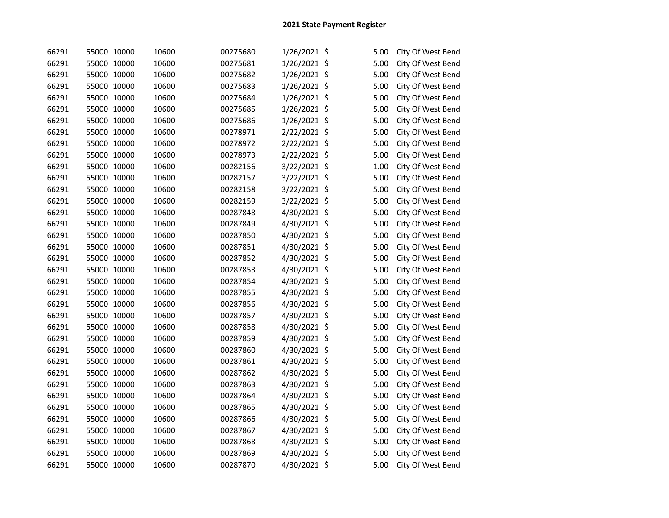| 66291 | 55000 10000 | 10600 | 00275680 | 1/26/2021 \$ | 5.00 | City Of West Bend |
|-------|-------------|-------|----------|--------------|------|-------------------|
| 66291 | 55000 10000 | 10600 | 00275681 | 1/26/2021 \$ | 5.00 | City Of West Bend |
| 66291 | 55000 10000 | 10600 | 00275682 | 1/26/2021 \$ | 5.00 | City Of West Bend |
| 66291 | 55000 10000 | 10600 | 00275683 | 1/26/2021 \$ | 5.00 | City Of West Bend |
| 66291 | 55000 10000 | 10600 | 00275684 | 1/26/2021 \$ | 5.00 | City Of West Bend |
| 66291 | 55000 10000 | 10600 | 00275685 | 1/26/2021 \$ | 5.00 | City Of West Bend |
| 66291 | 55000 10000 | 10600 | 00275686 | 1/26/2021 \$ | 5.00 | City Of West Bend |
| 66291 | 55000 10000 | 10600 | 00278971 | 2/22/2021 \$ | 5.00 | City Of West Bend |
| 66291 | 55000 10000 | 10600 | 00278972 | 2/22/2021 \$ | 5.00 | City Of West Bend |
| 66291 | 55000 10000 | 10600 | 00278973 | 2/22/2021 \$ | 5.00 | City Of West Bend |
| 66291 | 55000 10000 | 10600 | 00282156 | 3/22/2021 \$ | 1.00 | City Of West Bend |
| 66291 | 55000 10000 | 10600 | 00282157 | 3/22/2021 \$ | 5.00 | City Of West Bend |
| 66291 | 55000 10000 | 10600 | 00282158 | 3/22/2021 \$ | 5.00 | City Of West Bend |
| 66291 | 55000 10000 | 10600 | 00282159 | 3/22/2021 \$ | 5.00 | City Of West Bend |
| 66291 | 55000 10000 | 10600 | 00287848 | 4/30/2021 \$ | 5.00 | City Of West Bend |
| 66291 | 55000 10000 | 10600 | 00287849 | 4/30/2021 \$ | 5.00 | City Of West Bend |
| 66291 | 55000 10000 | 10600 | 00287850 | 4/30/2021 \$ | 5.00 | City Of West Bend |
| 66291 | 55000 10000 | 10600 | 00287851 | 4/30/2021 \$ | 5.00 | City Of West Bend |
| 66291 | 55000 10000 | 10600 | 00287852 | 4/30/2021 \$ | 5.00 | City Of West Bend |
| 66291 | 55000 10000 | 10600 | 00287853 | 4/30/2021 \$ | 5.00 | City Of West Bend |
| 66291 | 55000 10000 | 10600 | 00287854 | 4/30/2021 \$ | 5.00 | City Of West Bend |
| 66291 | 55000 10000 | 10600 | 00287855 | 4/30/2021 \$ | 5.00 | City Of West Bend |
| 66291 | 55000 10000 | 10600 | 00287856 | 4/30/2021 \$ | 5.00 | City Of West Bend |
| 66291 | 55000 10000 | 10600 | 00287857 | 4/30/2021 \$ | 5.00 | City Of West Bend |
| 66291 | 55000 10000 | 10600 | 00287858 | 4/30/2021 \$ | 5.00 | City Of West Bend |
| 66291 | 55000 10000 | 10600 | 00287859 | 4/30/2021 \$ | 5.00 | City Of West Bend |
| 66291 | 55000 10000 | 10600 | 00287860 | 4/30/2021 \$ | 5.00 | City Of West Bend |
| 66291 | 55000 10000 | 10600 | 00287861 | 4/30/2021 \$ | 5.00 | City Of West Bend |
| 66291 | 55000 10000 | 10600 | 00287862 | 4/30/2021 \$ | 5.00 | City Of West Bend |
| 66291 | 55000 10000 | 10600 | 00287863 | 4/30/2021 \$ | 5.00 | City Of West Bend |
| 66291 | 55000 10000 | 10600 | 00287864 | 4/30/2021 \$ | 5.00 | City Of West Bend |
| 66291 | 55000 10000 | 10600 | 00287865 | 4/30/2021 \$ | 5.00 | City Of West Bend |
| 66291 | 55000 10000 | 10600 | 00287866 | 4/30/2021 \$ | 5.00 | City Of West Bend |
| 66291 | 55000 10000 | 10600 | 00287867 | 4/30/2021 \$ | 5.00 | City Of West Bend |
| 66291 | 55000 10000 | 10600 | 00287868 | 4/30/2021 \$ | 5.00 | City Of West Bend |
| 66291 | 55000 10000 | 10600 | 00287869 | 4/30/2021 \$ | 5.00 | City Of West Bend |
| 66291 | 55000 10000 | 10600 | 00287870 | 4/30/2021 \$ | 5.00 | City Of West Bend |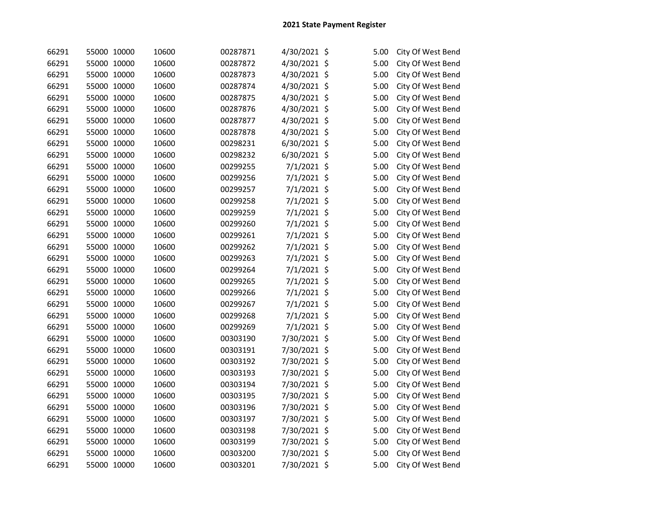| 66291 | 55000 10000 | 10600 | 00287871 | 4/30/2021 \$  | 5.00 | City Of West Bend |
|-------|-------------|-------|----------|---------------|------|-------------------|
| 66291 | 55000 10000 | 10600 | 00287872 | 4/30/2021 \$  | 5.00 | City Of West Bend |
| 66291 | 55000 10000 | 10600 | 00287873 | 4/30/2021 \$  | 5.00 | City Of West Bend |
| 66291 | 55000 10000 | 10600 | 00287874 | 4/30/2021 \$  | 5.00 | City Of West Bend |
| 66291 | 55000 10000 | 10600 | 00287875 | 4/30/2021 \$  | 5.00 | City Of West Bend |
| 66291 | 55000 10000 | 10600 | 00287876 | 4/30/2021 \$  | 5.00 | City Of West Bend |
| 66291 | 55000 10000 | 10600 | 00287877 | 4/30/2021 \$  | 5.00 | City Of West Bend |
| 66291 | 55000 10000 | 10600 | 00287878 | 4/30/2021 \$  | 5.00 | City Of West Bend |
| 66291 | 55000 10000 | 10600 | 00298231 | 6/30/2021 \$  | 5.00 | City Of West Bend |
| 66291 | 55000 10000 | 10600 | 00298232 | 6/30/2021 \$  | 5.00 | City Of West Bend |
| 66291 | 55000 10000 | 10600 | 00299255 | $7/1/2021$ \$ | 5.00 | City Of West Bend |
| 66291 | 55000 10000 | 10600 | 00299256 | 7/1/2021 \$   | 5.00 | City Of West Bend |
| 66291 | 55000 10000 | 10600 | 00299257 | $7/1/2021$ \$ | 5.00 | City Of West Bend |
| 66291 | 55000 10000 | 10600 | 00299258 | $7/1/2021$ \$ | 5.00 | City Of West Bend |
| 66291 | 55000 10000 | 10600 | 00299259 | $7/1/2021$ \$ | 5.00 | City Of West Bend |
| 66291 | 55000 10000 | 10600 | 00299260 | 7/1/2021 \$   | 5.00 | City Of West Bend |
| 66291 | 55000 10000 | 10600 | 00299261 | 7/1/2021 \$   | 5.00 | City Of West Bend |
| 66291 | 55000 10000 | 10600 | 00299262 | $7/1/2021$ \$ | 5.00 | City Of West Bend |
| 66291 | 55000 10000 | 10600 | 00299263 | 7/1/2021 \$   | 5.00 | City Of West Bend |
| 66291 | 55000 10000 | 10600 | 00299264 | 7/1/2021 \$   | 5.00 | City Of West Bend |
| 66291 | 55000 10000 | 10600 | 00299265 | 7/1/2021 \$   | 5.00 | City Of West Bend |
| 66291 | 55000 10000 | 10600 | 00299266 | $7/1/2021$ \$ | 5.00 | City Of West Bend |
| 66291 | 55000 10000 | 10600 | 00299267 | 7/1/2021 \$   | 5.00 | City Of West Bend |
| 66291 | 55000 10000 | 10600 | 00299268 | 7/1/2021 \$   | 5.00 | City Of West Bend |
| 66291 | 55000 10000 | 10600 | 00299269 | $7/1/2021$ \$ | 5.00 | City Of West Bend |
| 66291 | 55000 10000 | 10600 | 00303190 | 7/30/2021 \$  | 5.00 | City Of West Bend |
| 66291 | 55000 10000 | 10600 | 00303191 | 7/30/2021 \$  | 5.00 | City Of West Bend |
| 66291 | 55000 10000 | 10600 | 00303192 | 7/30/2021 \$  | 5.00 | City Of West Bend |
| 66291 | 55000 10000 | 10600 | 00303193 | 7/30/2021 \$  | 5.00 | City Of West Bend |
| 66291 | 55000 10000 | 10600 | 00303194 | 7/30/2021 \$  | 5.00 | City Of West Bend |
| 66291 | 55000 10000 | 10600 | 00303195 | 7/30/2021 \$  | 5.00 | City Of West Bend |
| 66291 | 55000 10000 | 10600 | 00303196 | 7/30/2021 \$  | 5.00 | City Of West Bend |
| 66291 | 55000 10000 | 10600 | 00303197 | 7/30/2021 \$  | 5.00 | City Of West Bend |
| 66291 | 55000 10000 | 10600 | 00303198 | 7/30/2021 \$  | 5.00 | City Of West Bend |
| 66291 | 55000 10000 | 10600 | 00303199 | 7/30/2021 \$  | 5.00 | City Of West Bend |
| 66291 | 55000 10000 | 10600 | 00303200 | 7/30/2021 \$  | 5.00 | City Of West Bend |
| 66291 | 55000 10000 | 10600 | 00303201 | 7/30/2021 \$  | 5.00 | City Of West Bend |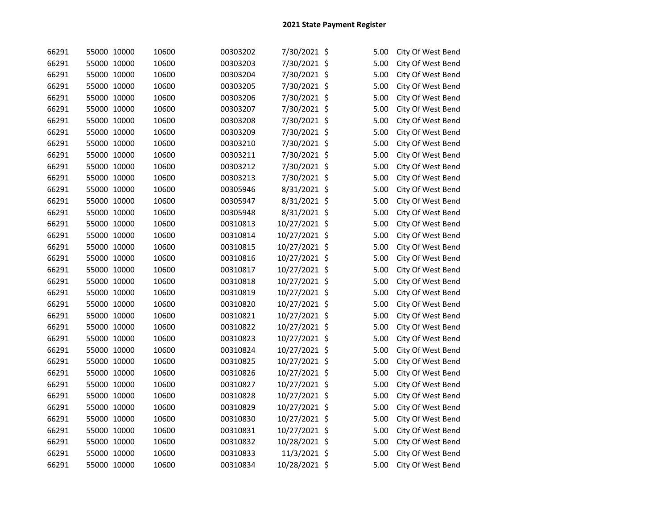| 66291 | 55000 10000 | 10600 | 00303202 | 7/30/2021 \$  | 5.00 | City Of West Bend |
|-------|-------------|-------|----------|---------------|------|-------------------|
| 66291 | 55000 10000 | 10600 | 00303203 | 7/30/2021 \$  | 5.00 | City Of West Bend |
| 66291 | 55000 10000 | 10600 | 00303204 | 7/30/2021 \$  | 5.00 | City Of West Bend |
| 66291 | 55000 10000 | 10600 | 00303205 | 7/30/2021 \$  | 5.00 | City Of West Bend |
| 66291 | 55000 10000 | 10600 | 00303206 | 7/30/2021 \$  | 5.00 | City Of West Bend |
| 66291 | 55000 10000 | 10600 | 00303207 | 7/30/2021 \$  | 5.00 | City Of West Bend |
| 66291 | 55000 10000 | 10600 | 00303208 | 7/30/2021 \$  | 5.00 | City Of West Bend |
| 66291 | 55000 10000 | 10600 | 00303209 | 7/30/2021 \$  | 5.00 | City Of West Bend |
| 66291 | 55000 10000 | 10600 | 00303210 | 7/30/2021 \$  | 5.00 | City Of West Bend |
| 66291 | 55000 10000 | 10600 | 00303211 | 7/30/2021 \$  | 5.00 | City Of West Bend |
| 66291 | 55000 10000 | 10600 | 00303212 | 7/30/2021 \$  | 5.00 | City Of West Bend |
| 66291 | 55000 10000 | 10600 | 00303213 | 7/30/2021 \$  | 5.00 | City Of West Bend |
| 66291 | 55000 10000 | 10600 | 00305946 | 8/31/2021 \$  | 5.00 | City Of West Bend |
| 66291 | 55000 10000 | 10600 | 00305947 | 8/31/2021 \$  | 5.00 | City Of West Bend |
| 66291 | 55000 10000 | 10600 | 00305948 | 8/31/2021 \$  | 5.00 | City Of West Bend |
| 66291 | 55000 10000 | 10600 | 00310813 | 10/27/2021 \$ | 5.00 | City Of West Bend |
| 66291 | 55000 10000 | 10600 | 00310814 | 10/27/2021 \$ | 5.00 | City Of West Bend |
| 66291 | 55000 10000 | 10600 | 00310815 | 10/27/2021 \$ | 5.00 | City Of West Bend |
| 66291 | 55000 10000 | 10600 | 00310816 | 10/27/2021 \$ | 5.00 | City Of West Bend |
| 66291 | 55000 10000 | 10600 | 00310817 | 10/27/2021 \$ | 5.00 | City Of West Bend |
| 66291 | 55000 10000 | 10600 | 00310818 | 10/27/2021 \$ | 5.00 | City Of West Bend |
| 66291 | 55000 10000 | 10600 | 00310819 | 10/27/2021 \$ | 5.00 | City Of West Bend |
| 66291 | 55000 10000 | 10600 | 00310820 | 10/27/2021 \$ | 5.00 | City Of West Bend |
| 66291 | 55000 10000 | 10600 | 00310821 | 10/27/2021 \$ | 5.00 | City Of West Bend |
| 66291 | 55000 10000 | 10600 | 00310822 | 10/27/2021 \$ | 5.00 | City Of West Bend |
| 66291 | 55000 10000 | 10600 | 00310823 | 10/27/2021 \$ | 5.00 | City Of West Bend |
| 66291 | 55000 10000 | 10600 | 00310824 | 10/27/2021 \$ | 5.00 | City Of West Bend |
| 66291 | 55000 10000 | 10600 | 00310825 | 10/27/2021 \$ | 5.00 | City Of West Bend |
| 66291 | 55000 10000 | 10600 | 00310826 | 10/27/2021 \$ | 5.00 | City Of West Bend |
| 66291 | 55000 10000 | 10600 | 00310827 | 10/27/2021 \$ | 5.00 | City Of West Bend |
| 66291 | 55000 10000 | 10600 | 00310828 | 10/27/2021 \$ | 5.00 | City Of West Bend |
| 66291 | 55000 10000 | 10600 | 00310829 | 10/27/2021 \$ | 5.00 | City Of West Bend |
| 66291 | 55000 10000 | 10600 | 00310830 | 10/27/2021 \$ | 5.00 | City Of West Bend |
| 66291 | 55000 10000 | 10600 | 00310831 | 10/27/2021 \$ | 5.00 | City Of West Bend |
| 66291 | 55000 10000 | 10600 | 00310832 | 10/28/2021 \$ | 5.00 | City Of West Bend |
| 66291 | 55000 10000 | 10600 | 00310833 | 11/3/2021 \$  | 5.00 | City Of West Bend |
| 66291 | 55000 10000 | 10600 | 00310834 | 10/28/2021 \$ | 5.00 | City Of West Bend |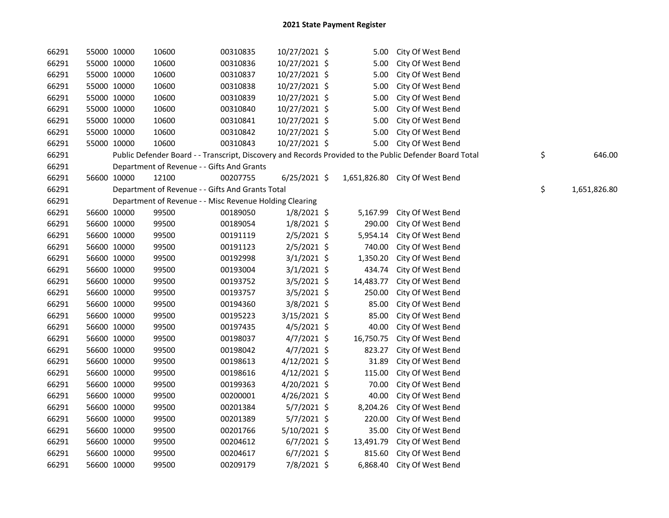| 66291 | 55000 10000 |             | 10600                                                   | 00310835 | 10/27/2021 \$  | 5.00      | City Of West Bend                                                                                       |                    |
|-------|-------------|-------------|---------------------------------------------------------|----------|----------------|-----------|---------------------------------------------------------------------------------------------------------|--------------------|
| 66291 | 55000 10000 |             | 10600                                                   | 00310836 | 10/27/2021 \$  | 5.00      | City Of West Bend                                                                                       |                    |
| 66291 | 55000 10000 |             | 10600                                                   | 00310837 | 10/27/2021 \$  | 5.00      | City Of West Bend                                                                                       |                    |
| 66291 | 55000 10000 |             | 10600                                                   | 00310838 | 10/27/2021 \$  | 5.00      | City Of West Bend                                                                                       |                    |
| 66291 | 55000 10000 |             | 10600                                                   | 00310839 | 10/27/2021 \$  | 5.00      | City Of West Bend                                                                                       |                    |
| 66291 | 55000 10000 |             | 10600                                                   | 00310840 | 10/27/2021 \$  | 5.00      | City Of West Bend                                                                                       |                    |
| 66291 | 55000 10000 |             | 10600                                                   | 00310841 | 10/27/2021 \$  | 5.00      | City Of West Bend                                                                                       |                    |
| 66291 | 55000 10000 |             | 10600                                                   | 00310842 | 10/27/2021 \$  | 5.00      | City Of West Bend                                                                                       |                    |
| 66291 | 55000 10000 |             | 10600                                                   | 00310843 | 10/27/2021 \$  | 5.00      | City Of West Bend                                                                                       |                    |
| 66291 |             |             |                                                         |          |                |           | Public Defender Board - - Transcript, Discovery and Records Provided to the Public Defender Board Total | \$<br>646.00       |
| 66291 |             |             | Department of Revenue - - Gifts And Grants              |          |                |           |                                                                                                         |                    |
| 66291 | 56600 10000 |             | 12100                                                   | 00207755 | $6/25/2021$ \$ |           | 1,651,826.80 City Of West Bend                                                                          |                    |
| 66291 |             |             | Department of Revenue - - Gifts And Grants Total        |          |                |           |                                                                                                         | \$<br>1,651,826.80 |
| 66291 |             |             | Department of Revenue - - Misc Revenue Holding Clearing |          |                |           |                                                                                                         |                    |
| 66291 |             | 56600 10000 | 99500                                                   | 00189050 | $1/8/2021$ \$  | 5,167.99  | City Of West Bend                                                                                       |                    |
| 66291 |             | 56600 10000 | 99500                                                   | 00189054 | $1/8/2021$ \$  | 290.00    | City Of West Bend                                                                                       |                    |
| 66291 |             | 56600 10000 | 99500                                                   | 00191119 | $2/5/2021$ \$  | 5,954.14  | City Of West Bend                                                                                       |                    |
| 66291 |             | 56600 10000 | 99500                                                   | 00191123 | $2/5/2021$ \$  | 740.00    | City Of West Bend                                                                                       |                    |
| 66291 | 56600 10000 |             | 99500                                                   | 00192998 | $3/1/2021$ \$  | 1,350.20  | City Of West Bend                                                                                       |                    |
| 66291 |             | 56600 10000 | 99500                                                   | 00193004 | $3/1/2021$ \$  | 434.74    | City Of West Bend                                                                                       |                    |
| 66291 | 56600 10000 |             | 99500                                                   | 00193752 | $3/5/2021$ \$  | 14,483.77 | City Of West Bend                                                                                       |                    |
| 66291 |             | 56600 10000 | 99500                                                   | 00193757 | $3/5/2021$ \$  | 250.00    | City Of West Bend                                                                                       |                    |
| 66291 | 56600 10000 |             | 99500                                                   | 00194360 | $3/8/2021$ \$  | 85.00     | City Of West Bend                                                                                       |                    |
| 66291 | 56600 10000 |             | 99500                                                   | 00195223 | 3/15/2021 \$   | 85.00     | City Of West Bend                                                                                       |                    |
| 66291 | 56600 10000 |             | 99500                                                   | 00197435 | $4/5/2021$ \$  | 40.00     | City Of West Bend                                                                                       |                    |
| 66291 | 56600 10000 |             | 99500                                                   | 00198037 | $4/7/2021$ \$  | 16,750.75 | City Of West Bend                                                                                       |                    |
| 66291 | 56600 10000 |             | 99500                                                   | 00198042 | $4/7/2021$ \$  | 823.27    | City Of West Bend                                                                                       |                    |
| 66291 | 56600 10000 |             | 99500                                                   | 00198613 | $4/12/2021$ \$ | 31.89     | City Of West Bend                                                                                       |                    |
| 66291 | 56600 10000 |             | 99500                                                   | 00198616 | $4/12/2021$ \$ | 115.00    | City Of West Bend                                                                                       |                    |
| 66291 |             | 56600 10000 | 99500                                                   | 00199363 | $4/20/2021$ \$ | 70.00     | City Of West Bend                                                                                       |                    |
| 66291 | 56600 10000 |             | 99500                                                   | 00200001 | 4/26/2021 \$   | 40.00     | City Of West Bend                                                                                       |                    |
| 66291 | 56600 10000 |             | 99500                                                   | 00201384 | $5/7/2021$ \$  | 8,204.26  | City Of West Bend                                                                                       |                    |
| 66291 | 56600 10000 |             | 99500                                                   | 00201389 | $5/7/2021$ \$  | 220.00    | City Of West Bend                                                                                       |                    |
| 66291 |             | 56600 10000 | 99500                                                   | 00201766 | $5/10/2021$ \$ | 35.00     | City Of West Bend                                                                                       |                    |
| 66291 |             | 56600 10000 | 99500                                                   | 00204612 | $6/7/2021$ \$  | 13,491.79 | City Of West Bend                                                                                       |                    |
| 66291 |             | 56600 10000 | 99500                                                   | 00204617 | $6/7/2021$ \$  | 815.60    | City Of West Bend                                                                                       |                    |
| 66291 |             | 56600 10000 | 99500                                                   | 00209179 | 7/8/2021 \$    | 6,868.40  | City Of West Bend                                                                                       |                    |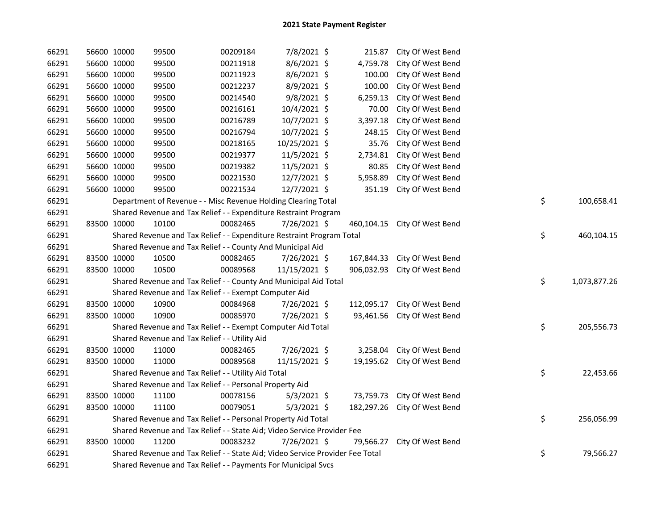| 66291 |             | 56600 10000 | 99500                                                                         | 00209184 | 7/8/2021 \$   | 215.87     | City Of West Bend |    |              |
|-------|-------------|-------------|-------------------------------------------------------------------------------|----------|---------------|------------|-------------------|----|--------------|
| 66291 |             | 56600 10000 | 99500                                                                         | 00211918 | 8/6/2021 \$   | 4,759.78   | City Of West Bend |    |              |
| 66291 |             | 56600 10000 | 99500                                                                         | 00211923 | 8/6/2021 \$   | 100.00     | City Of West Bend |    |              |
| 66291 |             | 56600 10000 | 99500                                                                         | 00212237 | 8/9/2021 \$   | 100.00     | City Of West Bend |    |              |
| 66291 |             | 56600 10000 | 99500                                                                         | 00214540 | 9/8/2021 \$   | 6,259.13   | City Of West Bend |    |              |
| 66291 |             | 56600 10000 | 99500                                                                         | 00216161 | 10/4/2021 \$  | 70.00      | City Of West Bend |    |              |
| 66291 |             | 56600 10000 | 99500                                                                         | 00216789 | 10/7/2021 \$  | 3,397.18   | City Of West Bend |    |              |
| 66291 |             | 56600 10000 | 99500                                                                         | 00216794 | 10/7/2021 \$  | 248.15     | City Of West Bend |    |              |
| 66291 |             | 56600 10000 | 99500                                                                         | 00218165 | 10/25/2021 \$ | 35.76      | City Of West Bend |    |              |
| 66291 |             | 56600 10000 | 99500                                                                         | 00219377 | 11/5/2021 \$  | 2,734.81   | City Of West Bend |    |              |
| 66291 |             | 56600 10000 | 99500                                                                         | 00219382 | 11/5/2021 \$  | 80.85      | City Of West Bend |    |              |
| 66291 |             | 56600 10000 | 99500                                                                         | 00221530 | 12/7/2021 \$  | 5,958.89   | City Of West Bend |    |              |
| 66291 |             | 56600 10000 | 99500                                                                         | 00221534 | 12/7/2021 \$  | 351.19     | City Of West Bend |    |              |
| 66291 |             |             | Department of Revenue - - Misc Revenue Holding Clearing Total                 |          |               |            |                   | \$ | 100,658.41   |
| 66291 |             |             | Shared Revenue and Tax Relief - - Expenditure Restraint Program               |          |               |            |                   |    |              |
| 66291 | 83500 10000 |             | 10100                                                                         | 00082465 | 7/26/2021 \$  | 460,104.15 | City Of West Bend |    |              |
| 66291 |             |             | Shared Revenue and Tax Relief - - Expenditure Restraint Program Total         |          |               |            |                   | \$ | 460,104.15   |
| 66291 |             |             | Shared Revenue and Tax Relief - - County And Municipal Aid                    |          |               |            |                   |    |              |
| 66291 | 83500 10000 |             | 10500                                                                         | 00082465 | 7/26/2021 \$  | 167,844.33 | City Of West Bend |    |              |
| 66291 | 83500 10000 |             | 10500                                                                         | 00089568 | 11/15/2021 \$ | 906,032.93 | City Of West Bend |    |              |
| 66291 |             |             | Shared Revenue and Tax Relief - - County And Municipal Aid Total              |          |               |            |                   | \$ | 1,073,877.26 |
| 66291 |             |             | Shared Revenue and Tax Relief - - Exempt Computer Aid                         |          |               |            |                   |    |              |
| 66291 | 83500 10000 |             | 10900                                                                         | 00084968 | 7/26/2021 \$  | 112,095.17 | City Of West Bend |    |              |
| 66291 | 83500 10000 |             | 10900                                                                         | 00085970 | 7/26/2021 \$  | 93,461.56  | City Of West Bend |    |              |
| 66291 |             |             | Shared Revenue and Tax Relief - - Exempt Computer Aid Total                   |          |               |            |                   | \$ | 205,556.73   |
| 66291 |             |             | Shared Revenue and Tax Relief - - Utility Aid                                 |          |               |            |                   |    |              |
| 66291 | 83500 10000 |             | 11000                                                                         | 00082465 | 7/26/2021 \$  | 3,258.04   | City Of West Bend |    |              |
| 66291 | 83500 10000 |             | 11000                                                                         | 00089568 | 11/15/2021 \$ | 19,195.62  | City Of West Bend |    |              |
| 66291 |             |             | Shared Revenue and Tax Relief - - Utility Aid Total                           |          |               |            |                   | \$ | 22,453.66    |
| 66291 |             |             | Shared Revenue and Tax Relief - - Personal Property Aid                       |          |               |            |                   |    |              |
| 66291 | 83500 10000 |             | 11100                                                                         | 00078156 | $5/3/2021$ \$ | 73,759.73  | City Of West Bend |    |              |
| 66291 | 83500 10000 |             | 11100                                                                         | 00079051 | $5/3/2021$ \$ | 182,297.26 | City Of West Bend |    |              |
| 66291 |             |             | Shared Revenue and Tax Relief - - Personal Property Aid Total                 |          |               |            |                   | \$ | 256,056.99   |
| 66291 |             |             | Shared Revenue and Tax Relief - - State Aid; Video Service Provider Fee       |          |               |            |                   |    |              |
| 66291 | 83500 10000 |             | 11200                                                                         | 00083232 | 7/26/2021 \$  | 79,566.27  | City Of West Bend |    |              |
| 66291 |             |             | Shared Revenue and Tax Relief - - State Aid; Video Service Provider Fee Total |          |               |            |                   | \$ | 79,566.27    |
| 66291 |             |             | Shared Revenue and Tax Relief - - Payments For Municipal Svcs                 |          |               |            |                   |    |              |